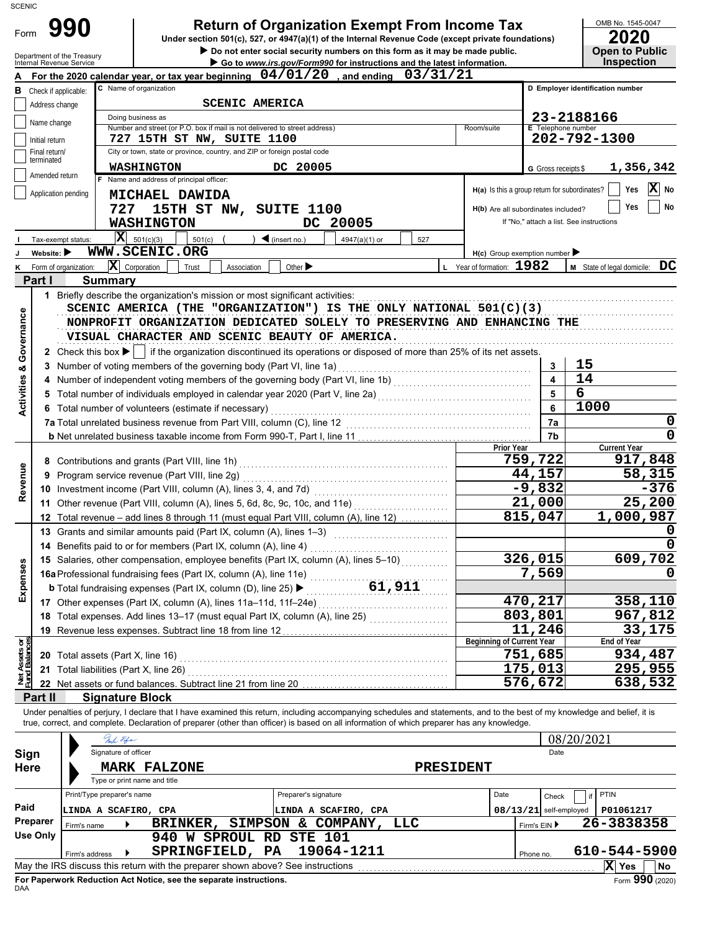| <b>SCENIC</b>                      |                                                               |                                                                                                                                                                                                                                                                                                                                               |                         |                                                                         |
|------------------------------------|---------------------------------------------------------------|-----------------------------------------------------------------------------------------------------------------------------------------------------------------------------------------------------------------------------------------------------------------------------------------------------------------------------------------------|-------------------------|-------------------------------------------------------------------------|
| Form                               | 990<br>Department of the Treasury<br>Internal Revenue Service | <b>Return of Organization Exempt From Income Tax</b><br>Under section 501(c), 527, or 4947(a)(1) of the Internal Revenue Code (except private foundations)<br>Do not enter social security numbers on this form as it may be made public.<br>Go to www.irs.gov/Form990 for instructions and the latest information.                           |                         | OMB No. 1545-0047<br>2020<br><b>Open to Public</b><br><b>Inspection</b> |
|                                    |                                                               | For the 2020 calendar year, or tax year beginning $04/01/20$ , and ending $03/31/21$                                                                                                                                                                                                                                                          |                         |                                                                         |
| в                                  | Check if applicable:                                          | C Name of organization                                                                                                                                                                                                                                                                                                                        |                         | D Employer identification number                                        |
|                                    | Address change                                                | <b>SCENIC AMERICA</b>                                                                                                                                                                                                                                                                                                                         |                         |                                                                         |
|                                    | Name change                                                   | Doing business as<br>Number and street (or P.O. box if mail is not delivered to street address)<br>Room/suite                                                                                                                                                                                                                                 | E Telephone number      | 23-2188166                                                              |
|                                    | Initial return                                                | 727 15TH ST NW, SUITE 1100                                                                                                                                                                                                                                                                                                                    |                         | 202-792-1300                                                            |
|                                    | Final return/<br>terminated                                   | City or town, state or province, country, and ZIP or foreign postal code                                                                                                                                                                                                                                                                      |                         |                                                                         |
|                                    | Amended return                                                | <b>WASHINGTON</b><br>DC 20005                                                                                                                                                                                                                                                                                                                 | G Gross receipts \$     | 1,356,342                                                               |
|                                    |                                                               | Name and address of principal officer:<br>H(a) Is this a group return for subordinates?                                                                                                                                                                                                                                                       |                         | $ \mathbf{X} $ No<br>Yes                                                |
|                                    | Application pending                                           | <b>MICHAEL DAWIDA</b>                                                                                                                                                                                                                                                                                                                         |                         |                                                                         |
|                                    |                                                               | 727<br>15TH ST NW, SUITE 1100<br>H(b) Are all subordinates included?                                                                                                                                                                                                                                                                          |                         | No<br>Yes                                                               |
|                                    |                                                               | DC 20005<br><b>WASHINGTON</b>                                                                                                                                                                                                                                                                                                                 |                         | If "No," attach a list. See instructions                                |
|                                    | Tax-exempt status:                                            | $\overline{\mathbf{X}}$ 501(c)(3)<br>501(c)<br>$\blacktriangleleft$ (insert no.)<br>4947(a)(1) or<br>527                                                                                                                                                                                                                                      |                         |                                                                         |
|                                    | Website: $\blacktriangleright$                                | WWW.SCENIC.ORG<br>$H(c)$ Group exemption number<br>$\mathbf{X}$ Corporation<br>L Year of formation: 1982                                                                                                                                                                                                                                      |                         |                                                                         |
|                                    | K Form of organization:<br>Part I                             | Other $\blacktriangleright$<br>Trust<br>Association                                                                                                                                                                                                                                                                                           |                         | M State of legal domicile: DC                                           |
|                                    |                                                               | <b>Summary</b><br>1 Briefly describe the organization's mission or most significant activities: [11] processes contained as a series or contained and a series or contained a series or contained a series of a series of a series of a series o                                                                                              |                         |                                                                         |
| <b>Activities &amp; Governance</b> |                                                               | SCENIC AMERICA (THE "ORGANIZATION") IS THE ONLY NATIONAL $501(C)(3)$<br>NONPROFIT ORGANIZATION DEDICATED SOLELY TO PRESERVING AND ENHANCING THE<br>VISUAL CHARACTER AND SCENIC BEAUTY OF AMERICA.<br>2 Check this box $\blacktriangleright$   if the organization discontinued its operations or disposed of more than 25% of its net assets. |                         |                                                                         |
|                                    |                                                               | 3 Number of voting members of the governing body (Part VI, line 1a) [1] [2] Number of voting members of the governing body (Part VI, line 1a)                                                                                                                                                                                                 | 3                       | 15                                                                      |
|                                    |                                                               | 4 Number of independent voting members of the governing body (Part VI, line 1b) [11] [11] Number of independent voting members of the governing body (Part VI, line 1b)                                                                                                                                                                       | $\overline{\mathbf{4}}$ | 14                                                                      |
|                                    |                                                               |                                                                                                                                                                                                                                                                                                                                               | 5                       | 6                                                                       |
|                                    |                                                               | 6 Total number of volunteers (estimate if necessary)                                                                                                                                                                                                                                                                                          | 6                       | 1000                                                                    |
|                                    |                                                               |                                                                                                                                                                                                                                                                                                                                               | 7a                      | 0                                                                       |
|                                    |                                                               |                                                                                                                                                                                                                                                                                                                                               | 7b                      | $\mathbf 0$                                                             |
|                                    |                                                               | Prior Year<br>759,722                                                                                                                                                                                                                                                                                                                         |                         | <b>Current Year</b><br>917,848                                          |
|                                    |                                                               | 44,157<br>9 Program service revenue (Part VIII, line 2g)                                                                                                                                                                                                                                                                                      |                         | 58,315                                                                  |
| Revenue                            |                                                               | $-9,832$                                                                                                                                                                                                                                                                                                                                      |                         | $-376$                                                                  |
|                                    |                                                               | 21,000<br>11 Other revenue (Part VIII, column (A), lines 5, 6d, 8c, 9c, 10c, and 11e)                                                                                                                                                                                                                                                         |                         | 25,200                                                                  |
|                                    |                                                               | 815,047<br>12 Total revenue - add lines 8 through 11 (must equal Part VIII, column (A), line 12)                                                                                                                                                                                                                                              |                         | 1,000,987                                                               |
|                                    |                                                               | 13 Grants and similar amounts paid (Part IX, column (A), lines 1-3)                                                                                                                                                                                                                                                                           |                         | 0                                                                       |
|                                    |                                                               | 14 Benefits paid to or for members (Part IX, column (A), line 4)                                                                                                                                                                                                                                                                              |                         | $\mathbf 0$                                                             |
|                                    |                                                               | $\overline{326,015}$<br>15 Salaries, other compensation, employee benefits (Part IX, column (A), lines 5-10)                                                                                                                                                                                                                                  |                         | 609,702                                                                 |
| Expenses                           |                                                               |                                                                                                                                                                                                                                                                                                                                               | 7,569                   | 0                                                                       |
|                                    |                                                               |                                                                                                                                                                                                                                                                                                                                               |                         |                                                                         |
|                                    |                                                               | 470,217                                                                                                                                                                                                                                                                                                                                       |                         | 358,110                                                                 |
|                                    |                                                               | 803,801<br>18 Total expenses. Add lines 13-17 (must equal Part IX, column (A), line 25)<br>11,246                                                                                                                                                                                                                                             |                         | 967,812<br>33,175                                                       |
|                                    |                                                               | <b>Beginning of Current Year</b>                                                                                                                                                                                                                                                                                                              |                         | End of Year                                                             |
| Net Assets or<br>Fund Balances     |                                                               | 751,685                                                                                                                                                                                                                                                                                                                                       |                         | 934,487                                                                 |
|                                    |                                                               | 175,013                                                                                                                                                                                                                                                                                                                                       |                         | 295,955                                                                 |
|                                    |                                                               | 576,672                                                                                                                                                                                                                                                                                                                                       |                         | 638,532                                                                 |
|                                    | Part II                                                       | <b>Signature Block</b>                                                                                                                                                                                                                                                                                                                        |                         |                                                                         |
|                                    |                                                               | Under penalties of perjury, I declare that I have examined this return, including accompanying schedules and statements, and to the best of my knowledge and belief, it is<br>true, correct, and complete. Declaration of preparer (other than officer) is based on all information of which preparer has any knowledge.<br>Nuch Fife         |                         | 08/20/2021                                                              |
| Sign                               |                                                               | Signature of officer                                                                                                                                                                                                                                                                                                                          | Date                    |                                                                         |
| Here                               |                                                               | <b>MARK FALZONE</b><br><b>PRESIDENT</b>                                                                                                                                                                                                                                                                                                       |                         |                                                                         |
|                                    |                                                               | Type or print name and title                                                                                                                                                                                                                                                                                                                  |                         |                                                                         |
|                                    |                                                               | Print/Type preparer's name<br>Preparer's signature<br>Date                                                                                                                                                                                                                                                                                    | Check                   | PTIN<br>if                                                              |
| Paid                               |                                                               | 08/13/21 self-employed<br>LINDA A SCAFIRO, CPA<br>LINDA A SCAFIRO, CPA                                                                                                                                                                                                                                                                        |                         | P01061217                                                               |
|                                    | Preparer<br>Firm's name                                       | SIMPSON & COMPANY, LLC<br>BRINKER,                                                                                                                                                                                                                                                                                                            | Firm's EIN ▶            | 26-3838358                                                              |
|                                    | <b>Use Only</b>                                               | 940 W SPROUL RD STE 101                                                                                                                                                                                                                                                                                                                       |                         |                                                                         |
|                                    | Firm's address                                                | SPRINGFIELD, PA<br>19064-1211<br>▶<br>Phone no.                                                                                                                                                                                                                                                                                               |                         | 610-544-5900                                                            |
|                                    |                                                               | May the IRS discuss this return with the preparer shown above? See instructions                                                                                                                                                                                                                                                               |                         | X Yes<br>No                                                             |

|            |                                                                    |  | ----- | ----  |
|------------|--------------------------------------------------------------------|--|-------|-------|
|            | For Paperwork Reduction Act Notice, see the separate instructions. |  |       | (020) |
| <b>DAA</b> |                                                                    |  |       |       |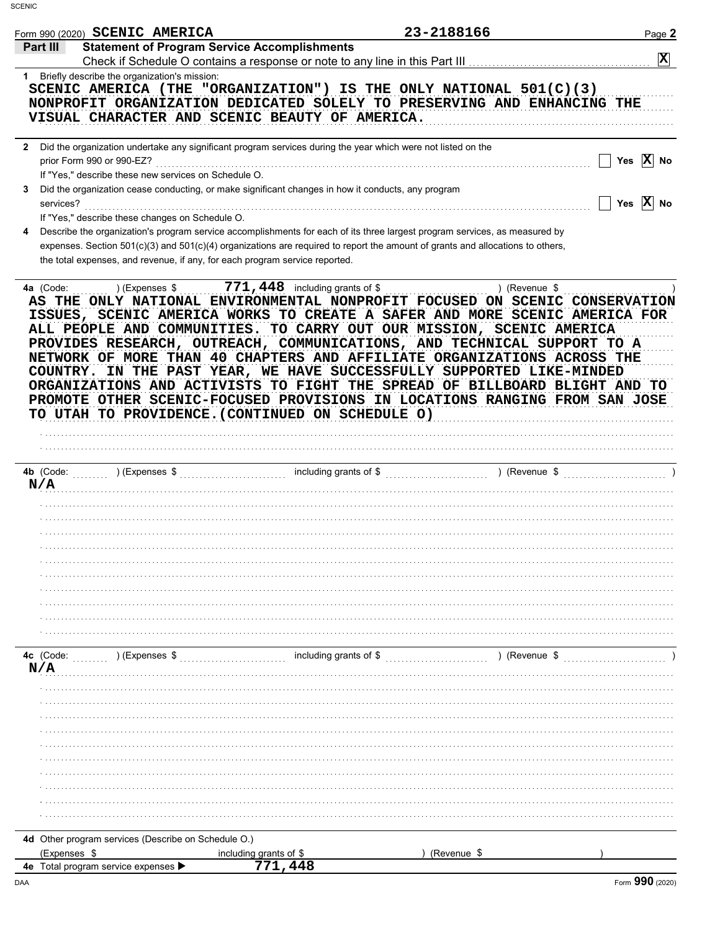|                                                               | Form 990 (2020) SCENIC AMERICA                                                    |                                                                                                                                                                                                                                                                                                                                                                                                                                                                                                                                                                                                   | 23-2188166    | Page 2                |
|---------------------------------------------------------------|-----------------------------------------------------------------------------------|---------------------------------------------------------------------------------------------------------------------------------------------------------------------------------------------------------------------------------------------------------------------------------------------------------------------------------------------------------------------------------------------------------------------------------------------------------------------------------------------------------------------------------------------------------------------------------------------------|---------------|-----------------------|
| Part III                                                      |                                                                                   | <b>Statement of Program Service Accomplishments</b>                                                                                                                                                                                                                                                                                                                                                                                                                                                                                                                                               |               |                       |
|                                                               |                                                                                   |                                                                                                                                                                                                                                                                                                                                                                                                                                                                                                                                                                                                   |               | $\mathbf{x}$          |
|                                                               | 1 Briefly describe the organization's mission:                                    | SCENIC AMERICA (THE "ORGANIZATION") IS THE ONLY NATIONAL $501(C)(3)$<br>NONPROFIT ORGANIZATION DEDICATED SOLELY TO PRESERVING AND ENHANCING THE<br>VISUAL CHARACTER AND SCENIC BEAUTY OF AMERICA.                                                                                                                                                                                                                                                                                                                                                                                                 |               |                       |
|                                                               |                                                                                   | 2 Did the organization undertake any significant program services during the year which were not listed on the                                                                                                                                                                                                                                                                                                                                                                                                                                                                                    |               |                       |
|                                                               | prior Form 990 or 990-EZ?<br>If "Yes," describe these new services on Schedule O. |                                                                                                                                                                                                                                                                                                                                                                                                                                                                                                                                                                                                   |               | Yes $\overline{X}$ No |
| 3<br>services?                                                | If "Yes," describe these changes on Schedule O.                                   | Did the organization cease conducting, or make significant changes in how it conducts, any program                                                                                                                                                                                                                                                                                                                                                                                                                                                                                                |               | Yes $\overline{X}$ No |
| 4                                                             |                                                                                   | Describe the organization's program service accomplishments for each of its three largest program services, as measured by<br>expenses. Section 501(c)(3) and 501(c)(4) organizations are required to report the amount of grants and allocations to others,<br>the total expenses, and revenue, if any, for each program service reported.                                                                                                                                                                                                                                                       |               |                       |
|                                                               |                                                                                   | ISSUES, SCENIC AMERICA WORKS TO CREATE A SAFER AND MORE SCENIC AMERICA FOR<br>ALL PEOPLE AND COMMUNITIES. TO CARRY OUT OUR MISSION, SCENIC AMERICA<br>PROVIDES RESEARCH, OUTREACH, COMMUNICATIONS, AND TECHNICAL SUPPORT TO A<br>NETWORK OF MORE THAN 40 CHAPTERS AND AFFILIATE ORGANIZATIONS ACROSS THE<br>COUNTRY. IN THE PAST YEAR, WE HAVE SUCCESSFULLY SUPPORTED LIKE-MINDED<br>ORGANIZATIONS AND ACTIVISTS TO FIGHT THE SPREAD OF BILLBOARD BLIGHT AND TO<br>PROMOTE OTHER SCENIC-FOCUSED PROVISIONS IN LOCATIONS RANGING FROM SAN JOSE<br>TO UTAH TO PROVIDENCE. (CONTINUED ON SCHEDULE O) |               |                       |
|                                                               |                                                                                   |                                                                                                                                                                                                                                                                                                                                                                                                                                                                                                                                                                                                   |               |                       |
|                                                               |                                                                                   |                                                                                                                                                                                                                                                                                                                                                                                                                                                                                                                                                                                                   |               |                       |
|                                                               |                                                                                   |                                                                                                                                                                                                                                                                                                                                                                                                                                                                                                                                                                                                   |               |                       |
|                                                               |                                                                                   |                                                                                                                                                                                                                                                                                                                                                                                                                                                                                                                                                                                                   |               |                       |
|                                                               |                                                                                   |                                                                                                                                                                                                                                                                                                                                                                                                                                                                                                                                                                                                   |               |                       |
|                                                               |                                                                                   |                                                                                                                                                                                                                                                                                                                                                                                                                                                                                                                                                                                                   |               |                       |
|                                                               |                                                                                   |                                                                                                                                                                                                                                                                                                                                                                                                                                                                                                                                                                                                   |               |                       |
|                                                               |                                                                                   |                                                                                                                                                                                                                                                                                                                                                                                                                                                                                                                                                                                                   |               |                       |
|                                                               |                                                                                   |                                                                                                                                                                                                                                                                                                                                                                                                                                                                                                                                                                                                   |               |                       |
|                                                               |                                                                                   |                                                                                                                                                                                                                                                                                                                                                                                                                                                                                                                                                                                                   |               |                       |
|                                                               |                                                                                   |                                                                                                                                                                                                                                                                                                                                                                                                                                                                                                                                                                                                   |               |                       |
|                                                               |                                                                                   |                                                                                                                                                                                                                                                                                                                                                                                                                                                                                                                                                                                                   |               |                       |
|                                                               |                                                                                   |                                                                                                                                                                                                                                                                                                                                                                                                                                                                                                                                                                                                   |               |                       |
|                                                               | $\sim$ (Expenses \$                                                               | including grants of \$                                                                                                                                                                                                                                                                                                                                                                                                                                                                                                                                                                            | ) (Revenue \$ |                       |
|                                                               |                                                                                   |                                                                                                                                                                                                                                                                                                                                                                                                                                                                                                                                                                                                   |               |                       |
|                                                               |                                                                                   |                                                                                                                                                                                                                                                                                                                                                                                                                                                                                                                                                                                                   |               |                       |
|                                                               |                                                                                   |                                                                                                                                                                                                                                                                                                                                                                                                                                                                                                                                                                                                   |               |                       |
|                                                               |                                                                                   |                                                                                                                                                                                                                                                                                                                                                                                                                                                                                                                                                                                                   |               |                       |
|                                                               |                                                                                   |                                                                                                                                                                                                                                                                                                                                                                                                                                                                                                                                                                                                   |               |                       |
|                                                               |                                                                                   |                                                                                                                                                                                                                                                                                                                                                                                                                                                                                                                                                                                                   |               |                       |
|                                                               |                                                                                   |                                                                                                                                                                                                                                                                                                                                                                                                                                                                                                                                                                                                   |               |                       |
|                                                               |                                                                                   |                                                                                                                                                                                                                                                                                                                                                                                                                                                                                                                                                                                                   |               |                       |
|                                                               |                                                                                   |                                                                                                                                                                                                                                                                                                                                                                                                                                                                                                                                                                                                   |               |                       |
|                                                               |                                                                                   |                                                                                                                                                                                                                                                                                                                                                                                                                                                                                                                                                                                                   |               |                       |
| 4b (Code: $\ldots$<br>N/A<br>4c (Code:<br>N/A<br>(Expenses \$ | 4d Other program services (Describe on Schedule O.)                               | including grants of \$                                                                                                                                                                                                                                                                                                                                                                                                                                                                                                                                                                            | (Revenue \$   |                       |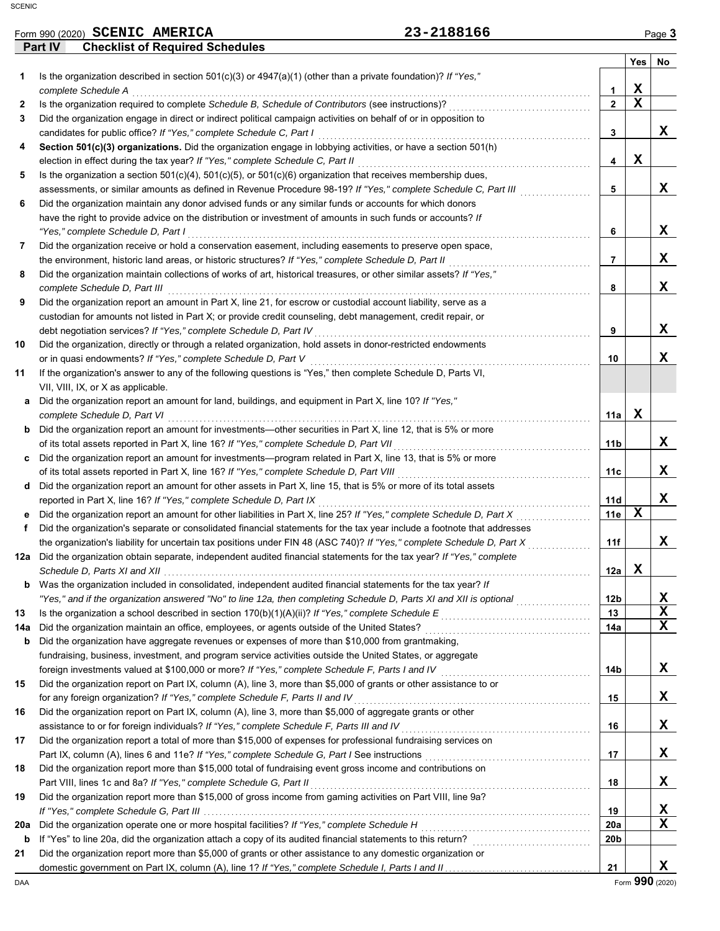|     |         | Form 990 (2020) SCENIC AMERICA                                                                                                                                                                              | 23-2188166 |                     |                                         | Page 3                     |
|-----|---------|-------------------------------------------------------------------------------------------------------------------------------------------------------------------------------------------------------------|------------|---------------------|-----------------------------------------|----------------------------|
|     | Part IV | <b>Checklist of Required Schedules</b>                                                                                                                                                                      |            |                     |                                         |                            |
|     |         |                                                                                                                                                                                                             |            |                     | Yes                                     | No                         |
| 1.  |         | Is the organization described in section $501(c)(3)$ or $4947(a)(1)$ (other than a private foundation)? If "Yes,"                                                                                           |            |                     |                                         |                            |
|     |         | complete Schedule A                                                                                                                                                                                         |            | 1<br>$\overline{2}$ | $\mathbf{x}$<br>$\overline{\mathbf{x}}$ |                            |
| 2   |         | Is the organization required to complete Schedule B, Schedule of Contributors (see instructions)?                                                                                                           |            |                     |                                         |                            |
| 3   |         | Did the organization engage in direct or indirect political campaign activities on behalf of or in opposition to                                                                                            |            | 3                   |                                         | x                          |
| 4   |         | candidates for public office? If "Yes," complete Schedule C, Part I<br>Section 501(c)(3) organizations. Did the organization engage in lobbying activities, or have a section 501(h)                        |            |                     |                                         |                            |
|     |         | election in effect during the tax year? If "Yes," complete Schedule C, Part II                                                                                                                              |            | 4                   | X                                       |                            |
| 5   |         | Is the organization a section $501(c)(4)$ , $501(c)(5)$ , or $501(c)(6)$ organization that receives membership dues,                                                                                        |            |                     |                                         |                            |
|     |         | assessments, or similar amounts as defined in Revenue Procedure 98-19? If "Yes," complete Schedule C, Part III                                                                                              |            | 5                   |                                         | X                          |
| 6   |         | Did the organization maintain any donor advised funds or any similar funds or accounts for which donors                                                                                                     |            |                     |                                         |                            |
|     |         | have the right to provide advice on the distribution or investment of amounts in such funds or accounts? If                                                                                                 |            |                     |                                         |                            |
|     |         | "Yes," complete Schedule D, Part I                                                                                                                                                                          |            | 6                   |                                         | X                          |
| 7   |         | Did the organization receive or hold a conservation easement, including easements to preserve open space,                                                                                                   |            |                     |                                         |                            |
|     |         | the environment, historic land areas, or historic structures? If "Yes," complete Schedule D, Part II                                                                                                        |            | $\overline{7}$      |                                         | X                          |
| 8   |         | Did the organization maintain collections of works of art, historical treasures, or other similar assets? If "Yes,"                                                                                         |            |                     |                                         |                            |
|     |         | complete Schedule D, Part III                                                                                                                                                                               |            | 8                   |                                         | X                          |
| 9   |         | Did the organization report an amount in Part X, line 21, for escrow or custodial account liability, serve as a                                                                                             |            |                     |                                         |                            |
|     |         | custodian for amounts not listed in Part X; or provide credit counseling, debt management, credit repair, or                                                                                                |            |                     |                                         |                            |
|     |         | debt negotiation services? If "Yes," complete Schedule D, Part IV                                                                                                                                           |            | 9                   |                                         | X                          |
| 10  |         | Did the organization, directly or through a related organization, hold assets in donor-restricted endowments                                                                                                |            |                     |                                         |                            |
|     |         | or in quasi endowments? If "Yes," complete Schedule D, Part V                                                                                                                                               |            | 10                  |                                         | x                          |
| 11  |         | If the organization's answer to any of the following questions is "Yes," then complete Schedule D, Parts VI,                                                                                                |            |                     |                                         |                            |
|     |         | VII, VIII, IX, or X as applicable.                                                                                                                                                                          |            |                     |                                         |                            |
| а   |         | Did the organization report an amount for land, buildings, and equipment in Part X, line 10? If "Yes,"<br>complete Schedule D, Part VI                                                                      |            | 11a                 | X                                       |                            |
| b   |         | Did the organization report an amount for investments—other securities in Part X, line 12, that is 5% or more                                                                                               |            |                     |                                         |                            |
|     |         | of its total assets reported in Part X, line 16? If "Yes," complete Schedule D, Part VII                                                                                                                    |            | 11 <sub>b</sub>     |                                         | X                          |
| c   |         | Did the organization report an amount for investments—program related in Part X, line 13, that is 5% or more                                                                                                |            |                     |                                         |                            |
|     |         | of its total assets reported in Part X, line 16? If "Yes," complete Schedule D, Part VIII                                                                                                                   |            | 11c                 |                                         | X                          |
| d   |         | Did the organization report an amount for other assets in Part X, line 15, that is 5% or more of its total assets                                                                                           |            |                     |                                         |                            |
|     |         | reported in Part X, line 16? If "Yes," complete Schedule D, Part IX                                                                                                                                         |            | 11d                 |                                         | x                          |
|     |         | Did the organization report an amount for other liabilities in Part X, line 25? If "Yes," complete Schedule D, Part X                                                                                       |            | 11e                 | $\mathbf x$                             |                            |
|     |         | Did the organization's separate or consolidated financial statements for the tax year include a footnote that addresses                                                                                     |            |                     |                                         |                            |
|     |         | the organization's liability for uncertain tax positions under FIN 48 (ASC 740)? If "Yes," complete Schedule D, Part X                                                                                      |            | 11f                 |                                         | X.                         |
| 12a |         | Did the organization obtain separate, independent audited financial statements for the tax year? If "Yes," complete                                                                                         |            |                     |                                         |                            |
|     |         | Schedule D, Parts XI and XII et al. (2008) 2014 10:00:00 and Schedule D, Parts XI and XII et al. (2014) 2015                                                                                                |            | 12a                 | x                                       |                            |
| b   |         | Was the organization included in consolidated, independent audited financial statements for the tax year? If                                                                                                |            |                     |                                         |                            |
|     |         | "Yes," and if the organization answered "No" to line 12a, then completing Schedule D, Parts XI and XII is optional                                                                                          |            | 12 <sub>b</sub>     |                                         | X                          |
| 13  |         |                                                                                                                                                                                                             |            | 13                  |                                         | $\mathbf x$<br>$\mathbf x$ |
| 14a |         | Did the organization maintain an office, employees, or agents outside of the United States?                                                                                                                 |            | 14a                 |                                         |                            |
| b   |         | Did the organization have aggregate revenues or expenses of more than \$10,000 from grantmaking,                                                                                                            |            |                     |                                         |                            |
|     |         | fundraising, business, investment, and program service activities outside the United States, or aggregate<br>foreign investments valued at \$100,000 or more? If "Yes," complete Schedule F, Parts I and IV |            | 14b                 |                                         | x                          |
| 15  |         | Did the organization report on Part IX, column (A), line 3, more than \$5,000 of grants or other assistance to or                                                                                           |            |                     |                                         |                            |
|     |         | for any foreign organization? If "Yes," complete Schedule F, Parts II and IV                                                                                                                                |            | 15                  |                                         | x                          |
| 16  |         | Did the organization report on Part IX, column (A), line 3, more than \$5,000 of aggregate grants or other                                                                                                  |            |                     |                                         |                            |
|     |         | assistance to or for foreign individuals? If "Yes," complete Schedule F, Parts III and IV                                                                                                                   |            | 16                  |                                         | X                          |
| 17  |         | Did the organization report a total of more than \$15,000 of expenses for professional fundraising services on                                                                                              |            |                     |                                         |                            |
|     |         |                                                                                                                                                                                                             |            | 17                  |                                         | X                          |
| 18  |         | Did the organization report more than \$15,000 total of fundraising event gross income and contributions on                                                                                                 |            |                     |                                         |                            |
|     |         | Part VIII, lines 1c and 8a? If "Yes," complete Schedule G, Part II                                                                                                                                          |            | 18                  |                                         | X                          |
| 19  |         | Did the organization report more than \$15,000 of gross income from gaming activities on Part VIII, line 9a?                                                                                                |            |                     |                                         |                            |
|     |         |                                                                                                                                                                                                             |            | 19                  |                                         | X                          |
| 20a |         | Did the organization operate one or more hospital facilities? If "Yes," complete Schedule H                                                                                                                 |            | 20a                 |                                         | $\mathbf x$                |
| b   |         | If "Yes" to line 20a, did the organization attach a copy of its audited financial statements to this return?                                                                                                |            | 20 <sub>b</sub>     |                                         |                            |
| 21  |         | Did the organization report more than \$5,000 of grants or other assistance to any domestic organization or                                                                                                 |            |                     |                                         |                            |
|     |         |                                                                                                                                                                                                             |            | 21                  |                                         | X                          |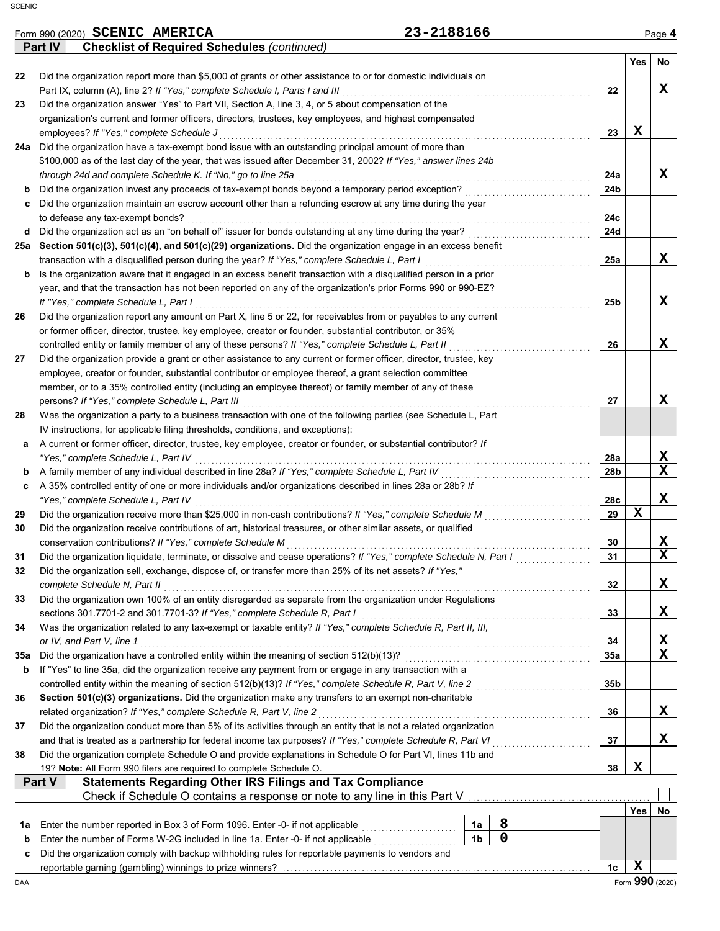|          | Part IV<br><b>Checklist of Required Schedules (continued)</b>                                                                                              |                 |             |                                     |
|----------|------------------------------------------------------------------------------------------------------------------------------------------------------------|-----------------|-------------|-------------------------------------|
|          |                                                                                                                                                            |                 | Yes         | No                                  |
| 22       | Did the organization report more than \$5,000 of grants or other assistance to or for domestic individuals on                                              |                 |             |                                     |
|          | Part IX, column (A), line 2? If "Yes," complete Schedule I, Parts I and III                                                                                | 22              |             | X                                   |
| 23       | Did the organization answer "Yes" to Part VII, Section A, line 3, 4, or 5 about compensation of the                                                        |                 |             |                                     |
|          | organization's current and former officers, directors, trustees, key employees, and highest compensated                                                    |                 | X           |                                     |
| 24a      | employees? If "Yes," complete Schedule J<br>Did the organization have a tax-exempt bond issue with an outstanding principal amount of more than            | 23              |             |                                     |
|          | \$100,000 as of the last day of the year, that was issued after December 31, 2002? If "Yes," answer lines 24b                                              |                 |             |                                     |
|          | through 24d and complete Schedule K. If "No," go to line 25a                                                                                               | 24a             |             | X                                   |
| b        | Did the organization invest any proceeds of tax-exempt bonds beyond a temporary period exception?                                                          | 24b             |             |                                     |
| c        | Did the organization maintain an escrow account other than a refunding escrow at any time during the year                                                  |                 |             |                                     |
|          | to defease any tax-exempt bonds?                                                                                                                           | 24c             |             |                                     |
| d        | Did the organization act as an "on behalf of" issuer for bonds outstanding at any time during the year?                                                    | 24d             |             |                                     |
| 25а      | Section 501(c)(3), 501(c)(4), and 501(c)(29) organizations. Did the organization engage in an excess benefit                                               |                 |             |                                     |
|          | transaction with a disqualified person during the year? If "Yes," complete Schedule L, Part I                                                              | 25a             |             | X                                   |
| b        | Is the organization aware that it engaged in an excess benefit transaction with a disqualified person in a prior                                           |                 |             |                                     |
|          | year, and that the transaction has not been reported on any of the organization's prior Forms 990 or 990-EZ?                                               |                 |             |                                     |
|          | If "Yes," complete Schedule L, Part I                                                                                                                      | 25 <sub>b</sub> |             | X                                   |
| 26       | Did the organization report any amount on Part X, line 5 or 22, for receivables from or payables to any current                                            |                 |             |                                     |
|          | or former officer, director, trustee, key employee, creator or founder, substantial contributor, or 35%                                                    |                 |             |                                     |
|          | controlled entity or family member of any of these persons? If "Yes," complete Schedule L, Part II                                                         | 26              |             | X                                   |
| 27       | Did the organization provide a grant or other assistance to any current or former officer, director, trustee, key                                          |                 |             |                                     |
|          | employee, creator or founder, substantial contributor or employee thereof, a grant selection committee                                                     |                 |             |                                     |
|          | member, or to a 35% controlled entity (including an employee thereof) or family member of any of these<br>persons? If "Yes," complete Schedule L, Part III | 27              |             | x                                   |
| 28       | Was the organization a party to a business transaction with one of the following parties (see Schedule L, Part                                             |                 |             |                                     |
|          | IV instructions, for applicable filing thresholds, conditions, and exceptions):                                                                            |                 |             |                                     |
| а        | A current or former officer, director, trustee, key employee, creator or founder, or substantial contributor? If                                           |                 |             |                                     |
|          | "Yes," complete Schedule L, Part IV                                                                                                                        | 28a             |             | X                                   |
| b        | A family member of any individual described in line 28a? If "Yes," complete Schedule L, Part IV                                                            | 28b             |             | $\mathbf x$                         |
| c        | A 35% controlled entity of one or more individuals and/or organizations described in lines 28a or 28b? If                                                  |                 |             |                                     |
|          | "Yes," complete Schedule L, Part IV                                                                                                                        | 28c             |             | X                                   |
| 29       | Did the organization receive more than \$25,000 in non-cash contributions? If "Yes," complete Schedule M                                                   | 29              | $\mathbf x$ |                                     |
| 30       | Did the organization receive contributions of art, historical treasures, or other similar assets, or qualified                                             |                 |             |                                     |
|          | conservation contributions? If "Yes," complete Schedule M                                                                                                  | 30              |             | X                                   |
| 31       | Did the organization liquidate, terminate, or dissolve and cease operations? If "Yes," complete Schedule N, Part I                                         | 31              |             | $\mathbf x$                         |
|          | Did the organization sell, exchange, dispose of, or transfer more than 25% of its net assets? If "Yes,"                                                    |                 |             |                                     |
|          | complete Schedule N, Part II                                                                                                                               | 32              |             | X                                   |
| 33       | Did the organization own 100% of an entity disregarded as separate from the organization under Regulations                                                 |                 |             |                                     |
|          | sections 301.7701-2 and 301.7701-3? If "Yes," complete Schedule R, Part I                                                                                  | 33              |             | X                                   |
| 34       | Was the organization related to any tax-exempt or taxable entity? If "Yes," complete Schedule R, Part II, III,                                             |                 |             |                                     |
|          | or IV, and Part V, line 1<br>Did the organization have a controlled entity within the meaning of section 512(b)(13)?                                       | 34<br>35a       |             | <u>x</u><br>$\overline{\mathbf{x}}$ |
| 35a<br>b | If "Yes" to line 35a, did the organization receive any payment from or engage in any transaction with a                                                    |                 |             |                                     |
|          | controlled entity within the meaning of section 512(b)(13)? If "Yes," complete Schedule R, Part V, line 2                                                  | 35b             |             |                                     |
| 36       | Section 501(c)(3) organizations. Did the organization make any transfers to an exempt non-charitable                                                       |                 |             |                                     |
|          | related organization? If "Yes," complete Schedule R, Part V, line 2                                                                                        | 36              |             | X                                   |
| 37       | Did the organization conduct more than 5% of its activities through an entity that is not a related organization                                           |                 |             |                                     |
|          | and that is treated as a partnership for federal income tax purposes? If "Yes," complete Schedule R, Part VI                                               | 37              |             | X                                   |
| 38       | Did the organization complete Schedule O and provide explanations in Schedule O for Part VI, lines 11b and                                                 |                 |             |                                     |
|          | 19? Note: All Form 990 filers are required to complete Schedule O.                                                                                         | 38              | X           |                                     |
|          | <b>Statements Regarding Other IRS Filings and Tax Compliance</b><br>Part V                                                                                 |                 |             |                                     |
|          | Check if Schedule O contains a response or note to any line in this Part V.                                                                                |                 |             |                                     |
|          |                                                                                                                                                            |                 | Yes         | No                                  |
| 1a       | 8<br>Enter the number reported in Box 3 of Form 1096. Enter -0- if not applicable<br>1a                                                                    |                 |             |                                     |
| b        | $\mathbf 0$<br>1 <sub>b</sub><br>Enter the number of Forms W-2G included in line 1a. Enter -0- if not applicable                                           |                 |             |                                     |
| c        | Did the organization comply with backup withholding rules for reportable payments to vendors and                                                           |                 |             |                                     |
|          |                                                                                                                                                            | 1c              | X           |                                     |
| DAA      |                                                                                                                                                            |                 |             | Form 990 (2020)                     |

**SCENIC AMERICA 23-2188166**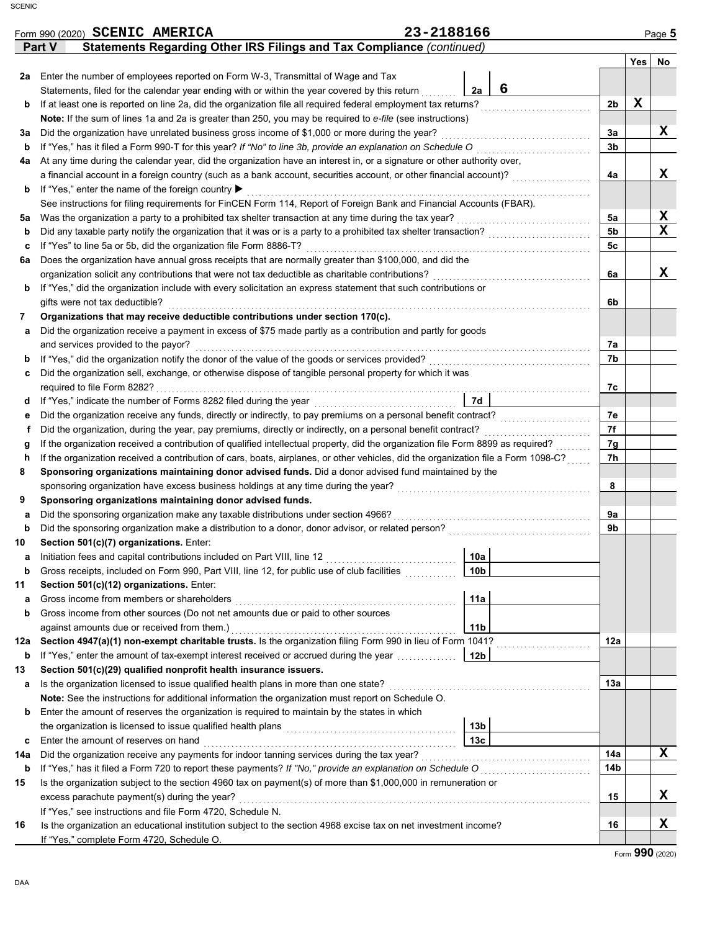|  | aa |
|--|----|

|             | Form 990 (2020) SCENIC AMERICA                                                                                                                                              | 23-2188166 |                 |                                       |                      |                           | Page 5 |
|-------------|-----------------------------------------------------------------------------------------------------------------------------------------------------------------------------|------------|-----------------|---------------------------------------|----------------------|---------------------------|--------|
|             | Statements Regarding Other IRS Filings and Tax Compliance (continued)<br>Part V                                                                                             |            |                 |                                       |                      |                           |        |
|             |                                                                                                                                                                             |            |                 |                                       |                      | Yes                       | No     |
| 2a          | Enter the number of employees reported on Form W-3, Transmittal of Wage and Tax                                                                                             |            |                 |                                       |                      |                           |        |
|             | Statements, filed for the calendar year ending with or within the year covered by this return                                                                               |            | 2a              | 6                                     |                      |                           |        |
| b           | If at least one is reported on line 2a, did the organization file all required federal employment tax returns?                                                              |            |                 |                                       | 2b                   | X                         |        |
|             | Note: If the sum of lines 1a and 2a is greater than 250, you may be required to e-file (see instructions)                                                                   |            |                 |                                       |                      |                           |        |
| За          | Did the organization have unrelated business gross income of \$1,000 or more during the year?                                                                               |            |                 |                                       | За                   |                           | X      |
| b           | If "Yes," has it filed a Form 990-T for this year? If "No" to line 3b, provide an explanation on Schedule O                                                                 |            |                 |                                       | 3 <sub>b</sub>       |                           |        |
| 4a          | At any time during the calendar year, did the organization have an interest in, or a signature or other authority over,                                                     |            |                 |                                       |                      |                           |        |
|             | a financial account in a foreign country (such as a bank account, securities account, or other financial account)?                                                          |            |                 |                                       | 4a                   |                           | X      |
| b           | If "Yes," enter the name of the foreign country ▶                                                                                                                           |            |                 |                                       |                      |                           |        |
|             | See instructions for filing requirements for FinCEN Form 114, Report of Foreign Bank and Financial Accounts (FBAR).                                                         |            |                 |                                       |                      |                           | X      |
| 5a          | Was the organization a party to a prohibited tax shelter transaction at any time during the tax year?                                                                       |            |                 |                                       | 5а<br>5 <sub>b</sub> |                           | X      |
| b           | Did any taxable party notify the organization that it was or is a party to a prohibited tax shelter transaction?                                                            |            |                 |                                       | 5 <sub>c</sub>       |                           |        |
| с<br>6a     | If "Yes" to line 5a or 5b, did the organization file Form 8886-T?<br>Does the organization have annual gross receipts that are normally greater than \$100,000, and did the |            |                 |                                       |                      |                           |        |
|             | organization solicit any contributions that were not tax deductible as charitable contributions?                                                                            |            |                 |                                       | 6a                   |                           | X      |
| b           | If "Yes," did the organization include with every solicitation an express statement that such contributions or                                                              |            |                 |                                       |                      |                           |        |
|             | gifts were not tax deductible?                                                                                                                                              |            |                 |                                       | 6b                   |                           |        |
| 7           | Organizations that may receive deductible contributions under section 170(c).                                                                                               |            |                 |                                       |                      |                           |        |
| а           | Did the organization receive a payment in excess of \$75 made partly as a contribution and partly for goods                                                                 |            |                 |                                       |                      |                           |        |
|             | and services provided to the payor?                                                                                                                                         |            |                 |                                       | 7а                   |                           |        |
| b           |                                                                                                                                                                             |            |                 |                                       | 7b                   |                           |        |
| с           | Did the organization sell, exchange, or otherwise dispose of tangible personal property for which it was                                                                    |            |                 |                                       |                      |                           |        |
|             | required to file Form 8282?                                                                                                                                                 |            |                 |                                       | 7с                   |                           |        |
| d           | If "Yes," indicate the number of Forms 8282 filed during the year                                                                                                           |            | 7d              |                                       |                      |                           |        |
| е           | Did the organization receive any funds, directly or indirectly, to pay premiums on a personal benefit contract?                                                             |            |                 |                                       | 7e                   |                           |        |
| f           | Did the organization, during the year, pay premiums, directly or indirectly, on a personal benefit contract?                                                                |            |                 |                                       | 7f                   |                           |        |
| g           | If the organization received a contribution of qualified intellectual property, did the organization file Form 8899 as required?                                            |            |                 |                                       | 7g                   |                           |        |
| h           | If the organization received a contribution of cars, boats, airplanes, or other vehicles, did the organization file a Form 1098-C?                                          |            |                 |                                       | 7h                   |                           |        |
| 8           | Sponsoring organizations maintaining donor advised funds. Did a donor advised fund maintained by the                                                                        |            |                 |                                       |                      |                           |        |
|             | sponsoring organization have excess business holdings at any time during the year?                                                                                          |            |                 |                                       | 8                    |                           |        |
| 9           | Sponsoring organizations maintaining donor advised funds.                                                                                                                   |            |                 |                                       |                      |                           |        |
| а           | Did the sponsoring organization make any taxable distributions under section 4966?                                                                                          |            |                 |                                       | 9а                   |                           |        |
| $\mathbf b$ | Did the sponsoring organization make a distribution to a donor, donor advisor, or related person?                                                                           |            |                 |                                       | 9b                   |                           |        |
| 10          | Section 501(c)(7) organizations. Enter:                                                                                                                                     |            |                 |                                       |                      |                           |        |
| а           | Initiation fees and capital contributions included on Part VIII, line 12                                                                                                    |            | 10a             |                                       |                      |                           |        |
| b           | Gross receipts, included on Form 990, Part VIII, line 12, for public use of club facilities                                                                                 |            | 10 <sub>b</sub> |                                       |                      |                           |        |
| 11          | Section 501(c)(12) organizations. Enter:                                                                                                                                    |            |                 |                                       |                      |                           |        |
| а           | Gross income from members or shareholders                                                                                                                                   |            | 11a             |                                       |                      |                           |        |
| b           | Gross income from other sources (Do not net amounts due or paid to other sources                                                                                            |            |                 |                                       |                      |                           |        |
|             | against amounts due or received from them.)                                                                                                                                 |            | 11 <sub>b</sub> |                                       |                      |                           |        |
| 12a         | Section 4947(a)(1) non-exempt charitable trusts. Is the organization filing Form 990 in lieu of Form 1041?                                                                  |            |                 |                                       | 12a                  |                           |        |
| b           | If "Yes," enter the amount of tax-exempt interest received or accrued during the year                                                                                       |            | 12b             |                                       |                      |                           |        |
| 13          | Section 501(c)(29) qualified nonprofit health insurance issuers.                                                                                                            |            |                 |                                       |                      |                           |        |
| а           | Is the organization licensed to issue qualified health plans in more than one state?                                                                                        |            |                 |                                       | 13a                  |                           |        |
|             | Note: See the instructions for additional information the organization must report on Schedule O.                                                                           |            |                 |                                       |                      |                           |        |
| b           | Enter the amount of reserves the organization is required to maintain by the states in which                                                                                |            | 13b             |                                       |                      |                           |        |
| c           | the organization is licensed to issue qualified health plans<br>Enter the amount of reserves on hand                                                                        |            | 13 <sub>c</sub> |                                       |                      |                           |        |
| 14a         | Did the organization receive any payments for indoor tanning services during the tax year?                                                                                  |            |                 |                                       | 14a                  |                           | x      |
| b           | If "Yes," has it filed a Form 720 to report these payments? If "No," provide an explanation on Schedule O                                                                   |            |                 | <u> 1986 - Johann Stoff, martin f</u> | 14 <sub>b</sub>      |                           |        |
| 15          | Is the organization subject to the section 4960 tax on payment(s) of more than \$1,000,000 in remuneration or                                                               |            |                 |                                       |                      |                           |        |
|             | excess parachute payment(s) during the year?                                                                                                                                |            |                 |                                       | 15                   |                           | x      |
|             | If "Yes," see instructions and file Form 4720, Schedule N.                                                                                                                  |            |                 |                                       |                      |                           |        |
| 16          | Is the organization an educational institution subject to the section 4968 excise tax on net investment income?                                                             |            |                 |                                       | 16                   |                           | X      |
|             | If "Yes," complete Form 4720, Schedule O.                                                                                                                                   |            |                 |                                       |                      |                           |        |
|             |                                                                                                                                                                             |            |                 |                                       |                      | $E_{\text{c}}$ 990 (2020) |        |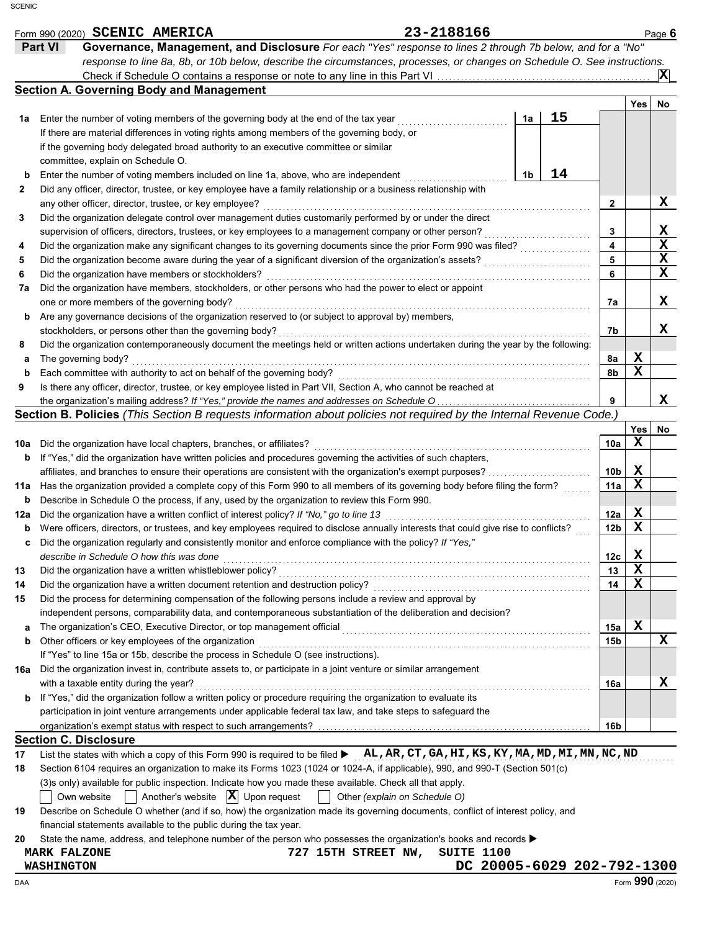|     | Form 990 (2020) SCENIC AMERICA                                                                                                            | 23-2188166                        |                            |                 |             | Page 6         |
|-----|-------------------------------------------------------------------------------------------------------------------------------------------|-----------------------------------|----------------------------|-----------------|-------------|----------------|
|     | Part VI<br>Governance, Management, and Disclosure For each "Yes" response to lines 2 through 7b below, and for a "No"                     |                                   |                            |                 |             |                |
|     | response to line 8a, 8b, or 10b below, describe the circumstances, processes, or changes on Schedule O. See instructions.                 |                                   |                            |                 |             |                |
|     |                                                                                                                                           |                                   |                            |                 |             | $ \mathbf{X} $ |
|     | <b>Section A. Governing Body and Management</b>                                                                                           |                                   |                            |                 |             |                |
|     |                                                                                                                                           |                                   |                            |                 | Yes         | No             |
| 1a  | Enter the number of voting members of the governing body at the end of the tax year                                                       |                                   | 15<br>1a                   |                 |             |                |
|     | If there are material differences in voting rights among members of the governing body, or                                                |                                   |                            |                 |             |                |
|     | if the governing body delegated broad authority to an executive committee or similar                                                      |                                   |                            |                 |             |                |
|     | committee, explain on Schedule O.                                                                                                         |                                   |                            |                 |             |                |
| b   | Enter the number of voting members included on line 1a, above, who are independent                                                        |                                   | 14<br>1b                   |                 |             |                |
| 2   | Did any officer, director, trustee, or key employee have a family relationship or a business relationship with                            |                                   |                            |                 |             |                |
|     | any other officer, director, trustee, or key employee?                                                                                    |                                   |                            | $\mathbf{2}$    |             | x              |
| 3   | Did the organization delegate control over management duties customarily performed by or under the direct                                 |                                   |                            |                 |             |                |
|     | supervision of officers, directors, trustees, or key employees to a management company or other person?                                   |                                   |                            | 3               |             | X              |
| 4   | Did the organization make any significant changes to its governing documents since the prior Form 990 was filed?                          |                                   |                            | 4               |             | X              |
| 5   | Did the organization become aware during the year of a significant diversion of the organization's assets?                                |                                   |                            | 5               |             | X              |
| 6   | Did the organization have members or stockholders?                                                                                        |                                   |                            | 6               |             | X              |
| 7a  | Did the organization have members, stockholders, or other persons who had the power to elect or appoint                                   |                                   |                            |                 |             |                |
|     | one or more members of the governing body?                                                                                                |                                   |                            | 7а              |             | x              |
| b   | Are any governance decisions of the organization reserved to (or subject to approval by) members,                                         |                                   |                            |                 |             |                |
|     | stockholders, or persons other than the governing body?                                                                                   |                                   |                            | 7b              |             | x              |
| 8   | Did the organization contemporaneously document the meetings held or written actions undertaken during the year by the following:         |                                   |                            |                 |             |                |
| а   | The governing body?                                                                                                                       |                                   |                            | 8а              | X           |                |
| b   | Each committee with authority to act on behalf of the governing body?                                                                     |                                   |                            | 8b              | x           |                |
| 9   | Is there any officer, director, trustee, or key employee listed in Part VII, Section A, who cannot be reached at                          |                                   |                            |                 |             |                |
|     |                                                                                                                                           |                                   |                            | 9               |             | x              |
|     | Section B. Policies (This Section B requests information about policies not required by the Internal Revenue Code.)                       |                                   |                            |                 |             |                |
|     |                                                                                                                                           |                                   |                            |                 | Yes         | No             |
|     |                                                                                                                                           |                                   |                            | 10a             | x           |                |
| 10a | Did the organization have local chapters, branches, or affiliates?                                                                        |                                   |                            |                 |             |                |
| b   | If "Yes," did the organization have written policies and procedures governing the activities of such chapters,                            |                                   |                            |                 | X           |                |
|     | affiliates, and branches to ensure their operations are consistent with the organization's exempt purposes?                               |                                   |                            | 10 <sub>b</sub> | X           |                |
| 11a | Has the organization provided a complete copy of this Form 990 to all members of its governing body before filing the form?               |                                   |                            | 11a             |             |                |
| b   | Describe in Schedule O the process, if any, used by the organization to review this Form 990.                                             |                                   |                            |                 |             |                |
| 12a | Did the organization have a written conflict of interest policy? If "No," go to line 13                                                   |                                   |                            | 12a             | X           |                |
| b   | Were officers, directors, or trustees, and key employees required to disclose annually interests that could give rise to conflicts?       |                                   |                            | 12 <sub>b</sub> | $\mathbf x$ |                |
| c   | Did the organization regularly and consistently monitor and enforce compliance with the policy? If "Yes,"                                 |                                   |                            |                 |             |                |
|     | describe in Schedule O how this was done                                                                                                  |                                   |                            | 12с             | x           |                |
| 13  | Did the organization have a written whistleblower policy?                                                                                 |                                   |                            | 13              | x           |                |
| 14  |                                                                                                                                           |                                   |                            | 14              | X           |                |
| 15  | Did the process for determining compensation of the following persons include a review and approval by                                    |                                   |                            |                 |             |                |
|     | independent persons, comparability data, and contemporaneous substantiation of the deliberation and decision?                             |                                   |                            |                 |             |                |
| а   |                                                                                                                                           |                                   |                            | 15a             | X           |                |
| b   | Other officers or key employees of the organization                                                                                       |                                   |                            | 15 <sub>b</sub> |             | x              |
|     | If "Yes" to line 15a or 15b, describe the process in Schedule O (see instructions).                                                       |                                   |                            |                 |             |                |
| 16a | Did the organization invest in, contribute assets to, or participate in a joint venture or similar arrangement                            |                                   |                            |                 |             |                |
|     | with a taxable entity during the year?                                                                                                    |                                   |                            | 16a             |             | x              |
| b   | If "Yes," did the organization follow a written policy or procedure requiring the organization to evaluate its                            |                                   |                            |                 |             |                |
|     | participation in joint venture arrangements under applicable federal tax law, and take steps to safeguard the                             |                                   |                            |                 |             |                |
|     |                                                                                                                                           |                                   |                            | 16b             |             |                |
|     | <b>Section C. Disclosure</b>                                                                                                              |                                   |                            |                 |             |                |
| 17  | List the states with which a copy of this Form 990 is required to be filed <b>&gt;</b> AL, AR, CT, GA, HI, KS, KY, MA, MD, MI, MN, NC, ND |                                   |                            |                 |             |                |
| 18  | Section 6104 requires an organization to make its Forms 1023 (1024 or 1024-A, if applicable), 990, and 990-T (Section 501(c)              |                                   |                            |                 |             |                |
|     | (3)s only) available for public inspection. Indicate how you made these available. Check all that apply.                                  |                                   |                            |                 |             |                |
|     | Another's website $ \mathbf{X} $ Upon request<br>Own website                                                                              | Other (explain on Schedule O)     |                            |                 |             |                |
| 19  | Describe on Schedule O whether (and if so, how) the organization made its governing documents, conflict of interest policy, and           |                                   |                            |                 |             |                |
|     | financial statements available to the public during the tax year.                                                                         |                                   |                            |                 |             |                |
| 20  | State the name, address, and telephone number of the person who possesses the organization's books and records ▶                          |                                   |                            |                 |             |                |
|     | <b>MARK FALZONE</b>                                                                                                                       | SUITE 1100<br>727 15TH STREET NW, |                            |                 |             |                |
|     | <b>WASHINGTON</b>                                                                                                                         |                                   | DC 20005-6029 202-792-1300 |                 |             |                |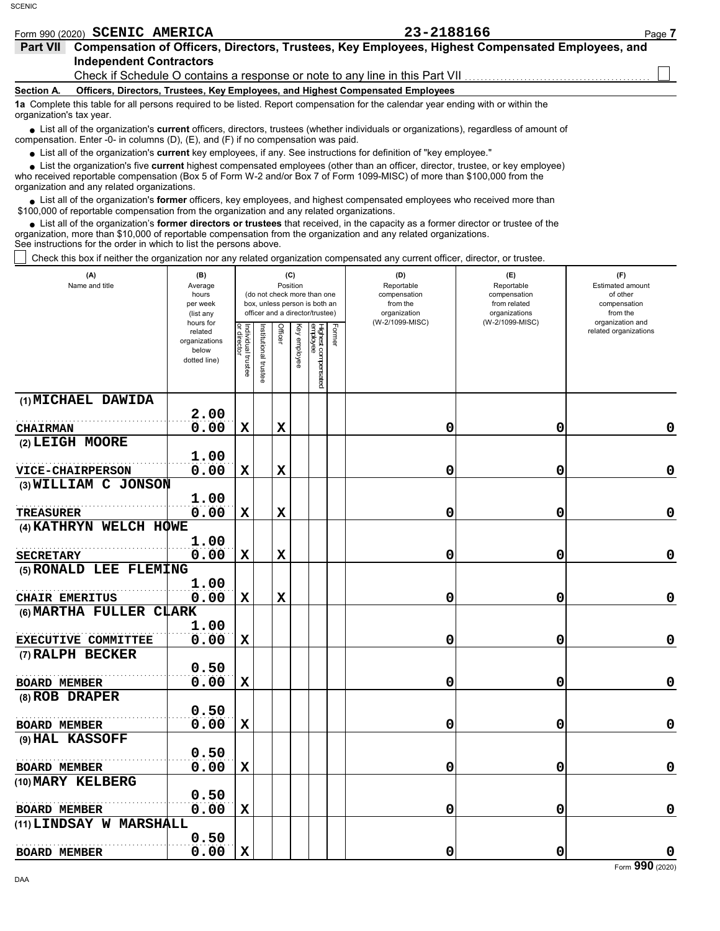|                                                                                                                                                               | Form 990 (2020) SCENIC AMERICA                                                  | 23-2188166                                                                                       | Page 7 |  |  |  |  |  |  |
|---------------------------------------------------------------------------------------------------------------------------------------------------------------|---------------------------------------------------------------------------------|--------------------------------------------------------------------------------------------------|--------|--|--|--|--|--|--|
| <b>Part VII</b>                                                                                                                                               |                                                                                 | Compensation of Officers, Directors, Trustees, Key Employees, Highest Compensated Employees, and |        |  |  |  |  |  |  |
|                                                                                                                                                               | <b>Independent Contractors</b>                                                  |                                                                                                  |        |  |  |  |  |  |  |
|                                                                                                                                                               |                                                                                 | Check if Schedule O contains a response or note to any line in this Part VII                     |        |  |  |  |  |  |  |
| <b>Section A.</b>                                                                                                                                             | Officers, Directors, Trustees, Key Employees, and Highest Compensated Employees |                                                                                                  |        |  |  |  |  |  |  |
| 1a Complete this table for all persons required to be listed. Report compensation for the calendar year ending with or within the<br>organization's tax year. |                                                                                 |                                                                                                  |        |  |  |  |  |  |  |

List all of the organization's **current** officers, directors, trustees (whether individuals or organizations), regardless of amount of ● List all of the organization's **current** officers, directors, trustees (whether ind compensation. Enter -0- in columns (D), (E), and (F) if no compensation was paid.

List all of the organization's **current** key employees, if any. See instructions for definition of "key employee."

who received reportable compensation (Box 5 of Form W-2 and/or Box 7 of Form 1099-MISC) of more than \$100,000 from the organization and any related organizations. ■ List all of the organization's **current** key employees, if any. See instructions for definition of "key employee."<br>■ List the organization's five **current** highest compensated employees (other than an officer, director,

List all of the organization's **former** officers, key employees, and highest compensated employees who received more than • List all of the organization's **former** officers, key employees, and highest compensate \$100,000 of reportable compensation from the organization and any related organizations.

• List all of the organization's **former directors or trustees** that received, in the capacity as a former director or trustee of the principle companization and any related organizations organization, more than \$10,000 of reportable compensation from the organization and any related organizations. See instructions for the order in which to list the persons above.

Check this box if neither the organization nor any related organization compensated any current officer, director, or trustee.

| (A)<br>Name and title      | (B)<br>Average<br>hours<br>per week<br>(list any               |                                   |                      | (C)<br>Position |              | (do not check more than one<br>box, unless person is both an<br>officer and a director/trustee) |        | (D)<br>Reportable<br>compensation<br>from the<br>organization | (E)<br>Reportable<br>compensation<br>from related<br>organizations | (F)<br>Estimated amount<br>of other<br>compensation<br>from the |
|----------------------------|----------------------------------------------------------------|-----------------------------------|----------------------|-----------------|--------------|-------------------------------------------------------------------------------------------------|--------|---------------------------------------------------------------|--------------------------------------------------------------------|-----------------------------------------------------------------|
|                            | hours for<br>related<br>organizations<br>below<br>dotted line) | Individual trustee<br>or director | nstitutional trustee | Officer         | Key employee | Highest compensated<br>employee                                                                 | Former | (W-2/1099-MISC)                                               | (W-2/1099-MISC)                                                    | organization and<br>related organizations                       |
| (1) MICHAEL DAWIDA         |                                                                |                                   |                      |                 |              |                                                                                                 |        |                                                               |                                                                    |                                                                 |
|                            | 2.00                                                           |                                   |                      |                 |              |                                                                                                 |        |                                                               |                                                                    |                                                                 |
| <b>CHAIRMAN</b>            | 0.00                                                           | $\mathbf x$                       |                      | $\mathbf x$     |              |                                                                                                 |        | 0                                                             | 0                                                                  | 0                                                               |
| (2) LEIGH MOORE            |                                                                |                                   |                      |                 |              |                                                                                                 |        |                                                               |                                                                    |                                                                 |
|                            | 1.00                                                           |                                   |                      |                 |              |                                                                                                 |        |                                                               |                                                                    |                                                                 |
| <b>VICE-CHAIRPERSON</b>    | 0.00                                                           | $\mathbf x$                       |                      | $\mathbf x$     |              |                                                                                                 |        | 0                                                             | 0                                                                  | 0                                                               |
| (3) WILLIAM C JONSON       |                                                                |                                   |                      |                 |              |                                                                                                 |        |                                                               |                                                                    |                                                                 |
| <b>TREASURER</b>           | 1.00<br>0.00                                                   | $\mathbf x$                       |                      | $\mathbf x$     |              |                                                                                                 |        | 0                                                             | 0                                                                  | 0                                                               |
| (4) KATHRYN WELCH HOWE     |                                                                |                                   |                      |                 |              |                                                                                                 |        |                                                               |                                                                    |                                                                 |
|                            | 1.00                                                           |                                   |                      |                 |              |                                                                                                 |        |                                                               |                                                                    |                                                                 |
| <b>SECRETARY</b>           | 0.00                                                           | $\mathbf x$                       |                      | $\mathbf x$     |              |                                                                                                 |        | 0                                                             | 0                                                                  | 0                                                               |
| (5) RONALD LEE FLEMING     |                                                                |                                   |                      |                 |              |                                                                                                 |        |                                                               |                                                                    |                                                                 |
|                            | 1.00                                                           |                                   |                      |                 |              |                                                                                                 |        |                                                               |                                                                    |                                                                 |
| CHAIR EMERITUS             | 0.00                                                           | $\mathbf x$                       |                      | $\mathbf x$     |              |                                                                                                 |        | 0                                                             | 0                                                                  | $\pmb{0}$                                                       |
| (6) MARTHA FULLER CLARK    |                                                                |                                   |                      |                 |              |                                                                                                 |        |                                                               |                                                                    |                                                                 |
|                            | 1.00                                                           |                                   |                      |                 |              |                                                                                                 |        |                                                               |                                                                    |                                                                 |
| <b>EXECUTIVE COMMITTEE</b> | 0.00                                                           | $\mathbf x$                       |                      |                 |              |                                                                                                 |        | 0                                                             | 0                                                                  | 0                                                               |
| (7) RALPH BECKER           |                                                                |                                   |                      |                 |              |                                                                                                 |        |                                                               |                                                                    |                                                                 |
|                            | 0.50                                                           |                                   |                      |                 |              |                                                                                                 |        |                                                               |                                                                    |                                                                 |
| <b>BOARD MEMBER</b>        | 0.00                                                           | $\mathbf x$                       |                      |                 |              |                                                                                                 |        | 0                                                             | 0                                                                  | 0                                                               |
| $(8)$ ROB DRAPER           |                                                                |                                   |                      |                 |              |                                                                                                 |        |                                                               |                                                                    |                                                                 |
|                            | 0.50                                                           |                                   |                      |                 |              |                                                                                                 |        |                                                               |                                                                    |                                                                 |
| <b>BOARD MEMBER</b>        | 0.00                                                           | $\mathbf x$                       |                      |                 |              |                                                                                                 |        | 0                                                             | 0                                                                  | $\mathbf 0$                                                     |
| (9) HAL KASSOFF            |                                                                |                                   |                      |                 |              |                                                                                                 |        |                                                               |                                                                    |                                                                 |
|                            | 0.50                                                           |                                   |                      |                 |              |                                                                                                 |        |                                                               |                                                                    |                                                                 |
| <b>BOARD MEMBER</b>        | 0.00                                                           | $\mathbf x$                       |                      |                 |              |                                                                                                 |        | 0                                                             | 0                                                                  | 0                                                               |
| (10) MARY KELBERG          |                                                                |                                   |                      |                 |              |                                                                                                 |        |                                                               |                                                                    |                                                                 |
|                            | 0.50                                                           |                                   |                      |                 |              |                                                                                                 |        |                                                               |                                                                    |                                                                 |
| <b>BOARD MEMBER</b>        | 0.00                                                           | $\mathbf x$                       |                      |                 |              |                                                                                                 |        | 0                                                             | 0                                                                  | $\mathbf 0$                                                     |
| (11) LINDSAY W MARSHALL    |                                                                |                                   |                      |                 |              |                                                                                                 |        |                                                               |                                                                    |                                                                 |
|                            | 0.50                                                           |                                   |                      |                 |              |                                                                                                 |        |                                                               |                                                                    |                                                                 |
| <b>BOARD MEMBER</b>        | 0.00                                                           | $\mathbf x$                       |                      |                 |              |                                                                                                 |        | 0                                                             | 0                                                                  | $\mathbf 0$                                                     |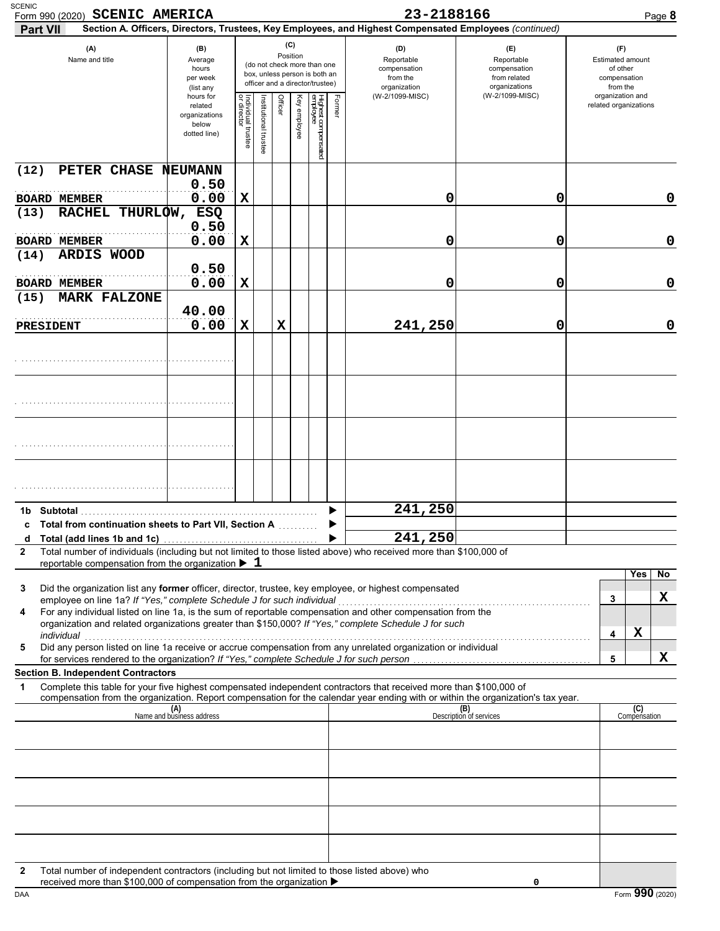| <b>SCENIC</b><br>Form 990 (2020) SCENIC AMERICA<br><b>Part VII</b>                                                                                                                                                                                          |                                                                |                                   |                       |             |                 |                                                                                                 |        | 23-2188166<br>Section A. Officers, Directors, Trustees, Key Employees, and Highest Compensated Employees (continued) |                                                                    | Page 8                                                                     |
|-------------------------------------------------------------------------------------------------------------------------------------------------------------------------------------------------------------------------------------------------------------|----------------------------------------------------------------|-----------------------------------|-----------------------|-------------|-----------------|-------------------------------------------------------------------------------------------------|--------|----------------------------------------------------------------------------------------------------------------------|--------------------------------------------------------------------|----------------------------------------------------------------------------|
| (A)<br>Name and title                                                                                                                                                                                                                                       | (B)<br>Average<br>hours<br>per week<br>(list any               |                                   |                       |             | (C)<br>Position | (do not check more than one<br>box, unless person is both an<br>officer and a director/trustee) |        | (D)<br>Reportable<br>compensation<br>from the<br>organization                                                        | (E)<br>Reportable<br>compensation<br>from related<br>organizations | $(\mathsf{F})$<br>Estimated amount<br>of other<br>compensation<br>from the |
|                                                                                                                                                                                                                                                             | hours for<br>related<br>organizations<br>below<br>dotted line) | Individual trustee<br>or director | Institutional trustee | Officer     | Key employee    | Highest compensated<br>employee                                                                 | Former | (W-2/1099-MISC)                                                                                                      | (W-2/1099-MISC)                                                    | organization and<br>related organizations                                  |
| PETER CHASE NEUMANN<br>(12)                                                                                                                                                                                                                                 |                                                                |                                   |                       |             |                 |                                                                                                 |        |                                                                                                                      |                                                                    |                                                                            |
| <b>BOARD MEMBER</b>                                                                                                                                                                                                                                         | 0.50<br>0.00                                                   | X                                 |                       |             |                 |                                                                                                 |        | 0                                                                                                                    | 0                                                                  | $\mathbf 0$                                                                |
| RACHEL THURLOW,<br>(13)                                                                                                                                                                                                                                     | ESQ<br>0.50                                                    |                                   |                       |             |                 |                                                                                                 |        |                                                                                                                      |                                                                    |                                                                            |
| <b>BOARD MEMBER</b>                                                                                                                                                                                                                                         | 0.00                                                           | X                                 |                       |             |                 |                                                                                                 |        | 0                                                                                                                    | 0                                                                  | $\mathbf 0$                                                                |
| ARDIS WOOD<br>(14)                                                                                                                                                                                                                                          | 0.50                                                           |                                   |                       |             |                 |                                                                                                 |        |                                                                                                                      |                                                                    |                                                                            |
| <b>BOARD MEMBER</b>                                                                                                                                                                                                                                         | 0.00                                                           | X                                 |                       |             |                 |                                                                                                 |        | 0                                                                                                                    | 0                                                                  | $\mathbf 0$                                                                |
| <b>MARK FALZONE</b><br>(15)                                                                                                                                                                                                                                 |                                                                |                                   |                       |             |                 |                                                                                                 |        |                                                                                                                      |                                                                    |                                                                            |
| <b>PRESIDENT</b>                                                                                                                                                                                                                                            | 40.00<br>0.00                                                  | X                                 |                       | $\mathbf x$ |                 |                                                                                                 |        | 241,250                                                                                                              | 0                                                                  | $\mathbf 0$                                                                |
|                                                                                                                                                                                                                                                             |                                                                |                                   |                       |             |                 |                                                                                                 |        |                                                                                                                      |                                                                    |                                                                            |
|                                                                                                                                                                                                                                                             |                                                                |                                   |                       |             |                 |                                                                                                 |        |                                                                                                                      |                                                                    |                                                                            |
|                                                                                                                                                                                                                                                             |                                                                |                                   |                       |             |                 |                                                                                                 |        |                                                                                                                      |                                                                    |                                                                            |
|                                                                                                                                                                                                                                                             |                                                                |                                   |                       |             |                 |                                                                                                 |        |                                                                                                                      |                                                                    |                                                                            |
|                                                                                                                                                                                                                                                             |                                                                |                                   |                       |             |                 |                                                                                                 |        | 241,250                                                                                                              |                                                                    |                                                                            |
| c Total from continuation sheets to Part VII, Section A                                                                                                                                                                                                     |                                                                |                                   |                       |             |                 |                                                                                                 |        |                                                                                                                      |                                                                    |                                                                            |
| Total (add lines 1b and 1c)<br>d<br>Total number of individuals (including but not limited to those listed above) who received more than \$100,000 of<br>2                                                                                                  |                                                                |                                   |                       |             |                 |                                                                                                 |        | 241,250                                                                                                              |                                                                    |                                                                            |
| reportable compensation from the organization $\blacktriangleright$ 1                                                                                                                                                                                       |                                                                |                                   |                       |             |                 |                                                                                                 |        |                                                                                                                      |                                                                    | Yes<br>No                                                                  |
| Did the organization list any former officer, director, trustee, key employee, or highest compensated<br>3<br>employee on line 1a? If "Yes," complete Schedule J for such individual                                                                        |                                                                |                                   |                       |             |                 |                                                                                                 |        |                                                                                                                      |                                                                    | x<br>3                                                                     |
| For any individual listed on line 1a, is the sum of reportable compensation and other compensation from the<br>4<br>organization and related organizations greater than \$150,000? If "Yes," complete Schedule J for such<br>individual                     |                                                                |                                   |                       |             |                 |                                                                                                 |        |                                                                                                                      |                                                                    | X<br>4                                                                     |
| Did any person listed on line 1a receive or accrue compensation from any unrelated organization or individual<br>5                                                                                                                                          |                                                                |                                   |                       |             |                 |                                                                                                 |        |                                                                                                                      |                                                                    | X<br>5                                                                     |
| <b>Section B. Independent Contractors</b>                                                                                                                                                                                                                   |                                                                |                                   |                       |             |                 |                                                                                                 |        |                                                                                                                      |                                                                    |                                                                            |
| Complete this table for your five highest compensated independent contractors that received more than \$100,000 of<br>1<br>compensation from the organization. Report compensation for the calendar year ending with or within the organization's tax year. |                                                                |                                   |                       |             |                 |                                                                                                 |        |                                                                                                                      |                                                                    |                                                                            |
|                                                                                                                                                                                                                                                             | (A)<br>Name and business address                               |                                   |                       |             |                 |                                                                                                 |        |                                                                                                                      | (B)<br>Description of services                                     | (C)<br>Compensation                                                        |
|                                                                                                                                                                                                                                                             |                                                                |                                   |                       |             |                 |                                                                                                 |        |                                                                                                                      |                                                                    |                                                                            |
|                                                                                                                                                                                                                                                             |                                                                |                                   |                       |             |                 |                                                                                                 |        |                                                                                                                      |                                                                    |                                                                            |
|                                                                                                                                                                                                                                                             |                                                                |                                   |                       |             |                 |                                                                                                 |        |                                                                                                                      |                                                                    |                                                                            |
|                                                                                                                                                                                                                                                             |                                                                |                                   |                       |             |                 |                                                                                                 |        |                                                                                                                      |                                                                    |                                                                            |
|                                                                                                                                                                                                                                                             |                                                                |                                   |                       |             |                 |                                                                                                 |        |                                                                                                                      |                                                                    |                                                                            |
|                                                                                                                                                                                                                                                             |                                                                |                                   |                       |             |                 |                                                                                                 |        |                                                                                                                      |                                                                    |                                                                            |
| Total number of independent contractors (including but not limited to those listed above) who<br>$\mathbf{2}$<br>received more than \$100,000 of compensation from the organization ▶                                                                       |                                                                |                                   |                       |             |                 |                                                                                                 |        |                                                                                                                      | 0                                                                  |                                                                            |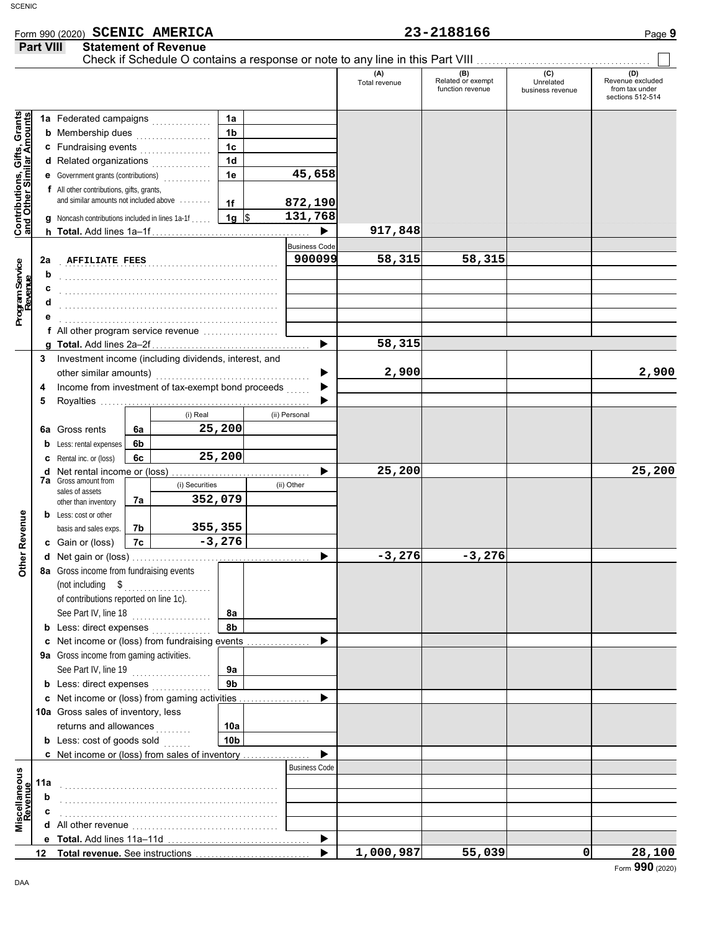## Form 990 (2020) Page **9**

|                                                                  | Part VIII                                               |                                                                                                                                                                                                                                          |    | <b>Statement of Revenue</b> |                     |               |                      |                      |                                              |                                      |                                                               |
|------------------------------------------------------------------|---------------------------------------------------------|------------------------------------------------------------------------------------------------------------------------------------------------------------------------------------------------------------------------------------------|----|-----------------------------|---------------------|---------------|----------------------|----------------------|----------------------------------------------|--------------------------------------|---------------------------------------------------------------|
|                                                                  |                                                         |                                                                                                                                                                                                                                          |    |                             |                     |               |                      | (A)<br>Total revenue | (B)<br>Related or exempt<br>function revenue | (C)<br>Unrelated<br>business revenue | (D)<br>Revenue excluded<br>from tax under<br>sections 512-514 |
|                                                                  |                                                         | 1a Federated campaigns                                                                                                                                                                                                                   |    |                             | 1a                  |               |                      |                      |                                              |                                      |                                                               |
| <b>Contributions, Gifts, Grants</b><br>and Other Similar Amounts |                                                         | <b>b</b> Membership dues <i>manufactured</i> manufactured manufactured manufactured manufactured manufactured manufactured manufactured manufactured manufactured manufactured manufactured manufactured manufactured manufactured manuf |    |                             | 1b                  |               |                      |                      |                                              |                                      |                                                               |
|                                                                  |                                                         | c Fundraising events                                                                                                                                                                                                                     |    |                             | 1c                  |               |                      |                      |                                              |                                      |                                                               |
|                                                                  |                                                         | d Related organizations                                                                                                                                                                                                                  |    |                             | 1 <sub>d</sub>      |               |                      |                      |                                              |                                      |                                                               |
|                                                                  |                                                         | e Government grants (contributions)<br>                                                                                                                                                                                                  |    |                             | 1e                  |               | 45,658               |                      |                                              |                                      |                                                               |
|                                                                  |                                                         | f All other contributions, gifts, grants,                                                                                                                                                                                                |    |                             |                     |               |                      |                      |                                              |                                      |                                                               |
|                                                                  |                                                         | and similar amounts not included above                                                                                                                                                                                                   |    |                             | 1f                  |               | 872,190              |                      |                                              |                                      |                                                               |
|                                                                  |                                                         | <b>g</b> Noncash contributions included in lines 1a-1f                                                                                                                                                                                   |    |                             | $1g$ \$             |               | 131,768              |                      |                                              |                                      |                                                               |
|                                                                  |                                                         |                                                                                                                                                                                                                                          |    |                             |                     |               | ▶                    | 917,848              |                                              |                                      |                                                               |
|                                                                  |                                                         |                                                                                                                                                                                                                                          |    |                             |                     |               | <b>Business Code</b> |                      |                                              |                                      |                                                               |
|                                                                  | 2a                                                      | <b>AFFILIATE FEES</b>                                                                                                                                                                                                                    |    |                             |                     |               | 900099               | 58,315               | 58,315                                       |                                      |                                                               |
| Program Service<br>Revenue                                       | b                                                       |                                                                                                                                                                                                                                          |    |                             |                     |               |                      |                      |                                              |                                      |                                                               |
|                                                                  | c                                                       |                                                                                                                                                                                                                                          |    |                             |                     |               |                      |                      |                                              |                                      |                                                               |
|                                                                  | d                                                       |                                                                                                                                                                                                                                          |    |                             |                     |               |                      |                      |                                              |                                      |                                                               |
|                                                                  |                                                         | f All other program service revenue                                                                                                                                                                                                      |    |                             |                     |               |                      |                      |                                              |                                      |                                                               |
|                                                                  |                                                         |                                                                                                                                                                                                                                          |    |                             |                     |               | ▶                    | 58,315               |                                              |                                      |                                                               |
|                                                                  |                                                         | 3 Investment income (including dividends, interest, and                                                                                                                                                                                  |    |                             |                     |               |                      |                      |                                              |                                      |                                                               |
|                                                                  |                                                         |                                                                                                                                                                                                                                          |    |                             |                     |               |                      | 2,900                |                                              |                                      | 2,900                                                         |
|                                                                  | Income from investment of tax-exempt bond proceeds<br>4 |                                                                                                                                                                                                                                          |    |                             |                     |               |                      |                      |                                              |                                      |                                                               |
|                                                                  | 5                                                       |                                                                                                                                                                                                                                          |    |                             |                     |               |                      |                      |                                              |                                      |                                                               |
|                                                                  |                                                         |                                                                                                                                                                                                                                          |    | (i) Real                    |                     | (ii) Personal |                      |                      |                                              |                                      |                                                               |
|                                                                  |                                                         | 6a Gross rents                                                                                                                                                                                                                           | 6a |                             | 25,200              |               |                      |                      |                                              |                                      |                                                               |
|                                                                  | b                                                       | Less: rental expenses                                                                                                                                                                                                                    | 6b |                             |                     |               |                      |                      |                                              |                                      |                                                               |
|                                                                  |                                                         | Rental inc. or (loss)                                                                                                                                                                                                                    | 6с |                             | 25, 200             |               |                      |                      |                                              |                                      |                                                               |
|                                                                  | d                                                       | Net rental income or (loss)<br><b>7a</b> Gross amount from                                                                                                                                                                               |    |                             |                     |               |                      | 25,200               |                                              |                                      | 25,200                                                        |
|                                                                  |                                                         | sales of assets                                                                                                                                                                                                                          |    | (i) Securities              |                     | (ii) Other    |                      |                      |                                              |                                      |                                                               |
|                                                                  |                                                         | other than inventory                                                                                                                                                                                                                     | 7a | 352,079                     |                     |               |                      |                      |                                              |                                      |                                                               |
|                                                                  |                                                         | <b>b</b> Less: cost or other                                                                                                                                                                                                             |    |                             |                     |               |                      |                      |                                              |                                      |                                                               |
| <b>Other Revenue</b>                                             |                                                         | basis and sales exps.                                                                                                                                                                                                                    | 7b |                             | 355,355<br>$-3,276$ |               |                      |                      |                                              |                                      |                                                               |
|                                                                  |                                                         | c Gain or (loss)                                                                                                                                                                                                                         | 7c |                             |                     |               |                      | $-3,276$             | $-3,276$                                     |                                      |                                                               |
|                                                                  |                                                         | 8a Gross income from fundraising events                                                                                                                                                                                                  |    |                             |                     |               | ▶                    |                      |                                              |                                      |                                                               |
|                                                                  |                                                         | (not including $\quad \quad \text{\$} \quad \quad \quad \text{\$}$                                                                                                                                                                       |    |                             |                     |               |                      |                      |                                              |                                      |                                                               |
|                                                                  |                                                         | of contributions reported on line 1c).                                                                                                                                                                                                   |    |                             |                     |               |                      |                      |                                              |                                      |                                                               |
|                                                                  |                                                         | See Part IV, line 18                                                                                                                                                                                                                     |    |                             | 8а                  |               |                      |                      |                                              |                                      |                                                               |
|                                                                  |                                                         | <b>b</b> Less: direct expenses                                                                                                                                                                                                           |    |                             | 8b                  |               |                      |                      |                                              |                                      |                                                               |
|                                                                  |                                                         | c Net income or (loss) from fundraising events                                                                                                                                                                                           |    |                             |                     |               |                      |                      |                                              |                                      |                                                               |
|                                                                  |                                                         | 9a Gross income from gaming activities.                                                                                                                                                                                                  |    |                             |                     |               |                      |                      |                                              |                                      |                                                               |
|                                                                  |                                                         | See Part IV, line 19                                                                                                                                                                                                                     |    | .                           | 9а                  |               |                      |                      |                                              |                                      |                                                               |
|                                                                  |                                                         | <b>b</b> Less: direct expenses                                                                                                                                                                                                           |    |                             | 9 <sub>b</sub>      |               |                      |                      |                                              |                                      |                                                               |
|                                                                  |                                                         | c Net income or (loss) from gaming activities                                                                                                                                                                                            |    |                             |                     |               |                      |                      |                                              |                                      |                                                               |
|                                                                  |                                                         | 10a Gross sales of inventory, less                                                                                                                                                                                                       |    |                             |                     |               |                      |                      |                                              |                                      |                                                               |
|                                                                  |                                                         | returns and allowances                                                                                                                                                                                                                   |    | <b>September</b>            | 10a                 |               |                      |                      |                                              |                                      |                                                               |
|                                                                  |                                                         | <b>b</b> Less: cost of goods sold                                                                                                                                                                                                        |    |                             | 10 <sub>b</sub>     |               |                      |                      |                                              |                                      |                                                               |
|                                                                  |                                                         | c Net income or (loss) from sales of inventory                                                                                                                                                                                           |    |                             |                     |               |                      |                      |                                              |                                      |                                                               |
|                                                                  |                                                         |                                                                                                                                                                                                                                          |    |                             |                     |               | <b>Business Code</b> |                      |                                              |                                      |                                                               |
|                                                                  | 11a                                                     |                                                                                                                                                                                                                                          |    |                             |                     |               |                      |                      |                                              |                                      |                                                               |
|                                                                  | b                                                       |                                                                                                                                                                                                                                          |    |                             |                     |               |                      |                      |                                              |                                      |                                                               |
| Miscellaneous<br>Revenue                                         |                                                         |                                                                                                                                                                                                                                          |    |                             |                     |               |                      |                      |                                              |                                      |                                                               |
|                                                                  |                                                         |                                                                                                                                                                                                                                          |    |                             |                     |               | ▶                    |                      |                                              |                                      |                                                               |
|                                                                  |                                                         |                                                                                                                                                                                                                                          |    |                             |                     |               |                      | 1,000,987            | 55,039                                       | 0                                    | 28,100                                                        |
|                                                                  |                                                         |                                                                                                                                                                                                                                          |    |                             |                     |               |                      |                      |                                              |                                      |                                                               |

**SCENIC AMERICA 23-2188166**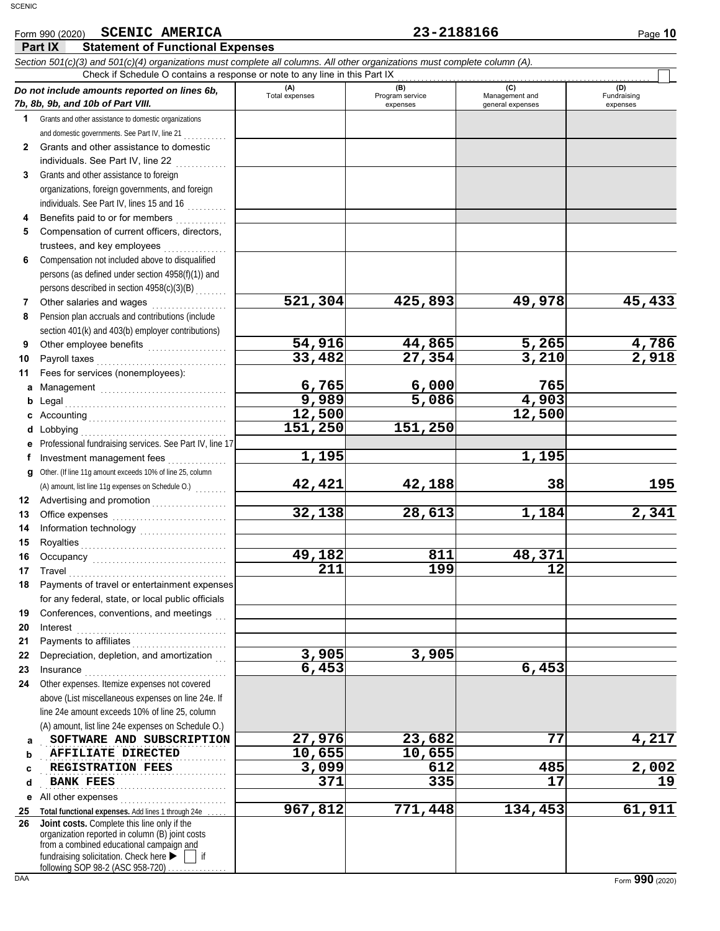Fundraising expenses

**521,304 425,893 49,978 45,433**

**42,421 42,188 38 195**

**32,138 28,613 1,184 2,341**

**967,812 771,448 134,453 61,911**

**6,765 6,000 765 9,989 5,086 4,903**

**1,195 1,195**

<u>**49,182** 811 48,371</u><br>211 199 12 <mark>211</mark> 199 12

**6,453 6,453**

<mark>12,500</mark><br>51,250 151,250

**3,905 3,905**

**151,250 151,250**

### **Part IX Statement of Functional Expenses** Form 990 (2020) Page **10 SCENIC AMERICA 23-2188166** *Section 501(c)(3) and 501(c)(4) organizations must complete all columns. All other organizations must complete column (A). Do not include amounts reported on lines 6b, 7b, 8b, 9b, and 10b of Part VIII.* **1 2 3 4 5 6** Grants and other assistance to domestic organizations and domestic governments. See Part IV, line 21 Grants and other assistance to domestic individuals. See Part IV, line 22 . . . . . . . . . . . . Grants and other assistance to foreign organizations, foreign governments, and foreign individuals. See Part IV, lines 15 and 16 Benefits paid to or for members . . . . . . . . . . . . Compensation of current officers, directors, trustees, and key employees ................ Compensation not included above to disqualified persons (as defined under section 4958(f)(1)) and persons described in section 4958(c)(3)(B) **(A) (B) (C) (D)** Total expenses Program service Management and<br>expenses expenses expenses general expenses general expenses Check if Schedule O contains a response or note to any line in this Part IX . . . . . . . . . . . . . . . . . . . . . . . . . . . . . . . . . . . . . . . . . . . . . . . . . . . . . . . . . . . . . . . . **SCENIC**

|   | Other salaries and wages<br>.                     |
|---|---------------------------------------------------|
| 8 | Pension plan accruals and contributions (include  |
|   | section 401(k) and 403(b) employer contributions) |

Other salaries and wages . . . . . . . . . . . . . . . . . . .

**9**

**11**

**g**

**b** Legal

**10** Other employee benefits . . . . . . . . . . . . . . . . . . . .

Payroll taxes . . . . . . . . . . . . . . . . . . . . . . . . . . . . . . . . .

Fees for services (nonemployees):

**54,916 44,865 5,265 4,786 33,482** 27,354

**a** Management . . . . . . . . . . . . . . . . . . . . . . . . . . . . . . . .

**c** Accounting . . . . . . . . . . . . . . . . . . . . . . . . . . . . . . . . . . . **d** Lobbying . . . . . . . . . . . . . . . . . . . . . . . . . . . . . . . . . . . . . **e** Professional fundraising services. See Part IV, line 17 f lnvestment management fees **. . . . . . . . . . .** . . Legal . . . . . . . . . . . . . . . . . . . . . . . . . . . . . . . . . . . . . . . . . Other. (If line 11g amount exceeds 10% of line 25, column

(A) amount, list line 11g expenses on Schedule O.)

**12** Advertising and promotion . . . . . . . . . . . . . . . . . **13 14 15 16 17 18 19** Office expenses . . . . . . . . . . . . . . . . . . . . . . . . . . . . . Information technology ........................ Royalties . . . . . . . . . . . . . . . . . . . . . . . . . . . . . . . . . . . . . Occupancy . . . . . . . . . . . . . . . . . . . . . . . . . . . . . . . . . . Travel . . . . . . . . . . . . . . . . . . . . . . . . . . . . . . . . . . . . . . . . Payments of travel or entertainment expenses for any federal, state, or local public officials Conferences, conventions, and meetings

**20 21 22 23** Interest . . . . . . . . . . . . . . . . . . . . . . . . . . . . . . . . . . . . . . Payments to affiliates . . . . . . . . . . . . . . Depreciation, depletion, and amortization Insurance . . . . . . . . . . . . . . . . . . . . . . . . . . . . . . . . . . . .

**24 a** Other expenses. Itemize expenses not covered above (List miscellaneous expenses on line 24e. If line 24e amount exceeds 10% of line 25, column (A) amount, list line 24e expenses on Schedule O.)

**SOFTWARE AND SUBSCRIPTION** 27,976 23,682 77 4,217 **AFFILIATE DIRECTED 10,655** 10,655 **REGISTRATION FEES** 2,002 612 612 618

**d e** All other expenses . . . . . . . . . . . . . . . . . . . . . . . . . . . Total functional expenses. Add lines 1 through 24e BANK FEES **BANK FEES** 19

**25 26** fundraising solicitation. Check here  $\blacktriangleright \Box$  if organization reported in column (B) joint costs from a combined educational campaign and **Joint costs.** Complete this line only if the

following SOP 98-2 (ASC 958-720)

**b c**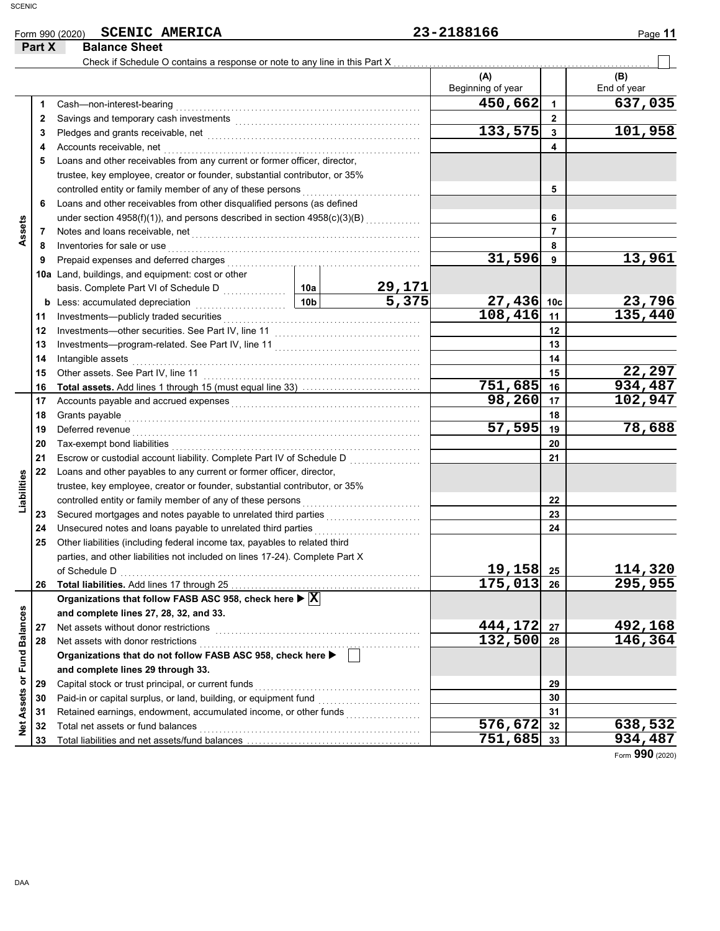|                             |                                          | <b>SCENIC AMERICA</b><br>Form 990 (2020)                                                                                                                                                                                             |        |                                            | 23-2188166        |                | Page 11            |
|-----------------------------|------------------------------------------|--------------------------------------------------------------------------------------------------------------------------------------------------------------------------------------------------------------------------------------|--------|--------------------------------------------|-------------------|----------------|--------------------|
| Part X                      |                                          | <b>Balance Sheet</b>                                                                                                                                                                                                                 |        |                                            |                   |                |                    |
|                             |                                          | Check if Schedule O contains a response or note to any line in this Part X                                                                                                                                                           |        |                                            | (A)               |                |                    |
|                             |                                          |                                                                                                                                                                                                                                      |        |                                            | Beginning of year |                | (B)<br>End of year |
|                             | 1                                        | Cash-non-interest-bearing                                                                                                                                                                                                            |        |                                            | 450,662           | $\mathbf{1}$   | 637,035            |
|                             | $\mathbf{2}$                             |                                                                                                                                                                                                                                      |        |                                            |                   | $\mathbf{2}$   |                    |
|                             | 3                                        |                                                                                                                                                                                                                                      |        |                                            | 133,575           | $\mathbf{3}$   | 101,958            |
|                             | 4                                        | Accounts receivable, net                                                                                                                                                                                                             |        |                                            |                   | 4              |                    |
|                             | 5                                        | Loans and other receivables from any current or former officer, director,                                                                                                                                                            |        |                                            |                   |                |                    |
|                             |                                          | trustee, key employee, creator or founder, substantial contributor, or 35%                                                                                                                                                           |        |                                            |                   |                |                    |
|                             |                                          | controlled entity or family member of any of these persons                                                                                                                                                                           |        |                                            |                   | 5              |                    |
|                             | 6                                        | Loans and other receivables from other disqualified persons (as defined                                                                                                                                                              |        |                                            |                   |                |                    |
|                             |                                          | under section 4958(f)(1)), and persons described in section 4958(c)(3)(B)                                                                                                                                                            |        |                                            |                   | 6              |                    |
| Assets                      | 7                                        | Notes and loans receivable, net                                                                                                                                                                                                      |        |                                            |                   | $\overline{7}$ |                    |
|                             | 8                                        | Inventories for sale or use                                                                                                                                                                                                          |        |                                            |                   | 8              |                    |
|                             | 9                                        | Prepaid expenses and deferred charges                                                                                                                                                                                                |        |                                            | 31,596            | 9              | 13,961             |
|                             |                                          | 10a Land, buildings, and equipment: cost or other                                                                                                                                                                                    |        |                                            |                   |                |                    |
|                             |                                          |                                                                                                                                                                                                                                      |        | $\frac{29,171}{5,375}$                     |                   |                |                    |
|                             |                                          | basis. Complete Part VI of Schedule D<br><b>b</b> Less: accumulated depreciation<br><b>10b</b>                                                                                                                                       |        |                                            | 27,436 10c        |                | <u>23,796</u>      |
|                             | 11                                       | Investments-publicly traded securities                                                                                                                                                                                               |        |                                            | 108,416           | 11             | 135,440            |
|                             | 12                                       |                                                                                                                                                                                                                                      |        |                                            |                   | 12             |                    |
|                             | 13                                       |                                                                                                                                                                                                                                      |        |                                            |                   | 13             |                    |
|                             | 14                                       | Intangible assets                                                                                                                                                                                                                    |        |                                            |                   | 14             |                    |
|                             | Other assets. See Part IV, line 11<br>15 |                                                                                                                                                                                                                                      |        |                                            |                   | 15             | 22,297             |
|                             | 16                                       |                                                                                                                                                                                                                                      |        |                                            | 751,685           | 16             | 934,487            |
|                             | 17                                       |                                                                                                                                                                                                                                      | 98,260 | 17                                         | 102,947           |                |                    |
|                             | 18                                       | Grants payable                                                                                                                                                                                                                       |        | 18                                         |                   |                |                    |
|                             | 19                                       | Deferred revenue <b>contract and the contract of the contract of the contract of the contract of the contract of the contract of the contract of the contract of the contract of the contract of the contract of the contract of</b> |        |                                            | 57,595            | 19             | 78,688             |
|                             | 20                                       | Tax-exempt bond liabilities                                                                                                                                                                                                          |        |                                            |                   | 20             |                    |
|                             | 21                                       | Escrow or custodial account liability. Complete Part IV of Schedule D                                                                                                                                                                |        | <u> 1999 - Alexandr Alexandr III e a c</u> |                   | 21             |                    |
| Liabilities                 | 22                                       | Loans and other payables to any current or former officer, director,                                                                                                                                                                 |        |                                            |                   |                |                    |
|                             |                                          | trustee, key employee, creator or founder, substantial contributor, or 35%                                                                                                                                                           |        |                                            |                   |                |                    |
|                             |                                          | controlled entity or family member of any of these persons                                                                                                                                                                           |        |                                            |                   | 22             |                    |
|                             | 23<br>24                                 | Secured mortgages and notes payable to unrelated third parties<br>Unsecured notes and loans payable to unrelated third parties                                                                                                       |        |                                            |                   | 23<br>24       |                    |
|                             | 25                                       | Other liabilities (including federal income tax, payables to related third                                                                                                                                                           |        |                                            |                   |                |                    |
|                             |                                          | parties, and other liabilities not included on lines 17-24). Complete Part X                                                                                                                                                         |        |                                            |                   |                |                    |
|                             |                                          | of Schedule D                                                                                                                                                                                                                        |        |                                            | $19, 158$ 25      |                | 114,320            |
|                             | 26                                       |                                                                                                                                                                                                                                      |        |                                            | 175,013           | 26             | 295,955            |
|                             |                                          | Organizations that follow FASB ASC 958, check here $\blacktriangleright \overline{\text{X}}$                                                                                                                                         |        |                                            |                   |                |                    |
|                             |                                          | and complete lines 27, 28, 32, and 33.                                                                                                                                                                                               |        |                                            |                   |                |                    |
| Net Assets or Fund Balances | 27                                       | Net assets without donor restrictions                                                                                                                                                                                                |        |                                            | 444,172           | 27             | 492,168            |
|                             | 28                                       | Net assets with donor restrictions                                                                                                                                                                                                   |        |                                            | 132,500           | 28             | 146,364            |
|                             |                                          | Organizations that do not follow FASB ASC 958, check here ▶                                                                                                                                                                          |        |                                            |                   |                |                    |
|                             |                                          | and complete lines 29 through 33.                                                                                                                                                                                                    |        |                                            |                   |                |                    |
|                             | 29                                       | Capital stock or trust principal, or current funds                                                                                                                                                                                   |        |                                            |                   | 29             |                    |
|                             | 30                                       |                                                                                                                                                                                                                                      |        |                                            |                   | 30             |                    |
|                             | 31                                       | Retained earnings, endowment, accumulated income, or other funds                                                                                                                                                                     |        |                                            |                   | 31             |                    |
|                             | 32                                       | Total net assets or fund balances <b>constants</b> and the set of the set of the set of the set of the set of the set of the set of the set of the set of the set of the set of the set of the set of the set of the set of the set  |        |                                            | 576,672           | 32             | 638,532            |
|                             |                                          |                                                                                                                                                                                                                                      |        |                                            | COC               |                |                    |

**29 30 31 32 33 29 33 32 31 30 and complete lines 29 through 33. Organizations that do not follow FASB ASC 958, check here**  Capital stock or trust principal, or current funds . . . . . . . . . . . . . . . . . . . . . . . . . . . . . . . . . . . . . . . . . . Paid-in or capital surplus, or land, building, or equipment fund ........................... Retained earnings, endowment, accumulated income, or other funds . . . . . . . . . . . . . . . . . . . Total net assets or fund balances . . . . . . . . . . . . . . . . . . . . . . . . . . . . . . . . . . . . . . . . . . . . . . . . . . . . . . . . Total liabilities and net assets/fund balances . **576,672 638,532 751,685 934,487**

Form **990** (2020)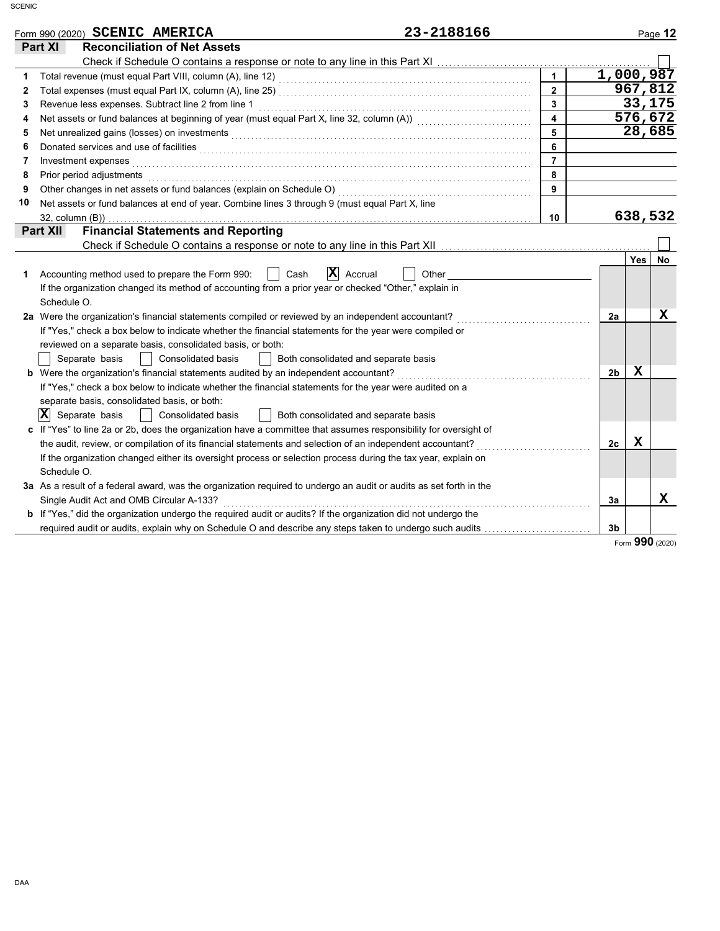|    | 23-2188166<br>Form 990 (2020) SCENIC AMERICA                                                                                  |                         |                |     | Page 12 |
|----|-------------------------------------------------------------------------------------------------------------------------------|-------------------------|----------------|-----|---------|
|    | <b>Reconciliation of Net Assets</b><br>Part XI                                                                                |                         |                |     |         |
|    |                                                                                                                               |                         |                |     |         |
| 1  |                                                                                                                               | $\mathbf{1}$            | 1,000,987      |     |         |
| 2  |                                                                                                                               | $\overline{2}$          |                |     | 967,812 |
| 3  | Revenue less expenses. Subtract line 2 from line 1                                                                            | $\overline{\mathbf{3}}$ |                |     | 33,175  |
| 4  | Net assets or fund balances at beginning of year (must equal Part X, line 32, column (A)) [[[[[[[[[[[[[[[[[[[                 | $\overline{\mathbf{4}}$ |                |     | 576,672 |
| 5  |                                                                                                                               | $\overline{5}$          |                |     | 28,685  |
| 6  | Donated services and use of facilities <b>constructs</b> and the service of the service of the services and use of facilities | 6                       |                |     |         |
| 7  | Investment expenses                                                                                                           | $\overline{7}$          |                |     |         |
| 8  | Prior period adjustments                                                                                                      | 8                       |                |     |         |
| 9  | Other changes in net assets or fund balances (explain on Schedule O) [[[[[[[[[[[[[[[[[[[[[[]]]]]]]]]                          | 9                       |                |     |         |
| 10 | Net assets or fund balances at end of year. Combine lines 3 through 9 (must equal Part X, line                                |                         |                |     |         |
|    | 32, column (B))                                                                                                               | 10                      |                |     | 638,532 |
|    | <b>Financial Statements and Reporting</b><br>Part XII                                                                         |                         |                |     |         |
|    |                                                                                                                               |                         |                |     |         |
|    |                                                                                                                               |                         |                | Yes | No.     |
| 1. | $\mathbf{X}$ Accrual<br>Accounting method used to prepare the Form 990:<br>Cash<br>Other                                      |                         |                |     |         |
|    | If the organization changed its method of accounting from a prior year or checked "Other," explain in                         |                         |                |     |         |
|    | Schedule O.                                                                                                                   |                         |                |     |         |
|    | 2a Were the organization's financial statements compiled or reviewed by an independent accountant?                            |                         | 2a             |     | x       |
|    | If "Yes," check a box below to indicate whether the financial statements for the year were compiled or                        |                         |                |     |         |
|    | reviewed on a separate basis, consolidated basis, or both:                                                                    |                         |                |     |         |
|    | Separate basis<br>  Consolidated basis<br>Both consolidated and separate basis                                                |                         |                |     |         |
|    |                                                                                                                               |                         | 2 <sub>b</sub> | X   |         |
|    | If "Yes," check a box below to indicate whether the financial statements for the year were audited on a                       |                         |                |     |         |
|    | separate basis, consolidated basis, or both:                                                                                  |                         |                |     |         |
|    | $ \mathbf{X} $ Separate basis<br>  Consolidated basis<br>Both consolidated and separate basis                                 |                         |                |     |         |
|    | c If "Yes" to line 2a or 2b, does the organization have a committee that assumes responsibility for oversight of              |                         |                |     |         |
|    | the audit, review, or compilation of its financial statements and selection of an independent accountant?                     |                         | 2c             | X   |         |
|    | If the organization changed either its oversight process or selection process during the tax year, explain on                 |                         |                |     |         |
|    | Schedule O.                                                                                                                   |                         |                |     |         |
|    | 3a As a result of a federal award, was the organization required to undergo an audit or audits as set forth in the            |                         |                |     |         |
|    | Single Audit Act and OMB Circular A-133?                                                                                      |                         | Зa             |     | x       |
|    | <b>b</b> If "Yes," did the organization undergo the required audit or audits? If the organization did not undergo the         |                         |                |     |         |
|    | required audit or audits, explain why on Schedule O and describe any steps taken to undergo such audits                       |                         | 3 <sub>b</sub> |     |         |

Form **990** (2020)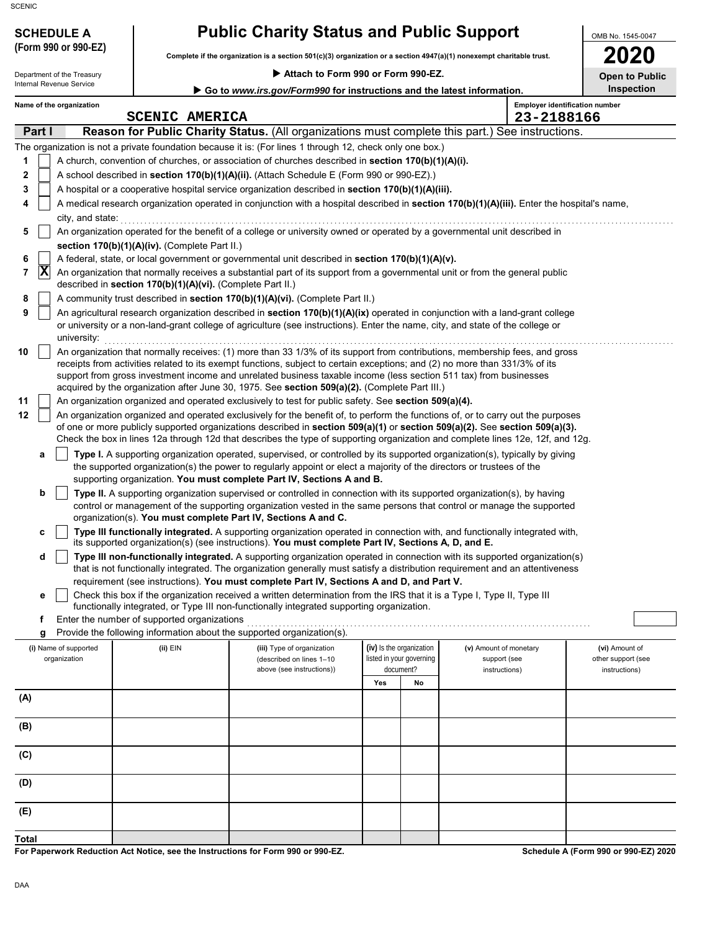Department of the Treasury

# **SCHEDULE A Public Charity Status and Public Support**

**Complete if the organization is a section 501(c)(3) organization or a section 4947(a)(1) nonexempt charitable trust. (Form 990 or 990-EZ)**

 **Attach to Form 990 or Form 990-EZ.**

**2020**

OMB No. 1545-0047

**Open to Public**

| Internal Revenue Service<br>Go to www.irs.gov/Form990 for instructions and the latest information. |                                                                                                           |                          |                                                            |                                                                                                                                                                                                                                          |                          | <b>Inspection</b>                     |                        |                                       |
|----------------------------------------------------------------------------------------------------|-----------------------------------------------------------------------------------------------------------|--------------------------|------------------------------------------------------------|------------------------------------------------------------------------------------------------------------------------------------------------------------------------------------------------------------------------------------------|--------------------------|---------------------------------------|------------------------|---------------------------------------|
|                                                                                                    |                                                                                                           | Name of the organization | <b>SCENIC AMERICA</b>                                      |                                                                                                                                                                                                                                          |                          |                                       | 23-2188166             | <b>Employer identification number</b> |
|                                                                                                    | Part I                                                                                                    |                          |                                                            | Reason for Public Charity Status. (All organizations must complete this part.) See instructions.                                                                                                                                         |                          |                                       |                        |                                       |
|                                                                                                    | The organization is not a private foundation because it is: (For lines 1 through 12, check only one box.) |                          |                                                            |                                                                                                                                                                                                                                          |                          |                                       |                        |                                       |
| 1                                                                                                  |                                                                                                           |                          |                                                            | A church, convention of churches, or association of churches described in section 170(b)(1)(A)(i).                                                                                                                                       |                          |                                       |                        |                                       |
| 2                                                                                                  |                                                                                                           |                          |                                                            | A school described in section 170(b)(1)(A)(ii). (Attach Schedule E (Form 990 or 990-EZ).)                                                                                                                                                |                          |                                       |                        |                                       |
| 3                                                                                                  |                                                                                                           |                          |                                                            | A hospital or a cooperative hospital service organization described in section 170(b)(1)(A)(iii).                                                                                                                                        |                          |                                       |                        |                                       |
| 4                                                                                                  |                                                                                                           |                          |                                                            | A medical research organization operated in conjunction with a hospital described in section 170(b)(1)(A)(iii). Enter the hospital's name,                                                                                               |                          |                                       |                        |                                       |
|                                                                                                    |                                                                                                           | city, and state:         |                                                            |                                                                                                                                                                                                                                          |                          |                                       |                        |                                       |
| 5                                                                                                  |                                                                                                           |                          |                                                            | An organization operated for the benefit of a college or university owned or operated by a governmental unit described in                                                                                                                |                          |                                       |                        |                                       |
|                                                                                                    |                                                                                                           |                          | section 170(b)(1)(A)(iv). (Complete Part II.)              |                                                                                                                                                                                                                                          |                          |                                       |                        |                                       |
| 6<br>7                                                                                             | ΙX                                                                                                        |                          |                                                            | A federal, state, or local government or governmental unit described in section 170(b)(1)(A)(v).<br>An organization that normally receives a substantial part of its support from a governmental unit or from the general public         |                          |                                       |                        |                                       |
|                                                                                                    |                                                                                                           |                          | described in section 170(b)(1)(A)(vi). (Complete Part II.) |                                                                                                                                                                                                                                          |                          |                                       |                        |                                       |
| 8                                                                                                  |                                                                                                           |                          |                                                            | A community trust described in section 170(b)(1)(A)(vi). (Complete Part II.)                                                                                                                                                             |                          |                                       |                        |                                       |
| 9                                                                                                  |                                                                                                           |                          |                                                            | An agricultural research organization described in section 170(b)(1)(A)(ix) operated in conjunction with a land-grant college                                                                                                            |                          |                                       |                        |                                       |
|                                                                                                    |                                                                                                           |                          |                                                            | or university or a non-land-grant college of agriculture (see instructions). Enter the name, city, and state of the college or                                                                                                           |                          |                                       |                        |                                       |
| 10                                                                                                 |                                                                                                           | university:              |                                                            | An organization that normally receives: (1) more than 33 1/3% of its support from contributions, membership fees, and gross                                                                                                              |                          |                                       |                        |                                       |
|                                                                                                    |                                                                                                           |                          |                                                            | receipts from activities related to its exempt functions, subject to certain exceptions; and (2) no more than 331/3% of its                                                                                                              |                          |                                       |                        |                                       |
|                                                                                                    |                                                                                                           |                          |                                                            | support from gross investment income and unrelated business taxable income (less section 511 tax) from businesses                                                                                                                        |                          |                                       |                        |                                       |
|                                                                                                    |                                                                                                           |                          |                                                            | acquired by the organization after June 30, 1975. See section 509(a)(2). (Complete Part III.)                                                                                                                                            |                          |                                       |                        |                                       |
| 11                                                                                                 |                                                                                                           |                          |                                                            | An organization organized and operated exclusively to test for public safety. See section 509(a)(4).<br>An organization organized and operated exclusively for the benefit of, to perform the functions of, or to carry out the purposes |                          |                                       |                        |                                       |
| 12                                                                                                 |                                                                                                           |                          |                                                            | of one or more publicly supported organizations described in section 509(a)(1) or section 509(a)(2). See section 509(a)(3).                                                                                                              |                          |                                       |                        |                                       |
|                                                                                                    |                                                                                                           |                          |                                                            | Check the box in lines 12a through 12d that describes the type of supporting organization and complete lines 12e, 12f, and 12g.                                                                                                          |                          |                                       |                        |                                       |
|                                                                                                    | а                                                                                                         |                          |                                                            | Type I. A supporting organization operated, supervised, or controlled by its supported organization(s), typically by giving                                                                                                              |                          |                                       |                        |                                       |
|                                                                                                    |                                                                                                           |                          |                                                            | the supported organization(s) the power to regularly appoint or elect a majority of the directors or trustees of the                                                                                                                     |                          |                                       |                        |                                       |
|                                                                                                    |                                                                                                           |                          |                                                            | supporting organization. You must complete Part IV, Sections A and B.<br>Type II. A supporting organization supervised or controlled in connection with its supported organization(s), by having                                         |                          |                                       |                        |                                       |
|                                                                                                    | b                                                                                                         |                          |                                                            | control or management of the supporting organization vested in the same persons that control or manage the supported                                                                                                                     |                          |                                       |                        |                                       |
|                                                                                                    |                                                                                                           |                          |                                                            | organization(s). You must complete Part IV, Sections A and C.                                                                                                                                                                            |                          |                                       |                        |                                       |
|                                                                                                    | с                                                                                                         |                          |                                                            | Type III functionally integrated. A supporting organization operated in connection with, and functionally integrated with,<br>its supported organization(s) (see instructions). You must complete Part IV, Sections A, D, and E.         |                          |                                       |                        |                                       |
|                                                                                                    | d                                                                                                         |                          |                                                            | Type III non-functionally integrated. A supporting organization operated in connection with its supported organization(s)                                                                                                                |                          |                                       |                        |                                       |
|                                                                                                    |                                                                                                           |                          |                                                            | that is not functionally integrated. The organization generally must satisfy a distribution requirement and an attentiveness                                                                                                             |                          |                                       |                        |                                       |
|                                                                                                    |                                                                                                           |                          |                                                            | requirement (see instructions). You must complete Part IV, Sections A and D, and Part V.                                                                                                                                                 |                          |                                       |                        |                                       |
|                                                                                                    | е                                                                                                         |                          |                                                            | Check this box if the organization received a written determination from the IRS that it is a Type I, Type II, Type III<br>functionally integrated, or Type III non-functionally integrated supporting organization.                     |                          |                                       |                        |                                       |
|                                                                                                    | f                                                                                                         |                          | Enter the number of supported organizations                |                                                                                                                                                                                                                                          |                          |                                       |                        |                                       |
|                                                                                                    | g                                                                                                         |                          |                                                            | Provide the following information about the supported organization(s).                                                                                                                                                                   |                          |                                       |                        |                                       |
|                                                                                                    |                                                                                                           | (i) Name of supported    | (ii) EIN                                                   | (iii) Type of organization                                                                                                                                                                                                               | (iv) Is the organization |                                       | (v) Amount of monetary | (vi) Amount of                        |
|                                                                                                    |                                                                                                           | organization             |                                                            | (described on lines 1-10<br>above (see instructions))                                                                                                                                                                                    |                          | listed in your governing<br>document? | support (see           | other support (see                    |
|                                                                                                    |                                                                                                           |                          |                                                            |                                                                                                                                                                                                                                          | Yes                      | No                                    | instructions)          | instructions)                         |
| (A)                                                                                                |                                                                                                           |                          |                                                            |                                                                                                                                                                                                                                          |                          |                                       |                        |                                       |
|                                                                                                    |                                                                                                           |                          |                                                            |                                                                                                                                                                                                                                          |                          |                                       |                        |                                       |
| (B)                                                                                                |                                                                                                           |                          |                                                            |                                                                                                                                                                                                                                          |                          |                                       |                        |                                       |
| (C)                                                                                                |                                                                                                           |                          |                                                            |                                                                                                                                                                                                                                          |                          |                                       |                        |                                       |
|                                                                                                    |                                                                                                           |                          |                                                            |                                                                                                                                                                                                                                          |                          |                                       |                        |                                       |
| (D)                                                                                                |                                                                                                           |                          |                                                            |                                                                                                                                                                                                                                          |                          |                                       |                        |                                       |
| (E)                                                                                                |                                                                                                           |                          |                                                            |                                                                                                                                                                                                                                          |                          |                                       |                        |                                       |
|                                                                                                    |                                                                                                           |                          |                                                            |                                                                                                                                                                                                                                          |                          |                                       |                        |                                       |
| <b>Total</b>                                                                                       |                                                                                                           |                          |                                                            |                                                                                                                                                                                                                                          |                          |                                       |                        |                                       |

**For Paperwork Reduction Act Notice, see the Instructions for Form 990 or 990-EZ.**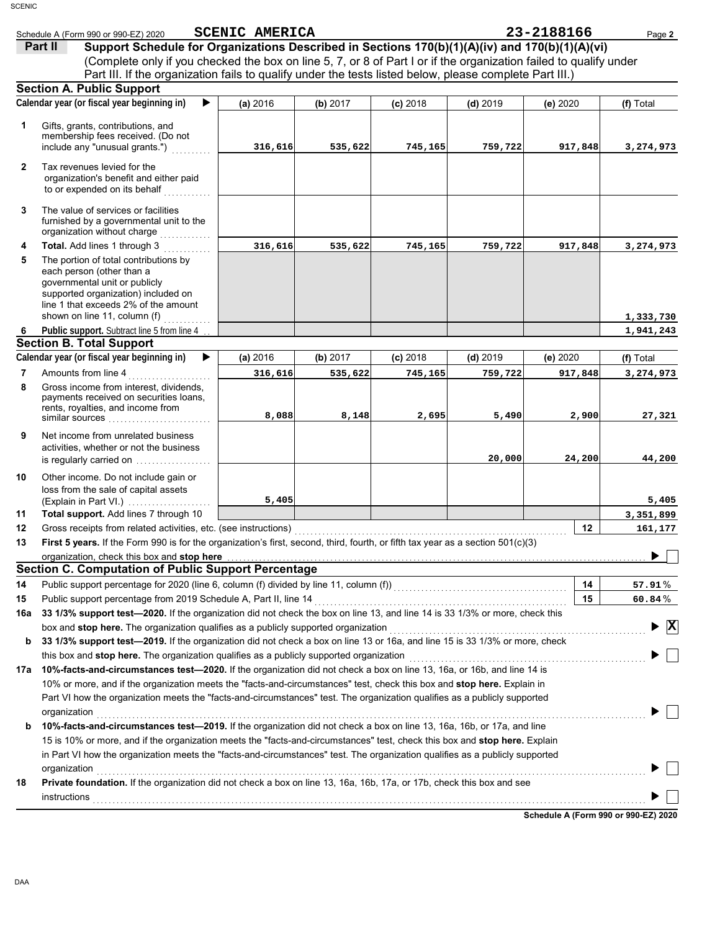|                | Schedule A (Form 990 or 990-EZ) 2020                                                                                                                                                                                           | <b>SCENIC AMERICA</b> |          |            |            | 23-2188166 | Page 2                             |
|----------------|--------------------------------------------------------------------------------------------------------------------------------------------------------------------------------------------------------------------------------|-----------------------|----------|------------|------------|------------|------------------------------------|
|                | Support Schedule for Organizations Described in Sections 170(b)(1)(A)(iv) and 170(b)(1)(A)(vi)<br>Part II                                                                                                                      |                       |          |            |            |            |                                    |
|                | (Complete only if you checked the box on line 5, 7, or 8 of Part I or if the organization failed to qualify under                                                                                                              |                       |          |            |            |            |                                    |
|                | Part III. If the organization fails to qualify under the tests listed below, please complete Part III.)                                                                                                                        |                       |          |            |            |            |                                    |
|                | <b>Section A. Public Support</b>                                                                                                                                                                                               |                       |          |            |            |            |                                    |
|                | Calendar year (or fiscal year beginning in)                                                                                                                                                                                    | (a) 2016              | (b) 2017 | $(c)$ 2018 | $(d)$ 2019 | (e) 2020   | (f) Total                          |
|                |                                                                                                                                                                                                                                |                       |          |            |            |            |                                    |
| 1              | Gifts, grants, contributions, and                                                                                                                                                                                              |                       |          |            |            |            |                                    |
|                | membership fees received. (Do not<br>include any "unusual grants.")                                                                                                                                                            | 316,616               | 535,622  | 745,165    | 759,722    | 917,848    | 3,274,973                          |
|                |                                                                                                                                                                                                                                |                       |          |            |            |            |                                    |
| $\overline{2}$ | Tax revenues levied for the                                                                                                                                                                                                    |                       |          |            |            |            |                                    |
|                | organization's benefit and either paid<br>to or expended on its behalf                                                                                                                                                         |                       |          |            |            |            |                                    |
|                | .                                                                                                                                                                                                                              |                       |          |            |            |            |                                    |
| 3              | The value of services or facilities                                                                                                                                                                                            |                       |          |            |            |            |                                    |
|                | furnished by a governmental unit to the                                                                                                                                                                                        |                       |          |            |            |            |                                    |
|                | organization without charge                                                                                                                                                                                                    |                       |          |            |            |            |                                    |
| 4              | Total. Add lines 1 through 3                                                                                                                                                                                                   | 316,616               | 535,622  | 745,165    | 759,722    | 917,848    | 3,274,973                          |
| 5              | The portion of total contributions by<br>each person (other than a                                                                                                                                                             |                       |          |            |            |            |                                    |
|                | governmental unit or publicly                                                                                                                                                                                                  |                       |          |            |            |            |                                    |
|                | supported organization) included on                                                                                                                                                                                            |                       |          |            |            |            |                                    |
|                | line 1 that exceeds 2% of the amount                                                                                                                                                                                           |                       |          |            |            |            |                                    |
|                | shown on line 11, column (f) $\ldots$                                                                                                                                                                                          |                       |          |            |            |            | 1,333,730                          |
| 6              | <b>Public support.</b> Subtract line 5 from line 4.                                                                                                                                                                            |                       |          |            |            |            | 1,941,243                          |
|                | <b>Section B. Total Support</b>                                                                                                                                                                                                |                       |          |            |            |            |                                    |
|                | Calendar year (or fiscal year beginning in)                                                                                                                                                                                    | (a) 2016              | (b) 2017 | $(c)$ 2018 | $(d)$ 2019 | (e) 2020   | (f) Total                          |
| 7              | Amounts from line 4                                                                                                                                                                                                            | 316,616               | 535,622  | 745,165    | 759,722    | 917,848    | 3,274,973                          |
| 8              | Gross income from interest, dividends,<br>payments received on securities loans,                                                                                                                                               |                       |          |            |            |            |                                    |
|                | rents, royalties, and income from                                                                                                                                                                                              |                       |          |            |            |            |                                    |
|                |                                                                                                                                                                                                                                | 8,088                 | 8,148    | 2,695      | 5,490      | 2,900      | 27,321                             |
| 9              | Net income from unrelated business                                                                                                                                                                                             |                       |          |            |            |            |                                    |
|                | activities, whether or not the business                                                                                                                                                                                        |                       |          |            |            |            |                                    |
|                | is regularly carried on                                                                                                                                                                                                        |                       |          |            | 20,000     | 24,200     | 44,200                             |
| 10             | Other income. Do not include gain or                                                                                                                                                                                           |                       |          |            |            |            |                                    |
|                | loss from the sale of capital assets                                                                                                                                                                                           |                       |          |            |            |            |                                    |
|                | (Explain in Part VI.)                                                                                                                                                                                                          | 5,405                 |          |            |            |            | 5,405                              |
| 11             | Total support. Add lines 7 through 10                                                                                                                                                                                          |                       |          |            |            |            | 3,351,899                          |
| 12             | Gross receipts from related activities, etc. (see instructions)                                                                                                                                                                |                       |          |            |            | $12 \,$    | 161,177                            |
| 13             | First 5 years. If the Form 990 is for the organization's first, second, third, fourth, or fifth tax year as a section 501(c)(3)                                                                                                |                       |          |            |            |            |                                    |
|                | organization, check this box and stop here <b>construction and construction</b> contract the state of the state of the                                                                                                         |                       |          |            |            |            |                                    |
|                | <b>Section C. Computation of Public Support Percentage</b>                                                                                                                                                                     |                       |          |            |            |            |                                    |
| 14             | Public support percentage for 2020 (line 6, column (f) divided by line 11, column (f)) [[[[[[[[[[[[[[[[[[[[[[                                                                                                                  |                       |          |            |            | 14         | 57.91%                             |
| 15             |                                                                                                                                                                                                                                |                       |          |            |            | 15         | $60.84\%$                          |
| 16a            | 33 1/3% support test-2020. If the organization did not check the box on line 13, and line 14 is 33 1/3% or more, check this                                                                                                    |                       |          |            |            |            |                                    |
|                | box and stop here. The organization qualifies as a publicly supported organization [11] content content content content or the content of the state of the state of the state of the state of the state of the state of the st |                       |          |            |            |            | $\blacktriangleright \overline{X}$ |
| b              | 33 1/3% support test-2019. If the organization did not check a box on line 13 or 16a, and line 15 is 33 1/3% or more, check                                                                                                    |                       |          |            |            |            |                                    |
|                | this box and stop here. The organization qualifies as a publicly supported organization [11] [11] [11] [11] [1                                                                                                                 |                       |          |            |            |            |                                    |
| 17а            | 10%-facts-and-circumstances test-2020. If the organization did not check a box on line 13, 16a, or 16b, and line 14 is                                                                                                         |                       |          |            |            |            |                                    |
|                | 10% or more, and if the organization meets the "facts-and-circumstances" test, check this box and stop here. Explain in                                                                                                        |                       |          |            |            |            |                                    |
|                | Part VI how the organization meets the "facts-and-circumstances" test. The organization qualifies as a publicly supported                                                                                                      |                       |          |            |            |            |                                    |
|                | organization                                                                                                                                                                                                                   |                       |          |            |            |            |                                    |
| b              | 10%-facts-and-circumstances test-2019. If the organization did not check a box on line 13, 16a, 16b, or 17a, and line                                                                                                          |                       |          |            |            |            |                                    |
|                | 15 is 10% or more, and if the organization meets the "facts-and-circumstances" test, check this box and stop here. Explain                                                                                                     |                       |          |            |            |            |                                    |
|                | in Part VI how the organization meets the "facts-and-circumstances" test. The organization qualifies as a publicly supported                                                                                                   |                       |          |            |            |            |                                    |
|                | organization                                                                                                                                                                                                                   |                       |          |            |            |            |                                    |
| 18             | Private foundation. If the organization did not check a box on line 13, 16a, 16b, 17a, or 17b, check this box and see                                                                                                          |                       |          |            |            |            |                                    |
|                | <b>instructions</b>                                                                                                                                                                                                            |                       |          |            |            |            |                                    |
|                |                                                                                                                                                                                                                                |                       |          |            |            |            |                                    |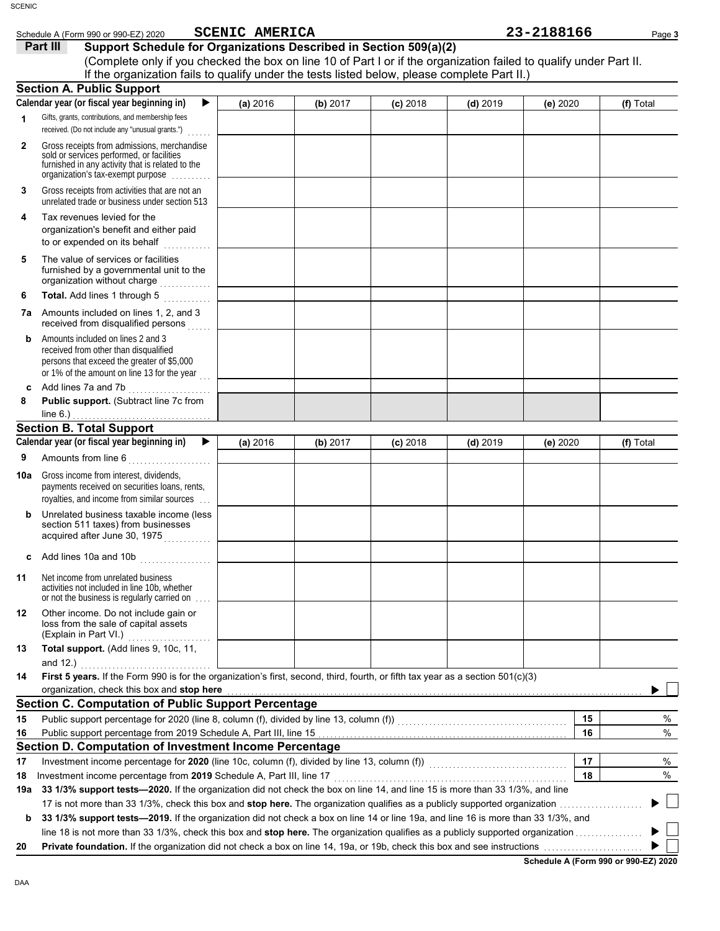| Schedule A (Form 990 or 990-EZ) 2020                                                                                                                                                                                                                                                                | <b>SCENIC AMERICA</b> |          |            |            | 23-2188166 | Page 3    |
|-----------------------------------------------------------------------------------------------------------------------------------------------------------------------------------------------------------------------------------------------------------------------------------------------------|-----------------------|----------|------------|------------|------------|-----------|
| Part III<br>Support Schedule for Organizations Described in Section 509(a)(2)<br>(Complete only if you checked the box on line 10 of Part I or if the organization failed to qualify under Part II.<br>If the organization fails to qualify under the tests listed below, please complete Part II.) |                       |          |            |            |            |           |
| <b>Section A. Public Support</b>                                                                                                                                                                                                                                                                    |                       |          |            |            |            |           |
| Calendar year (or fiscal year beginning in)<br>▶                                                                                                                                                                                                                                                    | (a) 2016              | (b) 2017 | $(c)$ 2018 | $(d)$ 2019 | (e) 2020   | (f) Total |
| Gifts, grants, contributions, and membership fees<br>1<br>received. (Do not include any "unusual grants.")                                                                                                                                                                                          |                       |          |            |            |            |           |
| Gross receipts from admissions, merchandise<br>$\mathbf{2}$<br>sold or services performed, or facilities<br>furnished in any activity that is related to the<br>organization's tax-exempt purpose                                                                                                   |                       |          |            |            |            |           |
| Gross receipts from activities that are not an<br>3<br>unrelated trade or business under section 513                                                                                                                                                                                                |                       |          |            |            |            |           |
| Tax revenues levied for the<br>4<br>organization's benefit and either paid<br>to or expended on its behalf<br>.                                                                                                                                                                                     |                       |          |            |            |            |           |
| The value of services or facilities<br>5<br>furnished by a governmental unit to the<br>organization without charge                                                                                                                                                                                  |                       |          |            |            |            |           |
| Total. Add lines 1 through 5<br>6                                                                                                                                                                                                                                                                   |                       |          |            |            |            |           |
| Amounts included on lines 1, 2, and 3<br>7а<br>received from disqualified persons                                                                                                                                                                                                                   |                       |          |            |            |            |           |
| Amounts included on lines 2 and 3<br>b<br>received from other than disqualified<br>persons that exceed the greater of \$5,000<br>or 1% of the amount on line 13 for the year $\ldots$                                                                                                               |                       |          |            |            |            |           |
| Add lines 7a and 7b [ <i>[[[[[[[[[[[[[[[[[[[[[[]]]]</i><br>c                                                                                                                                                                                                                                        |                       |          |            |            |            |           |
| Public support. (Subtract line 7c from<br>8                                                                                                                                                                                                                                                         |                       |          |            |            |            |           |
| line $6.$ )                                                                                                                                                                                                                                                                                         |                       |          |            |            |            |           |
| <b>Section B. Total Support</b>                                                                                                                                                                                                                                                                     |                       |          |            |            |            |           |
| Calendar year (or fiscal year beginning in)<br>▶<br>9                                                                                                                                                                                                                                               | (a) 2016              | (b) 2017 | $(c)$ 2018 | $(d)$ 2019 | (e) 2020   | (f) Total |
| Gross income from interest, dividends,<br>10a<br>payments received on securities loans, rents,<br>royalties, and income from similar sources                                                                                                                                                        |                       |          |            |            |            |           |
| Unrelated business taxable income (less<br>b<br>section 511 taxes) from businesses<br>acquired after June 30, 1975                                                                                                                                                                                  |                       |          |            |            |            |           |
| Add lines 10a and 10b<br>C                                                                                                                                                                                                                                                                          |                       |          |            |            |            |           |
| Net income from unrelated business<br>11<br>activities not included in line 10b, whether<br>or not the business is regularly carried on                                                                                                                                                             |                       |          |            |            |            |           |
| Other income. Do not include gain or<br>12<br>loss from the sale of capital assets                                                                                                                                                                                                                  |                       |          |            |            |            |           |
| Total support. (Add lines 9, 10c, 11,<br>13<br>and $12.$ )                                                                                                                                                                                                                                          |                       |          |            |            |            |           |
| First 5 years. If the Form 990 is for the organization's first, second, third, fourth, or fifth tax year as a section 501(c)(3)<br>14                                                                                                                                                               |                       |          |            |            |            |           |
| organization, check this box and stop here                                                                                                                                                                                                                                                          |                       |          |            |            |            |           |
| <b>Section C. Computation of Public Support Percentage</b>                                                                                                                                                                                                                                          |                       |          |            |            |            |           |
| Public support percentage for 2020 (line 8, column (f), divided by line 13, column (f)) [[[[[[[[[[[[[[[[[[[[[<br>15                                                                                                                                                                                 |                       |          |            |            | 15         |           |
| 16                                                                                                                                                                                                                                                                                                  |                       |          |            |            | 16         |           |
| Section D. Computation of Investment Income Percentage                                                                                                                                                                                                                                              |                       |          |            |            |            |           |
| 17                                                                                                                                                                                                                                                                                                  |                       |          |            |            | 17         |           |
| 18                                                                                                                                                                                                                                                                                                  |                       |          |            |            | 18         |           |
| 33 1/3% support tests-2020. If the organization did not check the box on line 14, and line 15 is more than 33 1/3%, and line<br>19a                                                                                                                                                                 |                       |          |            |            |            |           |
|                                                                                                                                                                                                                                                                                                     |                       |          |            |            |            |           |
| 33 1/3% support tests-2019. If the organization did not check a box on line 14 or line 19a, and line 16 is more than 33 1/3%, and<br>b                                                                                                                                                              |                       |          |            |            |            |           |
| 20                                                                                                                                                                                                                                                                                                  |                       |          |            |            |            |           |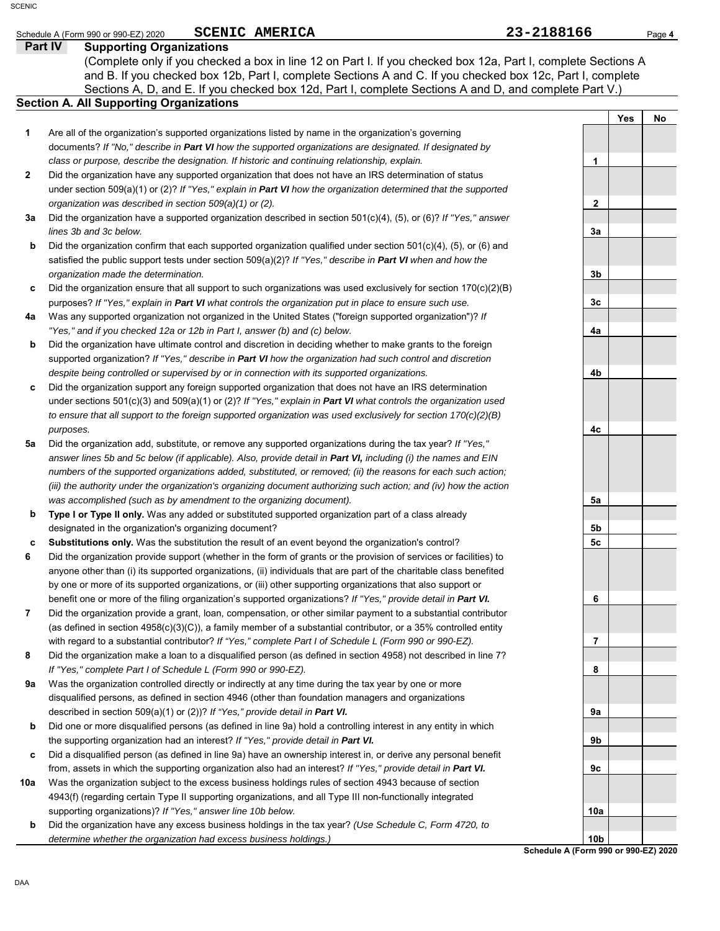| CENIC        | SCENIC AMERICA<br>Schedule A (Form 990 or 990-EZ) 2020                                                               | 23-2188166   |            | Page 4 |
|--------------|----------------------------------------------------------------------------------------------------------------------|--------------|------------|--------|
|              | <b>Part IV</b><br><b>Supporting Organizations</b>                                                                    |              |            |        |
|              | (Complete only if you checked a box in line 12 on Part I. If you checked box 12a, Part I, complete Sections A        |              |            |        |
|              | and B. If you checked box 12b, Part I, complete Sections A and C. If you checked box 12c, Part I, complete           |              |            |        |
|              | Sections A, D, and E. If you checked box 12d, Part I, complete Sections A and D, and complete Part V.)               |              |            |        |
|              | <b>Section A. All Supporting Organizations</b>                                                                       |              |            |        |
|              |                                                                                                                      |              | <b>Yes</b> | No     |
| 1            | Are all of the organization's supported organizations listed by name in the organization's governing                 |              |            |        |
|              | documents? If "No," describe in Part VI how the supported organizations are designated. If designated by             |              |            |        |
|              | class or purpose, describe the designation. If historic and continuing relationship, explain.                        |              |            |        |
| $\mathbf{2}$ | Did the organization have any supported organization that does not have an IRS determination of status               |              |            |        |
|              | under section 509(a)(1) or (2)? If "Yes," explain in Part VI how the organization determined that the supported      |              |            |        |
|              |                                                                                                                      |              |            |        |
|              | organization was described in section 509(a)(1) or (2).                                                              | $\mathbf{2}$ |            |        |
| За           | Did the organization have a supported organization described in section $501(c)(4)$ , (5), or (6)? If "Yes," answer  |              |            |        |
|              | lines 3b and 3c below.                                                                                               | 3a           |            |        |
| b            | Did the organization confirm that each supported organization qualified under section $501(c)(4)$ , (5), or (6) and  |              |            |        |
|              | satisfied the public support tests under section $509(a)(2)$ ? If "Yes," describe in <b>Part VI</b> when and how the |              |            |        |
|              | organization made the determination.                                                                                 | 3b           |            |        |
|              | Did the organization ensure that all support to such organizations was used evolusively for section $170(c)(2)(R)$   |              |            |        |

- **c** Did the organization ensure that all support to such organizations was used exclusively for section 170(c)(2)(B) purposes? *If "Yes," explain in Part VI what controls the organization put in place to ensure such use.*
- **4a** Was any supported organization not organized in the United States ("foreign supported organization")? *If "Yes," and if you checked 12a or 12b in Part I, answer (b) and (c) below.*
- **b** Did the organization have ultimate control and discretion in deciding whether to make grants to the foreign supported organization? *If "Yes," describe in Part VI how the organization had such control and discretion despite being controlled or supervised by or in connection with its supported organizations.*
- **c** Did the organization support any foreign supported organization that does not have an IRS determination under sections 501(c)(3) and 509(a)(1) or (2)? *If "Yes," explain in Part VI what controls the organization used to ensure that all support to the foreign supported organization was used exclusively for section 170(c)(2)(B) purposes.*
- **5a** Did the organization add, substitute, or remove any supported organizations during the tax year? *If "Yes," answer lines 5b and 5c below (if applicable). Also, provide detail in Part VI, including (i) the names and EIN numbers of the supported organizations added, substituted, or removed; (ii) the reasons for each such action; (iii) the authority under the organization's organizing document authorizing such action; and (iv) how the action was accomplished (such as by amendment to the organizing document).*
- **b Type I or Type II only.** Was any added or substituted supported organization part of a class already designated in the organization's organizing document?
- **c Substitutions only.** Was the substitution the result of an event beyond the organization's control?
- **6** Did the organization provide support (whether in the form of grants or the provision of services or facilities) to anyone other than (i) its supported organizations, (ii) individuals that are part of the charitable class benefited by one or more of its supported organizations, or (iii) other supporting organizations that also support or benefit one or more of the filing organization's supported organizations? *If "Yes," provide detail in Part VI.*
- **7** Did the organization provide a grant, loan, compensation, or other similar payment to a substantial contributor (as defined in section 4958(c)(3)(C)), a family member of a substantial contributor, or a 35% controlled entity with regard to a substantial contributor? *If "Yes," complete Part I of Schedule L (Form 990 or 990-EZ).*
- **8** Did the organization make a loan to a disqualified person (as defined in section 4958) not described in line 7? *If "Yes," complete Part I of Schedule L (Form 990 or 990-EZ).*
- **9a** Was the organization controlled directly or indirectly at any time during the tax year by one or more disqualified persons, as defined in section 4946 (other than foundation managers and organizations described in section 509(a)(1) or (2))? *If "Yes," provide detail in Part VI.*
- **b** Did one or more disqualified persons (as defined in line 9a) hold a controlling interest in any entity in which the supporting organization had an interest? *If "Yes," provide detail in Part VI.*
- **c** Did a disqualified person (as defined in line 9a) have an ownership interest in, or derive any personal benefit from, assets in which the supporting organization also had an interest? *If "Yes," provide detail in Part VI.*
- **10a** Was the organization subject to the excess business holdings rules of section 4943 because of section 4943(f) (regarding certain Type II supporting organizations, and all Type III non-functionally integrated supporting organizations)? *If "Yes," answer line 10b below.*
	- **b** Did the organization have any excess business holdings in the tax year? *(Use Schedule C, Form 4720, to determine whether the organization had excess business holdings.)*

**3c 4a 4b 4c 5a 5b 5c 6 7 8 9a 9b 9c 10a**

**Schedule A (Form 990 or 990-EZ) 2020 10b**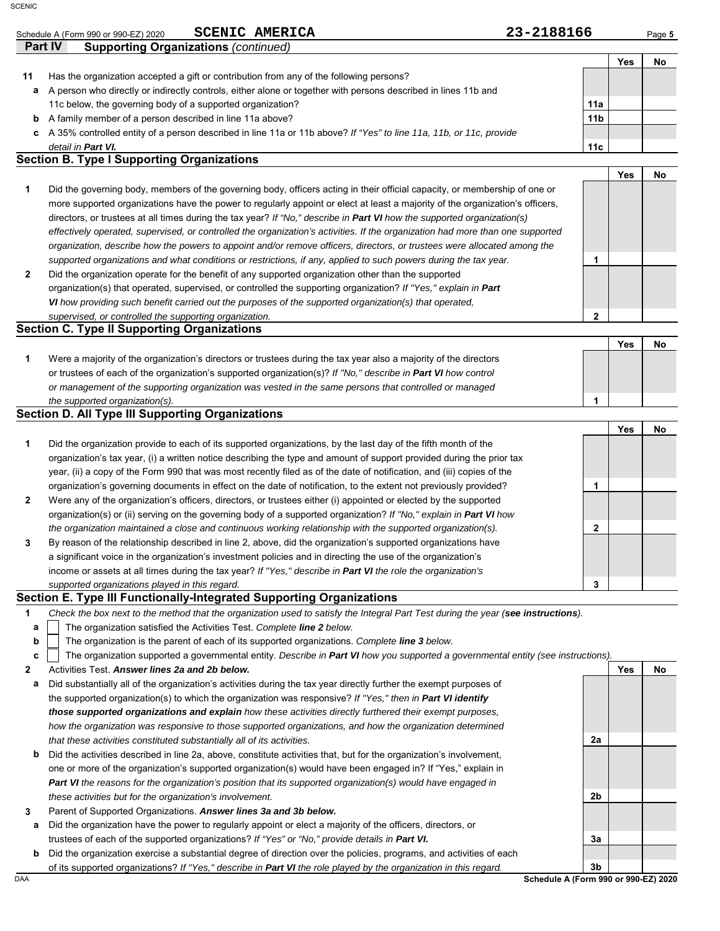### Schedule A (Form 990 or 990-EZ) 2020 **SCENIC AMERICA Page 5 Page 5 Page 5 Page 5 SCENIC AMERICA**

|    | Part IV<br><b>Supporting Organizations (continued)</b>                                                             |                 |     |  |
|----|--------------------------------------------------------------------------------------------------------------------|-----------------|-----|--|
|    |                                                                                                                    |                 | Yes |  |
| 11 | Has the organization accepted a gift or contribution from any of the following persons?                            |                 |     |  |
| а  | A person who directly or indirectly controls, either alone or together with persons described in lines 11b and     |                 |     |  |
|    | 11c below, the governing body of a supported organization?                                                         | 11a             |     |  |
| b  | A family member of a person described in line 11a above?                                                           | 11 <sub>b</sub> |     |  |
| c. | A 35% controlled entity of a person described in line 11a or 11b above? If "Yes" to line 11a, 11b, or 11c, provide |                 |     |  |
|    | detail in Part VI.                                                                                                 | 11c             |     |  |

### **Section B. Type I Supporting Organizations**

|   |                                                                                                                                |   | Yes | No. |
|---|--------------------------------------------------------------------------------------------------------------------------------|---|-----|-----|
|   | Did the governing body, members of the governing body, officers acting in their official capacity, or membership of one or     |   |     |     |
|   | more supported organizations have the power to regularly appoint or elect at least a majority of the organization's officers,  |   |     |     |
|   | directors, or trustees at all times during the tax year? If "No," describe in <b>Part VI</b> how the supported organization(s) |   |     |     |
|   | effectively operated, supervised, or controlled the organization's activities. If the organization had more than one supported |   |     |     |
|   | organization, describe how the powers to appoint and/or remove officers, directors, or trustees were allocated among the       |   |     |     |
|   | supported organizations and what conditions or restrictions, if any, applied to such powers during the tax year.               |   |     |     |
| 2 | Did the organization operate for the benefit of any supported organization other than the supported                            |   |     |     |
|   | organization(s) that operated, supervised, or controlled the supporting organization? If "Yes," explain in Part                |   |     |     |
|   | VI how providing such benefit carried out the purposes of the supported organization(s) that operated,                         |   |     |     |
|   | supervised, or controlled the supporting organization.                                                                         | 2 |     |     |
|   | <b>Section C. Type II Supporting Organizations</b>                                                                             |   |     |     |
|   |                                                                                                                                |   | Yes | No  |
| 1 | Were a majority of the organization's directors or trustees during the tax year also a majority of the directors               |   |     |     |
|   | or trustees of each of the organization's supported organization(s)? If "No," describe in <b>Part VI</b> how control           |   |     |     |

| the supported organization(s).                                                                                          |  |  |
|-------------------------------------------------------------------------------------------------------------------------|--|--|
| or management of the supporting organization was vested in the same persons that controlled or managed                  |  |  |
| of tractoco of each of the eigenfization e-explored eigenfization $\phi$ . In they decomponed in <b>a</b> throw control |  |  |

## **Section D. All Type III Supporting Organizations**

|                |                                                                                                                           |   | Yes | No |
|----------------|---------------------------------------------------------------------------------------------------------------------------|---|-----|----|
| 1              | Did the organization provide to each of its supported organizations, by the last day of the fifth month of the            |   |     |    |
|                | organization's tax year, (i) a written notice describing the type and amount of support provided during the prior tax     |   |     |    |
|                | year, (ii) a copy of the Form 990 that was most recently filed as of the date of notification, and (iii) copies of the    |   |     |    |
|                | organization's governing documents in effect on the date of notification, to the extent not previously provided?          |   |     |    |
| $\overline{2}$ | Were any of the organization's officers, directors, or trustees either (i) appointed or elected by the supported          |   |     |    |
|                | organization(s) or (ii) serving on the governing body of a supported organization? If "No," explain in <b>Part VI</b> how |   |     |    |
|                | the organization maintained a close and continuous working relationship with the supported organization(s).               | ◠ |     |    |
| $3^{\circ}$    | By reason of the relationship described in line 2, above, did the organization's supported organizations have             |   |     |    |
|                | a significant voice in the organization's investment policies and in directing the use of the organization's              |   |     |    |
|                | income or assets at all times during the tax year? If "Yes," describe in <b>Part VI</b> the role the organization's       |   |     |    |
|                | supported organizations played in this regard.                                                                            | 3 |     |    |

## **Section E. Type III Functionally-Integrated Supporting Organizations**

**1** *Check the box next to the method that the organization used to satisfy the Integral Part Test during the year (see instructions).*

- The organization satisfied the Activities Test. *Complete line 2 below.* **a**
- The organization is the parent of each of its supported organizations. *Complete line 3 below.* **b**

The organization supported a governmental entity. *Describe in Part VI how you supported a governmental entity (see instructions).* **c**

- **2** Activities Test. *Answer lines 2a and 2b below.*
- **a** Did substantially all of the organization's activities during the tax year directly further the exempt purposes of the supported organization(s) to which the organization was responsive? *If "Yes," then in Part VI identify those supported organizations and explain how these activities directly furthered their exempt purposes, how the organization was responsive to those supported organizations, and how the organization determined that these activities constituted substantially all of its activities.*
- **b** Did the activities described in line 2a, above, constitute activities that, but for the organization's involvement, one or more of the organization's supported organization(s) would have been engaged in? If "Yes," explain in *Part VI the reasons for the organization's position that its supported organization(s) would have engaged in these activities but for the organization's involvement.*
- **3** Parent of Supported Organizations. *Answer lines 3a and 3b below.*
- **a** Did the organization have the power to regularly appoint or elect a majority of the officers, directors, or trustees of each of the supported organizations? *If "Yes" or "No," provide details in Part VI.*
- **b** Did the organization exercise a substantial degree of direction over the policies, programs, and activities of each of its supported organizations? *If "Yes," describe in Part VI the role played by the organization in this regard.*

DAA **Schedule A (Form 990 or 990-EZ) 2020 3b**

**2a**

**2b**

**3a**

**Yes No**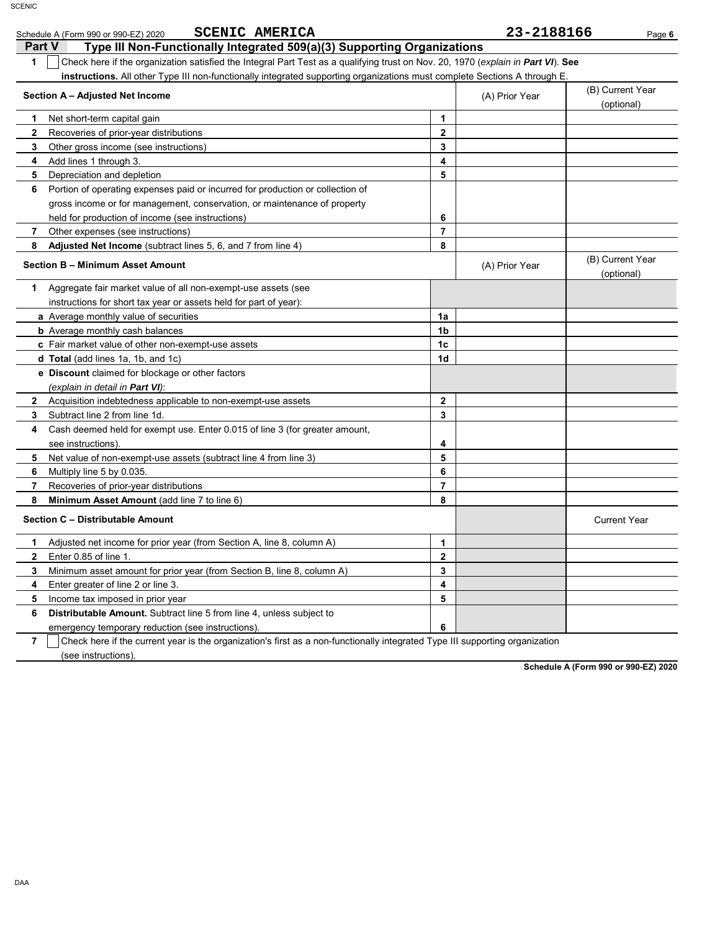| <b>SCENIC AMERICA</b><br>Schedule A (Form 990 or 990-EZ) 2020                                                                         |                | 23-2188166     | Page 6                         |
|---------------------------------------------------------------------------------------------------------------------------------------|----------------|----------------|--------------------------------|
| <b>Part V</b><br>Type III Non-Functionally Integrated 509(a)(3) Supporting Organizations                                              |                |                |                                |
| Check here if the organization satisfied the Integral Part Test as a qualifying trust on Nov. 20, 1970 (explain in Part VI). See<br>1 |                |                |                                |
| instructions. All other Type III non-functionally integrated supporting organizations must complete Sections A through E              |                |                |                                |
| Section A - Adjusted Net Income                                                                                                       |                | (A) Prior Year | (B) Current Year<br>(optional) |
| 1<br>Net short-term capital gain                                                                                                      | 1              |                |                                |
| $\mathbf{2}$<br>Recoveries of prior-year distributions                                                                                | $\mathbf{2}$   |                |                                |
| 3<br>Other gross income (see instructions)                                                                                            | 3              |                |                                |
| Add lines 1 through 3.<br>4                                                                                                           | 4              |                |                                |
| Depreciation and depletion<br>5                                                                                                       | 5              |                |                                |
| Portion of operating expenses paid or incurred for production or collection of<br>6                                                   |                |                |                                |
| gross income or for management, conservation, or maintenance of property                                                              |                |                |                                |
| held for production of income (see instructions)                                                                                      | 6              |                |                                |
| 7<br>Other expenses (see instructions)                                                                                                | $\overline{7}$ |                |                                |
| Adjusted Net Income (subtract lines 5, 6, and 7 from line 4)<br>8                                                                     | 8              |                |                                |
| Section B - Minimum Asset Amount                                                                                                      |                | (A) Prior Year | (B) Current Year<br>(optional) |
| Aggregate fair market value of all non-exempt-use assets (see<br>1                                                                    |                |                |                                |
| instructions for short tax year or assets held for part of year):                                                                     |                |                |                                |
| a Average monthly value of securities                                                                                                 | 1a             |                |                                |
| <b>b</b> Average monthly cash balances                                                                                                | 1b             |                |                                |
| c Fair market value of other non-exempt-use assets                                                                                    | 1c             |                |                                |
| d Total (add lines 1a, 1b, and 1c)                                                                                                    | 1d             |                |                                |
| <b>e</b> Discount claimed for blockage or other factors                                                                               |                |                |                                |
| (explain in detail in <b>Part VI</b> ):                                                                                               |                |                |                                |
| $\mathbf{2}$<br>Acquisition indebtedness applicable to non-exempt-use assets                                                          | $\mathbf{2}$   |                |                                |
| Subtract line 2 from line 1d.<br>3                                                                                                    | 3              |                |                                |
| Cash deemed held for exempt use. Enter 0.015 of line 3 (for greater amount,<br>4                                                      |                |                |                                |
| see instructions)                                                                                                                     | 4              |                |                                |
| 5<br>Net value of non-exempt-use assets (subtract line 4 from line 3)                                                                 | 5              |                |                                |
| 6<br>Multiply line 5 by 0.035.                                                                                                        | 6              |                |                                |
| Recoveries of prior-year distributions<br>7                                                                                           | $\overline{7}$ |                |                                |
| 8<br>Minimum Asset Amount (add line 7 to line 6)                                                                                      | 8              |                |                                |
| Section C - Distributable Amount                                                                                                      |                |                | <b>Current Year</b>            |
| Adjusted net income for prior year (from Section A, line 8, column A)<br>1.                                                           | 1              |                |                                |
| $\mathbf{2}$<br>Enter 0.85 of line 1.                                                                                                 | $\overline{2}$ |                |                                |
| 3<br>Minimum asset amount for prior year (from Section B, line 8, column A)                                                           | 3              |                |                                |
| 4<br>Enter greater of line 2 or line 3.                                                                                               | 4              |                |                                |
| 5<br>Income tax imposed in prior year                                                                                                 | 5              |                |                                |
| 6<br>Distributable Amount. Subtract line 5 from line 4, unless subject to                                                             |                |                |                                |
| emergency temporary reduction (see instructions).                                                                                     | 6              |                |                                |

**7** (see instructions). Check here if the current year is the organization's first as a non-functionally integrated Type III supporting organization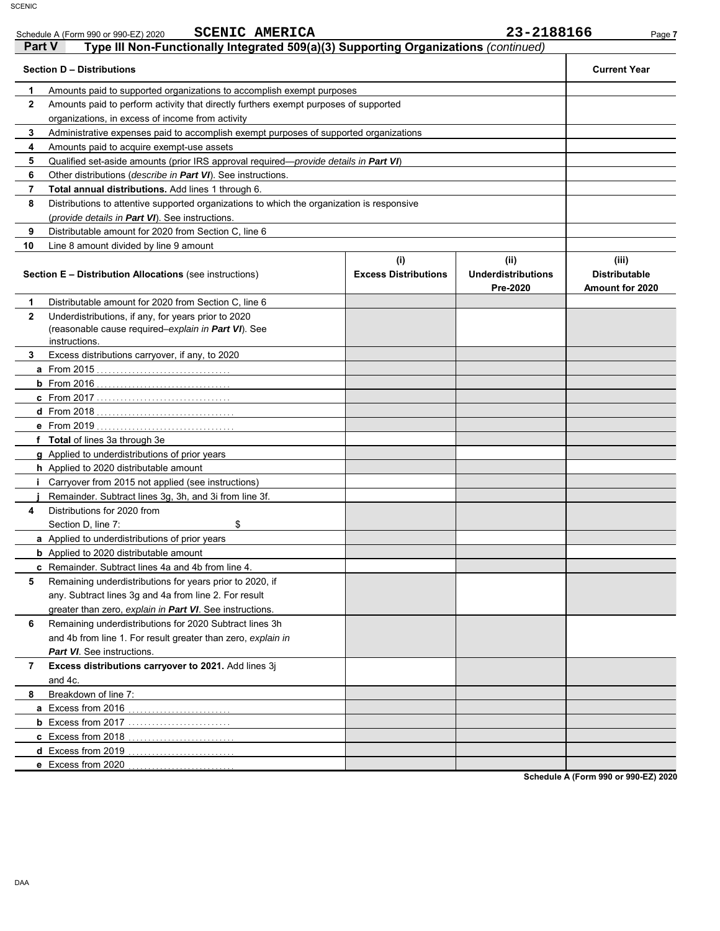|              | Schedule A (Form 990 or 990-EZ) 2020                                                                                        | <b>SCENIC AMERICA</b>                                                                      |                                    | 23-2188166                                    | Page 7                                                  |
|--------------|-----------------------------------------------------------------------------------------------------------------------------|--------------------------------------------------------------------------------------------|------------------------------------|-----------------------------------------------|---------------------------------------------------------|
| Part V       |                                                                                                                             | Type III Non-Functionally Integrated 509(a)(3) Supporting Organizations (continued)        |                                    |                                               |                                                         |
|              | <b>Section D - Distributions</b>                                                                                            |                                                                                            |                                    |                                               | <b>Current Year</b>                                     |
| 1            |                                                                                                                             | Amounts paid to supported organizations to accomplish exempt purposes                      |                                    |                                               |                                                         |
| $\mathbf{2}$ |                                                                                                                             | Amounts paid to perform activity that directly furthers exempt purposes of supported       |                                    |                                               |                                                         |
|              | organizations, in excess of income from activity                                                                            |                                                                                            |                                    |                                               |                                                         |
| 3            |                                                                                                                             | Administrative expenses paid to accomplish exempt purposes of supported organizations      |                                    |                                               |                                                         |
| 4            | Amounts paid to acquire exempt-use assets                                                                                   |                                                                                            |                                    |                                               |                                                         |
| 5            |                                                                                                                             | Qualified set-aside amounts (prior IRS approval required—provide details in Part VI)       |                                    |                                               |                                                         |
| 6            | Other distributions ( <i>describe in <b>Part VI</b></i> ). See instructions.                                                |                                                                                            |                                    |                                               |                                                         |
| 7            | Total annual distributions. Add lines 1 through 6.                                                                          |                                                                                            |                                    |                                               |                                                         |
| 8            |                                                                                                                             | Distributions to attentive supported organizations to which the organization is responsive |                                    |                                               |                                                         |
|              | (provide details in Part VI). See instructions.                                                                             |                                                                                            |                                    |                                               |                                                         |
| 9            | Distributable amount for 2020 from Section C, line 6                                                                        |                                                                                            |                                    |                                               |                                                         |
| 10           | Line 8 amount divided by line 9 amount                                                                                      |                                                                                            |                                    |                                               |                                                         |
|              | <b>Section E - Distribution Allocations (see instructions)</b>                                                              |                                                                                            | (i)<br><b>Excess Distributions</b> | (ii)<br><b>Underdistributions</b><br>Pre-2020 | (iii)<br><b>Distributable</b><br><b>Amount for 2020</b> |
| 1            | Distributable amount for 2020 from Section C, line 6                                                                        |                                                                                            |                                    |                                               |                                                         |
| $\mathbf{2}$ | Underdistributions, if any, for years prior to 2020<br>(reasonable cause required–explain in Part VI). See<br>instructions. |                                                                                            |                                    |                                               |                                                         |
| 3            | Excess distributions carryover, if any, to 2020                                                                             |                                                                                            |                                    |                                               |                                                         |
|              |                                                                                                                             |                                                                                            |                                    |                                               |                                                         |
|              |                                                                                                                             |                                                                                            |                                    |                                               |                                                         |
|              |                                                                                                                             |                                                                                            |                                    |                                               |                                                         |
|              |                                                                                                                             |                                                                                            |                                    |                                               |                                                         |
|              |                                                                                                                             |                                                                                            |                                    |                                               |                                                         |
|              | f Total of lines 3a through 3e                                                                                              |                                                                                            |                                    |                                               |                                                         |
|              | g Applied to underdistributions of prior years                                                                              |                                                                                            |                                    |                                               |                                                         |
|              | h Applied to 2020 distributable amount                                                                                      |                                                                                            |                                    |                                               |                                                         |
|              | <i>i</i> Carryover from 2015 not applied (see instructions)                                                                 |                                                                                            |                                    |                                               |                                                         |
|              | Remainder. Subtract lines 3g, 3h, and 3i from line 3f.                                                                      |                                                                                            |                                    |                                               |                                                         |
| 4            | Distributions for 2020 from                                                                                                 |                                                                                            |                                    |                                               |                                                         |
|              | Section D, line 7:                                                                                                          | \$                                                                                         |                                    |                                               |                                                         |
|              | <b>a</b> Applied to underdistributions of prior years                                                                       |                                                                                            |                                    |                                               |                                                         |
|              | <b>b</b> Applied to 2020 distributable amount                                                                               |                                                                                            |                                    |                                               |                                                         |
|              | <b>c</b> Remainder. Subtract lines 4a and 4b from line 4.                                                                   |                                                                                            |                                    |                                               |                                                         |
| 5            | Remaining underdistributions for years prior to 2020, if                                                                    |                                                                                            |                                    |                                               |                                                         |
|              | any. Subtract lines 3g and 4a from line 2. For result                                                                       |                                                                                            |                                    |                                               |                                                         |
|              | greater than zero, explain in Part VI. See instructions.                                                                    |                                                                                            |                                    |                                               |                                                         |
| 6            | Remaining underdistributions for 2020 Subtract lines 3h                                                                     |                                                                                            |                                    |                                               |                                                         |
|              | and 4b from line 1. For result greater than zero, explain in                                                                |                                                                                            |                                    |                                               |                                                         |
|              | Part VI. See instructions.                                                                                                  |                                                                                            |                                    |                                               |                                                         |
| 7            | Excess distributions carryover to 2021. Add lines 3j                                                                        |                                                                                            |                                    |                                               |                                                         |
|              | and 4c.                                                                                                                     |                                                                                            |                                    |                                               |                                                         |
| 8            | Breakdown of line 7:                                                                                                        |                                                                                            |                                    |                                               |                                                         |
|              | a Excess from 2016                                                                                                          |                                                                                            |                                    |                                               |                                                         |
|              |                                                                                                                             |                                                                                            |                                    |                                               |                                                         |
|              |                                                                                                                             |                                                                                            |                                    |                                               |                                                         |
|              | d Excess from 2019                                                                                                          |                                                                                            |                                    |                                               |                                                         |
|              | e Excess from 2020                                                                                                          |                                                                                            |                                    |                                               |                                                         |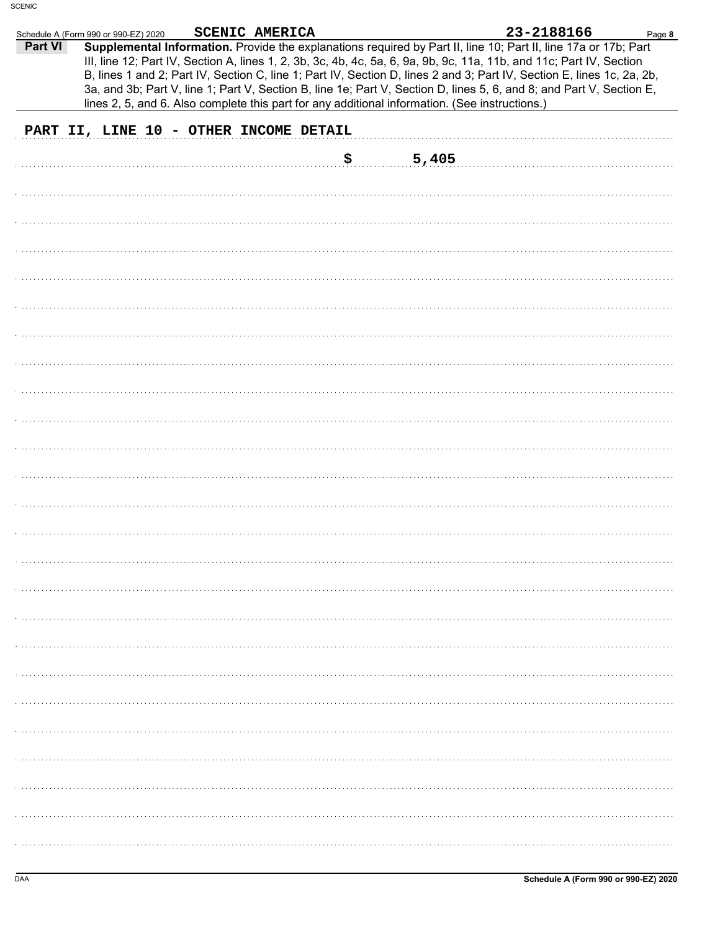| Part VI | Schedule A (Form 990 or 990-EZ) 2020 | SCENIC AMERICA                                                                                 |             | 23-2188166<br>Supplemental Information. Provide the explanations required by Part II, line 10; Part II, line 17a or 17b; Part                                                                                                                                                                                                                                          | Page 8 |
|---------|--------------------------------------|------------------------------------------------------------------------------------------------|-------------|------------------------------------------------------------------------------------------------------------------------------------------------------------------------------------------------------------------------------------------------------------------------------------------------------------------------------------------------------------------------|--------|
|         |                                      |                                                                                                |             | III, line 12; Part IV, Section A, lines 1, 2, 3b, 3c, 4b, 4c, 5a, 6, 9a, 9b, 9c, 11a, 11b, and 11c; Part IV, Section<br>B, lines 1 and 2; Part IV, Section C, line 1; Part IV, Section D, lines 2 and 3; Part IV, Section E, lines 1c, 2a, 2b,<br>3a, and 3b; Part V, line 1; Part V, Section B, line 1e; Part V, Section D, lines 5, 6, and 8; and Part V, Section E, |        |
|         |                                      | lines 2, 5, and 6. Also complete this part for any additional information. (See instructions.) |             |                                                                                                                                                                                                                                                                                                                                                                        |        |
|         |                                      | PART II, LINE 10 - OTHER INCOME DETAIL                                                         |             |                                                                                                                                                                                                                                                                                                                                                                        |        |
|         |                                      |                                                                                                | \$<br>5,405 |                                                                                                                                                                                                                                                                                                                                                                        |        |
|         |                                      |                                                                                                |             |                                                                                                                                                                                                                                                                                                                                                                        |        |
|         |                                      |                                                                                                |             |                                                                                                                                                                                                                                                                                                                                                                        |        |
|         |                                      |                                                                                                |             |                                                                                                                                                                                                                                                                                                                                                                        |        |
|         |                                      |                                                                                                |             |                                                                                                                                                                                                                                                                                                                                                                        |        |
|         |                                      |                                                                                                |             |                                                                                                                                                                                                                                                                                                                                                                        |        |
|         |                                      |                                                                                                |             |                                                                                                                                                                                                                                                                                                                                                                        |        |
|         |                                      |                                                                                                |             |                                                                                                                                                                                                                                                                                                                                                                        |        |
|         |                                      |                                                                                                |             |                                                                                                                                                                                                                                                                                                                                                                        |        |
|         |                                      |                                                                                                |             |                                                                                                                                                                                                                                                                                                                                                                        |        |
|         |                                      |                                                                                                |             |                                                                                                                                                                                                                                                                                                                                                                        |        |
|         |                                      |                                                                                                |             |                                                                                                                                                                                                                                                                                                                                                                        |        |
|         |                                      |                                                                                                |             |                                                                                                                                                                                                                                                                                                                                                                        |        |
|         |                                      |                                                                                                |             |                                                                                                                                                                                                                                                                                                                                                                        |        |
|         |                                      |                                                                                                |             |                                                                                                                                                                                                                                                                                                                                                                        |        |
|         |                                      |                                                                                                |             |                                                                                                                                                                                                                                                                                                                                                                        |        |
|         |                                      |                                                                                                |             |                                                                                                                                                                                                                                                                                                                                                                        |        |
|         |                                      |                                                                                                |             |                                                                                                                                                                                                                                                                                                                                                                        |        |
|         |                                      |                                                                                                |             |                                                                                                                                                                                                                                                                                                                                                                        |        |
|         |                                      |                                                                                                |             |                                                                                                                                                                                                                                                                                                                                                                        |        |
|         |                                      |                                                                                                |             |                                                                                                                                                                                                                                                                                                                                                                        |        |
|         |                                      |                                                                                                |             |                                                                                                                                                                                                                                                                                                                                                                        |        |
|         |                                      |                                                                                                |             |                                                                                                                                                                                                                                                                                                                                                                        |        |
|         |                                      |                                                                                                |             |                                                                                                                                                                                                                                                                                                                                                                        |        |
|         |                                      |                                                                                                |             |                                                                                                                                                                                                                                                                                                                                                                        |        |
|         |                                      |                                                                                                |             |                                                                                                                                                                                                                                                                                                                                                                        |        |
|         |                                      |                                                                                                |             |                                                                                                                                                                                                                                                                                                                                                                        |        |
|         |                                      |                                                                                                |             |                                                                                                                                                                                                                                                                                                                                                                        |        |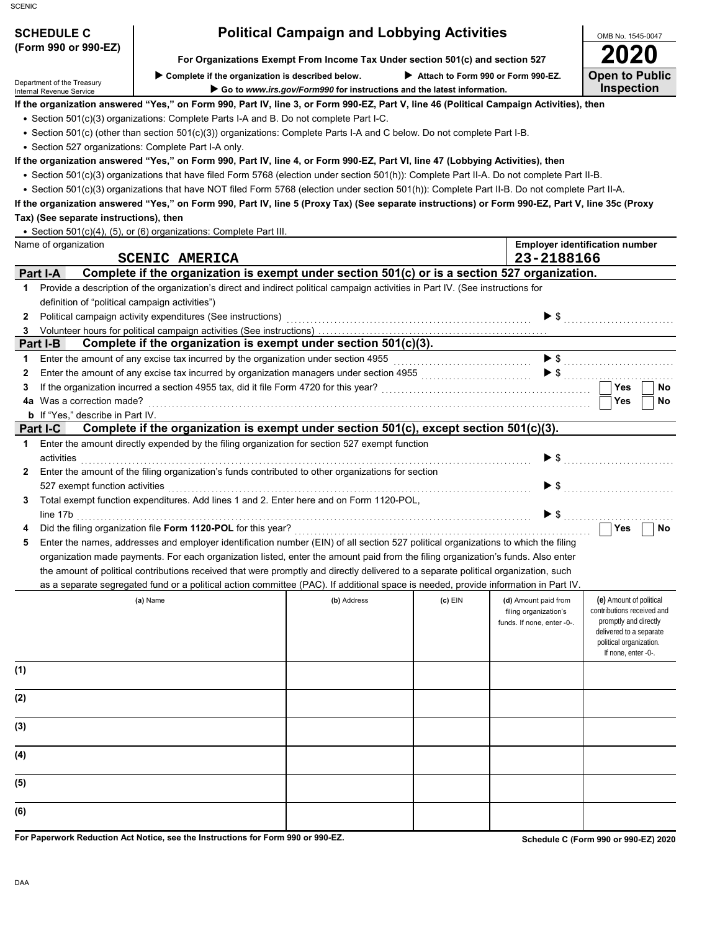| <b>SCHEDULE C</b>    | <b>Political Campaign and Lobbying Activities</b>                             | OMB No. 1545-004 |  |
|----------------------|-------------------------------------------------------------------------------|------------------|--|
| (Form 990 or 990-EZ) |                                                                               | 2020             |  |
|                      | For Organizations Exempt From Income Tax Under section 501(c) and section 527 |                  |  |

# Department of the Treasury<br>Internal Revenue Service

▶ Complete if the organization is described below. ▶ Attach to Form 990 or Form 990-EZ.

 **Go to** *www.irs.gov/Form990* **for instructions and the latest information.**

**If the organization answered "Yes," on Form 990, Part IV, line 3, or Form 990-EZ, Part V, line 46 (Political Campaign Activities), then**

• Section 501(c)(3) organizations: Complete Parts I-A and B. Do not complete Part I-C.

• Section 501(c) (other than section 501(c)(3)) organizations: Complete Parts I-A and C below. Do not complete Part I-B.

• Section 527 organizations: Complete Part I-A only.

**If the organization answered "Yes," on Form 990, Part IV, line 4, or Form 990-EZ, Part VI, line 47 (Lobbying Activities), then**

• Section 501(c)(3) organizations that have filed Form 5768 (election under section 501(h)): Complete Part II-A. Do not complete Part II-B.

• Section 501(c)(3) organizations that have NOT filed Form 5768 (election under section 501(h)): Complete Part II-B. Do not complete Part II-A.

**If the organization answered "Yes," on Form 990, Part IV, line 5 (Proxy Tax) (See separate instructions) or Form 990-EZ, Part V, line 35c (Proxy Tax) (See separate instructions), then**

Section 501(c)(4), (5), or (6) organizations: Complete Part III. •

|              | • Section 501(c)(4), (5), or (6) organizations: Complete Part III.                                                                  |             |           |                            |                                                     |
|--------------|-------------------------------------------------------------------------------------------------------------------------------------|-------------|-----------|----------------------------|-----------------------------------------------------|
|              | Name of organization                                                                                                                |             |           |                            | <b>Employer identification number</b>               |
|              | <b>SCENIC AMERICA</b>                                                                                                               |             |           | 23-2188166                 |                                                     |
|              | Complete if the organization is exempt under section 501(c) or is a section 527 organization.<br>Part I-A                           |             |           |                            |                                                     |
| 1.           | Provide a description of the organization's direct and indirect political campaign activities in Part IV. (See instructions for     |             |           |                            |                                                     |
|              | definition of "political campaign activities")                                                                                      |             |           |                            |                                                     |
| $\mathbf{2}$ | Political campaign activity expenditures (See instructions) [11] productions and the control of the control of                      |             |           |                            |                                                     |
| 3            | Volunteer hours for political campaign activities (See instructions)                                                                |             |           |                            |                                                     |
|              | Complete if the organization is exempt under section 501(c)(3).<br>Part I-B                                                         |             |           |                            |                                                     |
| 1.           | Enter the amount of any excise tax incurred by the organization under section 4955                                                  |             |           | $\blacktriangleright$ \$   |                                                     |
| $\mathbf{2}$ | Enter the amount of any excise tax incurred by organization managers under section 4955 [[[[[[[[[[[[[[[[[[[[[                       |             |           |                            | $\triangleright$ \$                                 |
| 3            |                                                                                                                                     |             |           |                            | Yes<br>No                                           |
|              | 4a Was a correction made?                                                                                                           |             |           |                            | Yes<br>No                                           |
|              | <b>b</b> If "Yes," describe in Part IV.                                                                                             |             |           |                            |                                                     |
|              | Complete if the organization is exempt under section 501(c), except section 501(c)(3).<br>Part I-C                                  |             |           |                            |                                                     |
| $\mathbf 1$  | Enter the amount directly expended by the filing organization for section 527 exempt function                                       |             |           |                            |                                                     |
|              | activities                                                                                                                          |             |           | $\blacktriangleright$ s    |                                                     |
| $\mathbf{2}$ | Enter the amount of the filing organization's funds contributed to other organizations for section                                  |             |           |                            |                                                     |
|              |                                                                                                                                     |             |           | $\blacktriangleright$ \$   |                                                     |
| 3.           | Total exempt function expenditures. Add lines 1 and 2. Enter here and on Form 1120-POL,                                             |             |           |                            |                                                     |
|              | line 17b                                                                                                                            |             |           | $\blacktriangleright$ \$   |                                                     |
| 4            |                                                                                                                                     |             |           |                            | Yes<br>No                                           |
| 5            | Enter the names, addresses and employer identification number (EIN) of all section 527 political organizations to which the filing  |             |           |                            |                                                     |
|              | organization made payments. For each organization listed, enter the amount paid from the filing organization's funds. Also enter    |             |           |                            |                                                     |
|              | the amount of political contributions received that were promptly and directly delivered to a separate political organization, such |             |           |                            |                                                     |
|              | as a separate segregated fund or a political action committee (PAC). If additional space is needed, provide information in Part IV. |             |           |                            |                                                     |
|              | (a) Name                                                                                                                            | (b) Address | $(c)$ EIN | (d) Amount paid from       | (e) Amount of political                             |
|              |                                                                                                                                     |             |           | filing organization's      | contributions received and<br>promptly and directly |
|              |                                                                                                                                     |             |           | funds. If none, enter -0-. | delivered to a separate                             |
|              |                                                                                                                                     |             |           |                            | political organization.                             |
|              |                                                                                                                                     |             |           |                            | If none, enter -0-.                                 |
| (1)          |                                                                                                                                     |             |           |                            |                                                     |
|              |                                                                                                                                     |             |           |                            |                                                     |
| (2)          |                                                                                                                                     |             |           |                            |                                                     |
|              |                                                                                                                                     |             |           |                            |                                                     |
| (3)          |                                                                                                                                     |             |           |                            |                                                     |
|              |                                                                                                                                     |             |           |                            |                                                     |
| (4)          |                                                                                                                                     |             |           |                            |                                                     |
|              |                                                                                                                                     |             |           |                            |                                                     |
| (5)          |                                                                                                                                     |             |           |                            |                                                     |
|              |                                                                                                                                     |             |           |                            |                                                     |
| (6)          |                                                                                                                                     |             |           |                            |                                                     |
|              |                                                                                                                                     |             |           |                            |                                                     |

**For Paperwork Reduction Act Notice, see the Instructions for Form 990 or 990-EZ.**

**Schedule C (Form 990 or 990-EZ) 2020**

1545-0047

**Open to Public Inspection**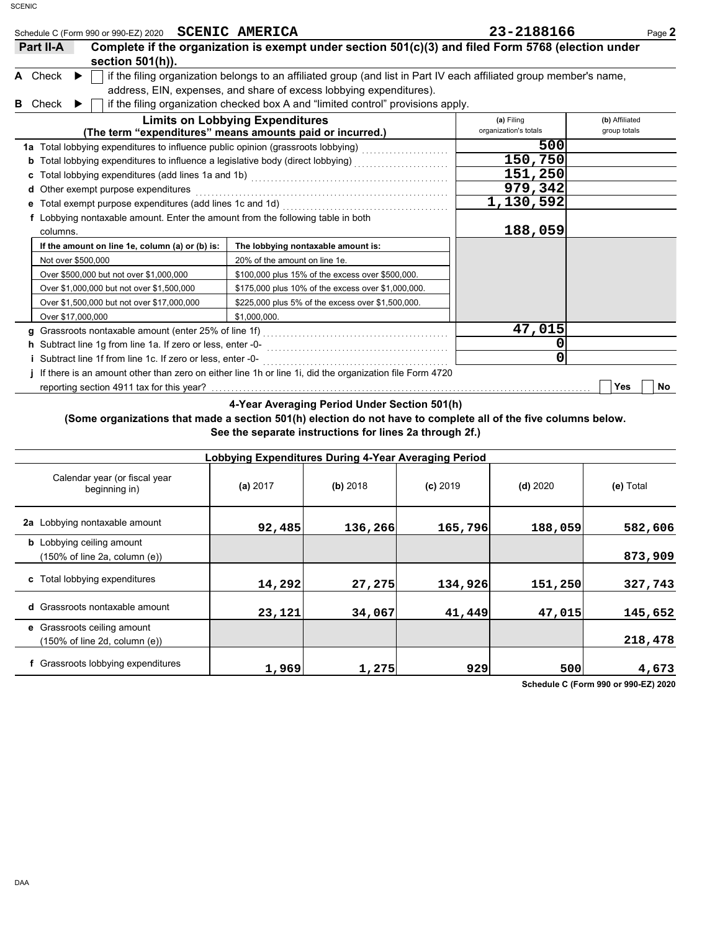|   | Schedule C (Form 990 or 990-EZ) 2020 SCENIC AMERICA                              |                                                                                                                                                                                                                                                                                | 23-2188166                          | Page 2                         |
|---|----------------------------------------------------------------------------------|--------------------------------------------------------------------------------------------------------------------------------------------------------------------------------------------------------------------------------------------------------------------------------|-------------------------------------|--------------------------------|
|   | Part II-A<br>section $501(h)$ ).                                                 | Complete if the organization is exempt under section 501(c)(3) and filed Form 5768 (election under                                                                                                                                                                             |                                     |                                |
| в | A Check<br>$\blacktriangleright$<br>Check                                        | if the filing organization belongs to an affiliated group (and list in Part IV each affiliated group member's name,<br>address, EIN, expenses, and share of excess lobbying expenditures).<br>if the filing organization checked box A and "limited control" provisions apply. |                                     |                                |
|   |                                                                                  | <b>Limits on Lobbying Expenditures</b><br>(The term "expenditures" means amounts paid or incurred.)                                                                                                                                                                            | (a) Filing<br>organization's totals | (b) Affiliated<br>group totals |
|   | 1a Total lobbying expenditures to influence public opinion (grassroots lobbying) |                                                                                                                                                                                                                                                                                | 500                                 |                                |
|   |                                                                                  |                                                                                                                                                                                                                                                                                | 150,750                             |                                |
|   |                                                                                  |                                                                                                                                                                                                                                                                                | 151,250                             |                                |
|   | Other exempt purpose expenditures<br>d                                           |                                                                                                                                                                                                                                                                                | 979,342                             |                                |
|   |                                                                                  |                                                                                                                                                                                                                                                                                | 1,130,592                           |                                |
|   | f Lobbying nontaxable amount. Enter the amount from the following table in both  |                                                                                                                                                                                                                                                                                |                                     |                                |
|   | columns.                                                                         |                                                                                                                                                                                                                                                                                | 188,059                             |                                |
|   | If the amount on line 1e, column (a) or (b) is:                                  | The lobbying nontaxable amount is:                                                                                                                                                                                                                                             |                                     |                                |
|   | Not over \$500,000                                                               | 20% of the amount on line 1e.                                                                                                                                                                                                                                                  |                                     |                                |
|   | Over \$500,000 but not over \$1,000,000                                          | \$100,000 plus 15% of the excess over \$500,000.                                                                                                                                                                                                                               |                                     |                                |
|   | Over \$1,000,000 but not over \$1,500,000                                        | \$175,000 plus 10% of the excess over \$1,000,000.                                                                                                                                                                                                                             |                                     |                                |
|   | Over \$1,500,000 but not over \$17,000,000                                       | \$225,000 plus 5% of the excess over \$1,500,000.                                                                                                                                                                                                                              |                                     |                                |
|   | Over \$17,000,000                                                                | \$1,000,000.                                                                                                                                                                                                                                                                   |                                     |                                |
|   | g                                                                                |                                                                                                                                                                                                                                                                                | 47,015                              |                                |
|   |                                                                                  |                                                                                                                                                                                                                                                                                | 0                                   |                                |
|   | Subtract line 1f from line 1c. If zero or less, enter -0-                        |                                                                                                                                                                                                                                                                                | ი                                   |                                |
|   |                                                                                  | If there is an amount other than zero on either line 1h or line 1i, did the organization file Form 4720                                                                                                                                                                        |                                     |                                |
|   | reporting section 4911 tax for this year?                                        |                                                                                                                                                                                                                                                                                |                                     | Yes<br>No                      |
|   |                                                                                  | 4-Year Averaging Period Under Section 501(h)                                                                                                                                                                                                                                   |                                     |                                |

## **(Some organizations that made a section 501(h) election do not have to complete all of the five columns below. See the separate instructions for lines 2a through 2f.)**

| Lobbying Expenditures During 4-Year Averaging Period                                   |          |          |            |            |           |  |  |  |
|----------------------------------------------------------------------------------------|----------|----------|------------|------------|-----------|--|--|--|
| Calendar year (or fiscal year<br>beginning in)                                         | (a) 2017 | (b) 2018 | $(c)$ 2019 | $(d)$ 2020 | (e) Total |  |  |  |
| 2a Lobbying nontaxable amount                                                          | 92,485   | 136,266  | 165,796    | 188,059    | 582,606   |  |  |  |
| <b>b</b> Lobbying ceiling amount<br>$(150\% \text{ of line } 2a, \text{ column } (e))$ |          |          |            |            | 873,909   |  |  |  |
| c Total lobbying expenditures                                                          | 14,292   | 27,275   | 134,926    | 151,250    | 327,743   |  |  |  |
| <b>d</b> Grassroots nontaxable amount                                                  | 23,121   | 34,067   | 41,449     | 47,015     | 145,652   |  |  |  |
| e Grassroots ceiling amount<br>(150% of line 2d, column (e))                           |          |          |            |            | 218,478   |  |  |  |
| f Grassroots lobbying expenditures                                                     | 1,969    | 1,275    | 929        | 500        | 4,673     |  |  |  |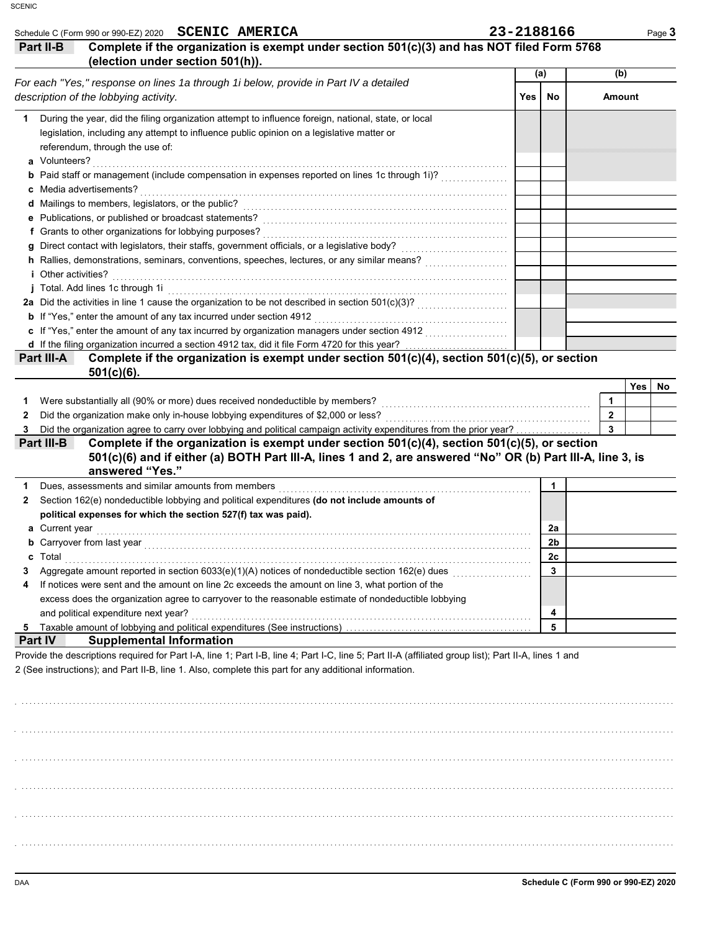| Complete if the organization is exempt under section 501(c)(3) and has NOT filed Form 5768<br>(election under section 501(h)).                   |      |              |                         |             |
|--------------------------------------------------------------------------------------------------------------------------------------------------|------|--------------|-------------------------|-------------|
|                                                                                                                                                  |      |              |                         |             |
| For each "Yes," response on lines 1a through 1i below, provide in Part IV a detailed                                                             |      | (a)          | (b)                     |             |
| description of the lobbying activity.                                                                                                            | Yes. | No           | <b>Amount</b>           |             |
| During the year, did the filing organization attempt to influence foreign, national, state, or local<br>1                                        |      |              |                         |             |
| legislation, including any attempt to influence public opinion on a legislative matter or                                                        |      |              |                         |             |
| referendum, through the use of:                                                                                                                  |      |              |                         |             |
|                                                                                                                                                  |      |              |                         |             |
| <b>b</b> Paid staff or management (include compensation in expenses reported on lines 1c through 1i)?                                            |      |              |                         |             |
|                                                                                                                                                  |      |              |                         |             |
|                                                                                                                                                  |      |              |                         |             |
|                                                                                                                                                  |      |              |                         |             |
|                                                                                                                                                  |      |              |                         |             |
|                                                                                                                                                  |      |              |                         |             |
|                                                                                                                                                  |      |              |                         |             |
|                                                                                                                                                  |      |              |                         |             |
|                                                                                                                                                  |      |              |                         |             |
|                                                                                                                                                  |      |              |                         |             |
|                                                                                                                                                  |      |              |                         |             |
| c If "Yes," enter the amount of any tax incurred by organization managers under section 4912                                                     |      |              |                         |             |
| d If the filing organization incurred a section 4912 tax, did it file Form 4720 for this year?                                                   |      |              |                         |             |
|                                                                                                                                                  |      |              |                         |             |
| Complete if the organization is exempt under section 501(c)(4), section 501(c)(5), or section<br>$501(c)(6)$ .                                   |      |              |                         |             |
|                                                                                                                                                  |      |              |                         | Yes  <br>No |
| Were substantially all (90% or more) dues received nondeductible by members?                                                                     |      |              | 1                       |             |
|                                                                                                                                                  |      |              | $\mathbf{2}$            |             |
| Part III-A<br>1<br>2<br>Did the organization agree to carry over lobbying and political campaign activity expenditures from the prior year?<br>3 |      |              | $\overline{\mathbf{3}}$ |             |
| Complete if the organization is exempt under section $501(c)(4)$ , section $501(c)(5)$ , or section<br>Part III-B                                |      |              |                         |             |
| 501(c)(6) and if either (a) BOTH Part III-A, lines 1 and 2, are answered "No" OR (b) Part III-A, line 3, is<br>answered "Yes."                   |      |              |                         |             |
|                                                                                                                                                  |      | 1            |                         |             |
| Dues, assessments and similar amounts from members [11] production contains assessments and similar amounts from members                         |      |              |                         |             |
| Section 162(e) nondeductible lobbying and political expenditures (do not include amounts of                                                      |      |              |                         |             |
| political expenses for which the section 527(f) tax was paid).                                                                                   |      | 2a           |                         |             |
|                                                                                                                                                  |      | 2b           |                         |             |
| c                                                                                                                                                |      | 2c           |                         |             |
| Total                                                                                                                                            |      | $\mathbf{3}$ |                         |             |
| Aggregate amount reported in section 6033(e)(1)(A) notices of nondeductible section 162(e) dues [[[[[[[[[[[[[[                                   |      |              |                         |             |
| If notices were sent and the amount on line 2c exceeds the amount on line 3, what portion of the                                                 |      |              |                         |             |
| excess does the organization agree to carryover to the reasonable estimate of nondeductible lobbying                                             |      | 4            |                         |             |
| $\mathbf{2}$<br>and political expenditure next year?<br>5.                                                                                       |      | 5            |                         |             |

. . . . . . . . . . . . . . . . . . . . . . . . . . . . . . . . . . . . . . . . . . . . . . . . . . . . . . . . . . . . . . . . . . . . . . . . . . . . . . . . . . . . . . . . . . . . . . . . . . . . . . . . . . . . . . . . . . . . . . . . . . . . . . . . . . . . . . . . . . . . . . . . . . . . . . . . . . . . . . . . . . . . . .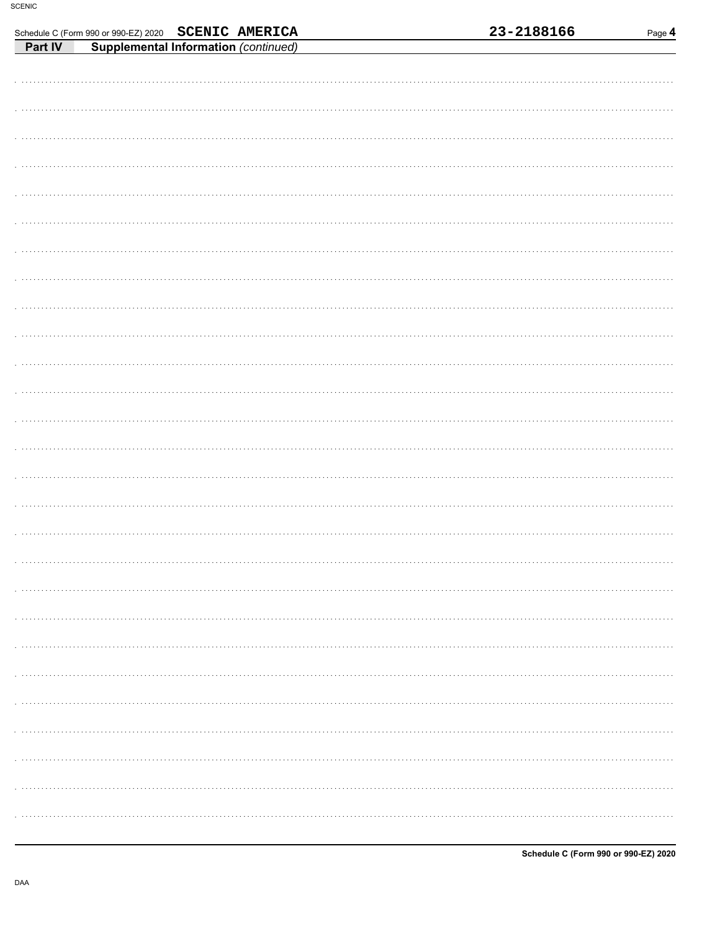|                                                                                                     |  |  | 23-2188166 | Page 4 |
|-----------------------------------------------------------------------------------------------------|--|--|------------|--------|
| Schedule C (Form 990 or 990-EZ) 2020 SCENIC AMERICA<br>Part IV Supplemental Information (continued) |  |  |            |        |
|                                                                                                     |  |  |            |        |
|                                                                                                     |  |  |            |        |
|                                                                                                     |  |  |            |        |
|                                                                                                     |  |  |            |        |
|                                                                                                     |  |  |            |        |
|                                                                                                     |  |  |            |        |
|                                                                                                     |  |  |            |        |
|                                                                                                     |  |  |            |        |
|                                                                                                     |  |  |            |        |
|                                                                                                     |  |  |            |        |
|                                                                                                     |  |  |            |        |
|                                                                                                     |  |  |            |        |
|                                                                                                     |  |  |            |        |
|                                                                                                     |  |  |            |        |
|                                                                                                     |  |  |            |        |
|                                                                                                     |  |  |            |        |
|                                                                                                     |  |  |            |        |
|                                                                                                     |  |  |            |        |
|                                                                                                     |  |  |            |        |
|                                                                                                     |  |  |            |        |
|                                                                                                     |  |  |            |        |
|                                                                                                     |  |  |            |        |
|                                                                                                     |  |  |            |        |
|                                                                                                     |  |  |            |        |
|                                                                                                     |  |  |            |        |
|                                                                                                     |  |  |            |        |
|                                                                                                     |  |  |            |        |
|                                                                                                     |  |  |            |        |
|                                                                                                     |  |  |            |        |
|                                                                                                     |  |  |            |        |
|                                                                                                     |  |  |            |        |
|                                                                                                     |  |  |            |        |
|                                                                                                     |  |  |            |        |
|                                                                                                     |  |  |            |        |
|                                                                                                     |  |  |            |        |
|                                                                                                     |  |  |            |        |
|                                                                                                     |  |  |            |        |
|                                                                                                     |  |  |            |        |
|                                                                                                     |  |  |            |        |
|                                                                                                     |  |  |            |        |
|                                                                                                     |  |  |            |        |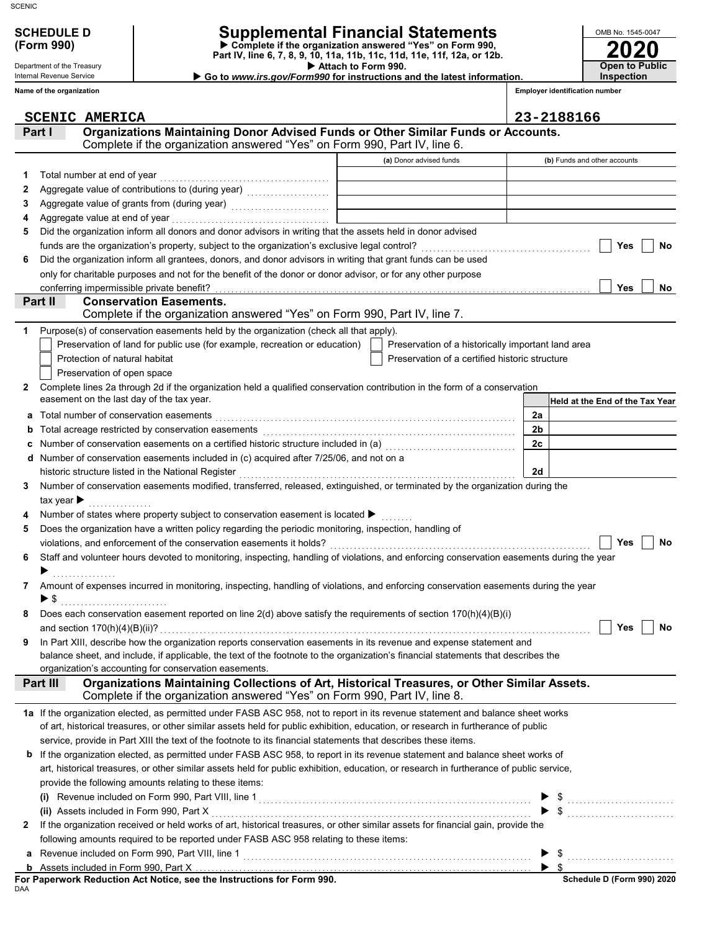### Department of the Treasury Internal Revenue Service

**Name of the organization**

# **SCHEDULE D Supplemental Financial Statements**

 **Attach to Form 990. (Form 990) Part IV, line 6, 7, 8, 9, 10, 11a, 11b, 11c, 11d, 11e, 11f, 12a, or 12b. Complete if the organization answered "Yes" on Form 990,**

▶ Go to *www.irs.gov/Form990* for instructions and the latest information.

**Employer identification number Inspection**

**2020**

**Open to Public**

OMB No. 1545-0047

|        | <b>SCENIC AMERICA</b>                                                                                                                                                                 |                | 23-2188166                                                                                                                                                                                                                                                                                                                                                                                                                                                                                                      |
|--------|---------------------------------------------------------------------------------------------------------------------------------------------------------------------------------------|----------------|-----------------------------------------------------------------------------------------------------------------------------------------------------------------------------------------------------------------------------------------------------------------------------------------------------------------------------------------------------------------------------------------------------------------------------------------------------------------------------------------------------------------|
|        | Organizations Maintaining Donor Advised Funds or Other Similar Funds or Accounts.<br>Part I                                                                                           |                |                                                                                                                                                                                                                                                                                                                                                                                                                                                                                                                 |
|        | Complete if the organization answered "Yes" on Form 990, Part IV, line 6.                                                                                                             |                |                                                                                                                                                                                                                                                                                                                                                                                                                                                                                                                 |
|        | (a) Donor advised funds                                                                                                                                                               |                | (b) Funds and other accounts                                                                                                                                                                                                                                                                                                                                                                                                                                                                                    |
|        | Total number at end of year                                                                                                                                                           |                |                                                                                                                                                                                                                                                                                                                                                                                                                                                                                                                 |
| 2      |                                                                                                                                                                                       |                |                                                                                                                                                                                                                                                                                                                                                                                                                                                                                                                 |
| 3      | Aggregate value of grants from (during year) Mathematical Landscape Control Control Control Control Control Co                                                                        |                |                                                                                                                                                                                                                                                                                                                                                                                                                                                                                                                 |
| 4      |                                                                                                                                                                                       |                |                                                                                                                                                                                                                                                                                                                                                                                                                                                                                                                 |
| 5      | Did the organization inform all donors and donor advisors in writing that the assets held in donor advised                                                                            |                |                                                                                                                                                                                                                                                                                                                                                                                                                                                                                                                 |
|        |                                                                                                                                                                                       |                | Yes<br>No                                                                                                                                                                                                                                                                                                                                                                                                                                                                                                       |
| 6      | Did the organization inform all grantees, donors, and donor advisors in writing that grant funds can be used                                                                          |                |                                                                                                                                                                                                                                                                                                                                                                                                                                                                                                                 |
|        | only for charitable purposes and not for the benefit of the donor or donor advisor, or for any other purpose                                                                          |                |                                                                                                                                                                                                                                                                                                                                                                                                                                                                                                                 |
|        | conferring impermissible private benefit?                                                                                                                                             |                | Yes<br>No                                                                                                                                                                                                                                                                                                                                                                                                                                                                                                       |
|        | Part II<br><b>Conservation Easements.</b>                                                                                                                                             |                |                                                                                                                                                                                                                                                                                                                                                                                                                                                                                                                 |
|        | Complete if the organization answered "Yes" on Form 990, Part IV, line 7.                                                                                                             |                |                                                                                                                                                                                                                                                                                                                                                                                                                                                                                                                 |
|        | Purpose(s) of conservation easements held by the organization (check all that apply).                                                                                                 |                |                                                                                                                                                                                                                                                                                                                                                                                                                                                                                                                 |
|        | Preservation of land for public use (for example, recreation or education)<br>Preservation of a historically important land area                                                      |                |                                                                                                                                                                                                                                                                                                                                                                                                                                                                                                                 |
|        | Protection of natural habitat<br>Preservation of a certified historic structure                                                                                                       |                |                                                                                                                                                                                                                                                                                                                                                                                                                                                                                                                 |
|        | Preservation of open space                                                                                                                                                            |                |                                                                                                                                                                                                                                                                                                                                                                                                                                                                                                                 |
| 2      | Complete lines 2a through 2d if the organization held a qualified conservation contribution in the form of a conservation                                                             |                |                                                                                                                                                                                                                                                                                                                                                                                                                                                                                                                 |
|        | easement on the last day of the tax year.                                                                                                                                             |                | Held at the End of the Tax Year                                                                                                                                                                                                                                                                                                                                                                                                                                                                                 |
| а      | Total number of conservation easements                                                                                                                                                | 2a             |                                                                                                                                                                                                                                                                                                                                                                                                                                                                                                                 |
| b      |                                                                                                                                                                                       | 2 <sub>b</sub> |                                                                                                                                                                                                                                                                                                                                                                                                                                                                                                                 |
| c      | Number of conservation easements on a certified historic structure included in (a)<br>[20]                                                                                            | 2c             |                                                                                                                                                                                                                                                                                                                                                                                                                                                                                                                 |
| d      | Number of conservation easements included in (c) acquired after 7/25/06, and not on a                                                                                                 |                |                                                                                                                                                                                                                                                                                                                                                                                                                                                                                                                 |
|        | historic structure listed in the National Register                                                                                                                                    | 2d             |                                                                                                                                                                                                                                                                                                                                                                                                                                                                                                                 |
| 3      | Number of conservation easements modified, transferred, released, extinguished, or terminated by the organization during the                                                          |                |                                                                                                                                                                                                                                                                                                                                                                                                                                                                                                                 |
|        | tax year $\blacktriangleright$                                                                                                                                                        |                |                                                                                                                                                                                                                                                                                                                                                                                                                                                                                                                 |
| 4      | Number of states where property subject to conservation easement is located ▶                                                                                                         |                |                                                                                                                                                                                                                                                                                                                                                                                                                                                                                                                 |
|        | Does the organization have a written policy regarding the periodic monitoring, inspection, handling of                                                                                |                |                                                                                                                                                                                                                                                                                                                                                                                                                                                                                                                 |
|        |                                                                                                                                                                                       |                | <b>Yes</b><br>No                                                                                                                                                                                                                                                                                                                                                                                                                                                                                                |
| 6      | Staff and volunteer hours devoted to monitoring, inspecting, handling of violations, and enforcing conservation easements during the year                                             |                |                                                                                                                                                                                                                                                                                                                                                                                                                                                                                                                 |
|        |                                                                                                                                                                                       |                |                                                                                                                                                                                                                                                                                                                                                                                                                                                                                                                 |
| 7      | Amount of expenses incurred in monitoring, inspecting, handling of violations, and enforcing conservation easements during the year                                                   |                |                                                                                                                                                                                                                                                                                                                                                                                                                                                                                                                 |
|        | $\blacktriangleright$ \$                                                                                                                                                              |                |                                                                                                                                                                                                                                                                                                                                                                                                                                                                                                                 |
|        | Does each conservation easement reported on line 2(d) above satisfy the requirements of section 170(h)(4)(B)(i)                                                                       |                |                                                                                                                                                                                                                                                                                                                                                                                                                                                                                                                 |
|        |                                                                                                                                                                                       |                |                                                                                                                                                                                                                                                                                                                                                                                                                                                                                                                 |
|        | In Part XIII, describe how the organization reports conservation easements in its revenue and expense statement and                                                                   |                |                                                                                                                                                                                                                                                                                                                                                                                                                                                                                                                 |
|        | balance sheet, and include, if applicable, the text of the footnote to the organization's financial statements that describes the                                                     |                |                                                                                                                                                                                                                                                                                                                                                                                                                                                                                                                 |
|        | organization's accounting for conservation easements.                                                                                                                                 |                |                                                                                                                                                                                                                                                                                                                                                                                                                                                                                                                 |
|        | Organizations Maintaining Collections of Art, Historical Treasures, or Other Similar Assets.<br>Part III<br>Complete if the organization answered "Yes" on Form 990, Part IV, line 8. |                |                                                                                                                                                                                                                                                                                                                                                                                                                                                                                                                 |
|        | 1a If the organization elected, as permitted under FASB ASC 958, not to report in its revenue statement and balance sheet works                                                       |                |                                                                                                                                                                                                                                                                                                                                                                                                                                                                                                                 |
|        | of art, historical treasures, or other similar assets held for public exhibition, education, or research in furtherance of public                                                     |                |                                                                                                                                                                                                                                                                                                                                                                                                                                                                                                                 |
|        | service, provide in Part XIII the text of the footnote to its financial statements that describes these items.                                                                        |                |                                                                                                                                                                                                                                                                                                                                                                                                                                                                                                                 |
|        |                                                                                                                                                                                       |                |                                                                                                                                                                                                                                                                                                                                                                                                                                                                                                                 |
|        | If the organization elected, as permitted under FASB ASC 958, to report in its revenue statement and balance sheet works of                                                           |                |                                                                                                                                                                                                                                                                                                                                                                                                                                                                                                                 |
|        | art, historical treasures, or other similar assets held for public exhibition, education, or research in furtherance of public service,                                               |                |                                                                                                                                                                                                                                                                                                                                                                                                                                                                                                                 |
|        | provide the following amounts relating to these items:                                                                                                                                |                |                                                                                                                                                                                                                                                                                                                                                                                                                                                                                                                 |
|        |                                                                                                                                                                                       |                |                                                                                                                                                                                                                                                                                                                                                                                                                                                                                                                 |
|        |                                                                                                                                                                                       |                |                                                                                                                                                                                                                                                                                                                                                                                                                                                                                                                 |
|        | (ii) Assets included in Form 990, Part X                                                                                                                                              |                |                                                                                                                                                                                                                                                                                                                                                                                                                                                                                                                 |
| b<br>2 | If the organization received or held works of art, historical treasures, or other similar assets for financial gain, provide the                                                      |                | $\begin{array}{c} \mathsf{S} \\ \mathsf{S} \end{array} \begin{array}{c} \begin{array}{c} \mathsf{S} \\ \mathsf{S} \end{array} \end{array} \begin{array}{c} \begin{array}{c} \mathsf{S} \\ \mathsf{S} \end{array} \end{array} \begin{array}{c} \begin{array}{c} \mathsf{S} \\ \mathsf{S} \end{array} \end{array} \begin{array}{c} \begin{array}{c} \mathsf{S} \\ \mathsf{S} \end{array} \end{array} \begin{array}{c} \begin{array}{c} \mathsf{S} \\ \mathsf{S} \end{array} \end{array} \begin{array}{c} \begin{$ |
| a      | following amounts required to be reported under FASB ASC 958 relating to these items:                                                                                                 |                | $\$\,$                                                                                                                                                                                                                                                                                                                                                                                                                                                                                                          |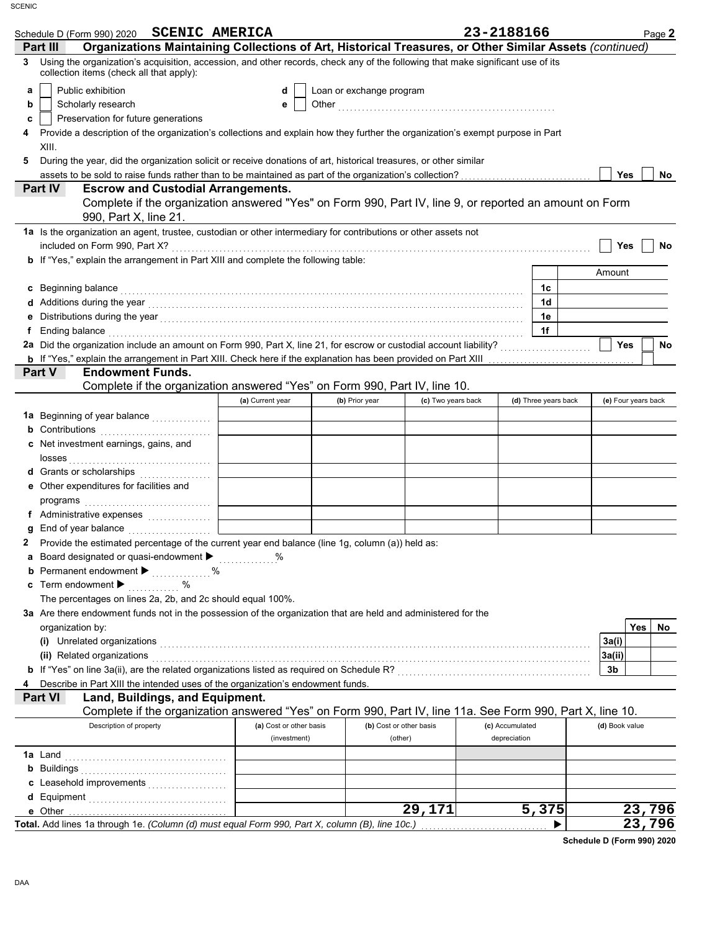| Schedule D (Form 990) 2020 SCENIC AMERICA                                                                                                                                                                                                |                         |                          |                    | 23-2188166      |                      |                | Page 2              |
|------------------------------------------------------------------------------------------------------------------------------------------------------------------------------------------------------------------------------------------|-------------------------|--------------------------|--------------------|-----------------|----------------------|----------------|---------------------|
| Organizations Maintaining Collections of Art, Historical Treasures, or Other Similar Assets (continued)<br>Part III                                                                                                                      |                         |                          |                    |                 |                      |                |                     |
| Using the organization's acquisition, accession, and other records, check any of the following that make significant use of its<br>3<br>collection items (check all that apply):                                                         |                         |                          |                    |                 |                      |                |                     |
| Public exhibition<br>а                                                                                                                                                                                                                   |                         | Loan or exchange program |                    |                 |                      |                |                     |
| b<br>Scholarly research                                                                                                                                                                                                                  |                         |                          |                    |                 |                      |                |                     |
| Preservation for future generations<br>c                                                                                                                                                                                                 |                         |                          |                    |                 |                      |                |                     |
| Provide a description of the organization's collections and explain how they further the organization's exempt purpose in Part<br>4                                                                                                      |                         |                          |                    |                 |                      |                |                     |
| XIII.                                                                                                                                                                                                                                    |                         |                          |                    |                 |                      |                |                     |
| During the year, did the organization solicit or receive donations of art, historical treasures, or other similar<br>5                                                                                                                   |                         |                          |                    |                 |                      |                |                     |
|                                                                                                                                                                                                                                          |                         |                          |                    |                 |                      | <b>Yes</b>     | No                  |
| <b>Part IV</b><br><b>Escrow and Custodial Arrangements.</b><br>Complete if the organization answered "Yes" on Form 990, Part IV, line 9, or reported an amount on Form                                                                   |                         |                          |                    |                 |                      |                |                     |
| 990, Part X, line 21.<br>1a Is the organization an agent, trustee, custodian or other intermediary for contributions or other assets not                                                                                                 |                         |                          |                    |                 |                      |                |                     |
|                                                                                                                                                                                                                                          |                         |                          |                    |                 |                      | Yes            | <b>No</b>           |
| b If "Yes," explain the arrangement in Part XIII and complete the following table:                                                                                                                                                       |                         |                          |                    |                 |                      |                |                     |
|                                                                                                                                                                                                                                          |                         |                          |                    |                 |                      | Amount         |                     |
| c Beginning balance <b>contract to the contract of the set of the contract of the contract of the contract of the contract of the contract of the contract of the contract of the contract of the contract of the contract of th</b>     |                         |                          |                    |                 | 1c                   |                |                     |
|                                                                                                                                                                                                                                          |                         |                          |                    |                 | 1d                   |                |                     |
| e Distributions during the year manufactured and contact the year manufactured with the set of the year manufactured with the set of the set of the set of the set of the set of the set of the set of the set of the set of t           |                         |                          |                    |                 | 1е                   |                |                     |
| Ending balance with a continuum contract the contract of the contract of the contract of the contract of the contract of the contract of the contract of the contract of the contract of the contract of the contract of the c<br>f.     |                         |                          |                    |                 | 1f                   |                |                     |
|                                                                                                                                                                                                                                          |                         |                          |                    |                 |                      | <b>Yes</b>     | No                  |
|                                                                                                                                                                                                                                          |                         |                          |                    |                 |                      |                |                     |
| <b>Endowment Funds.</b><br><b>Part V</b>                                                                                                                                                                                                 |                         |                          |                    |                 |                      |                |                     |
| Complete if the organization answered "Yes" on Form 990, Part IV, line 10.                                                                                                                                                               |                         |                          |                    |                 | (d) Three years back |                |                     |
|                                                                                                                                                                                                                                          | (a) Current year        | (b) Prior year           | (c) Two years back |                 |                      |                | (e) Four years back |
| 1a Beginning of year balance                                                                                                                                                                                                             |                         |                          |                    |                 |                      |                |                     |
| <b>b</b> Contributions<br>c Net investment earnings, gains, and                                                                                                                                                                          |                         |                          |                    |                 |                      |                |                     |
|                                                                                                                                                                                                                                          |                         |                          |                    |                 |                      |                |                     |
| d Grants or scholarships                                                                                                                                                                                                                 |                         |                          |                    |                 |                      |                |                     |
| e Other expenditures for facilities and                                                                                                                                                                                                  |                         |                          |                    |                 |                      |                |                     |
|                                                                                                                                                                                                                                          |                         |                          |                    |                 |                      |                |                     |
|                                                                                                                                                                                                                                          |                         |                          |                    |                 |                      |                |                     |
| g End of year balance                                                                                                                                                                                                                    |                         |                          |                    |                 |                      |                |                     |
| Provide the estimated percentage of the current year end balance (line 1g, column (a)) held as:<br>2                                                                                                                                     |                         |                          |                    |                 |                      |                |                     |
| Board designated or quasi-endowment > %<br>а                                                                                                                                                                                             |                         |                          |                    |                 |                      |                |                     |
| <b>b</b> Permanent endowment <b>D</b> 2000 minutes of 2010 minutes and 2010 minutes of 2010 minutes and 2010 minutes of 2010 minutes and 2010 minutes and 2010 minutes and 2010 minutes and 2010 minutes and 2010 minutes and 2010 minut |                         |                          |                    |                 |                      |                |                     |
| c Term endowment $\blacktriangleright$<br>. %                                                                                                                                                                                            |                         |                          |                    |                 |                      |                |                     |
| The percentages on lines 2a, 2b, and 2c should equal 100%.                                                                                                                                                                               |                         |                          |                    |                 |                      |                |                     |
| 3a Are there endowment funds not in the possession of the organization that are held and administered for the                                                                                                                            |                         |                          |                    |                 |                      |                |                     |
| organization by:                                                                                                                                                                                                                         |                         |                          |                    |                 |                      |                | Yes<br>No.          |
|                                                                                                                                                                                                                                          |                         |                          |                    |                 |                      | 3a(i)          |                     |
| (ii) Related organizations <b>contract to the contract of the contract of the contract of the contract of the contract of the contract of the contract of the contract of the contract of the contract of the contract of the co</b>     |                         |                          |                    |                 |                      | 3a(ii)         |                     |
| 4                                                                                                                                                                                                                                        |                         |                          |                    |                 |                      | 3b             |                     |
| Describe in Part XIII the intended uses of the organization's endowment funds.<br>Land, Buildings, and Equipment.<br><b>Part VI</b>                                                                                                      |                         |                          |                    |                 |                      |                |                     |
| Complete if the organization answered "Yes" on Form 990, Part IV, line 11a. See Form 990, Part X, line 10.                                                                                                                               |                         |                          |                    |                 |                      |                |                     |
| Description of property                                                                                                                                                                                                                  | (a) Cost or other basis | (b) Cost or other basis  |                    | (c) Accumulated |                      | (d) Book value |                     |
|                                                                                                                                                                                                                                          | (investment)            | (other)                  |                    | depreciation    |                      |                |                     |
|                                                                                                                                                                                                                                          |                         |                          |                    |                 |                      |                |                     |
|                                                                                                                                                                                                                                          |                         |                          |                    |                 |                      |                |                     |
|                                                                                                                                                                                                                                          |                         |                          |                    |                 |                      |                |                     |
|                                                                                                                                                                                                                                          |                         |                          |                    |                 |                      |                |                     |
|                                                                                                                                                                                                                                          |                         |                          | 29,171             |                 | 5,375                |                | 23,796              |
| Total. Add lines 1a through 1e. (Column (d) must equal Form 990, Part X, column (B), line 10c.)                                                                                                                                          |                         |                          |                    |                 | ▶                    |                | 23,796              |

**Schedule D (Form 990) 2020**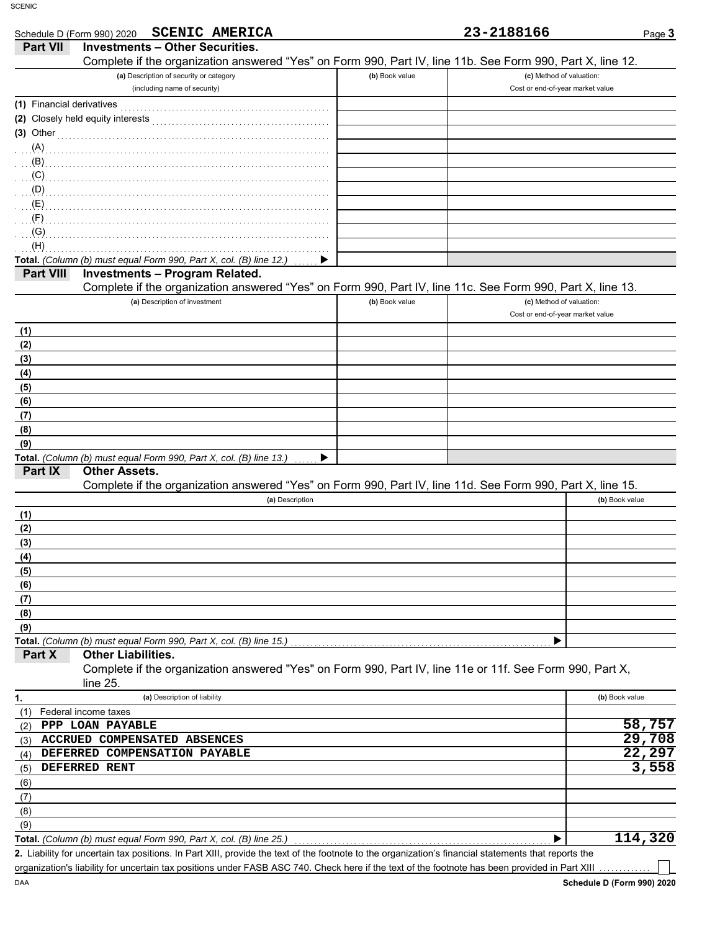|                           | <b>SCENIC AMERICA</b><br>Schedule D (Form 990) 2020                                                                                                 |                | 23-2188166                       | Page 3         |
|---------------------------|-----------------------------------------------------------------------------------------------------------------------------------------------------|----------------|----------------------------------|----------------|
| <b>Part VII</b>           | <b>Investments - Other Securities.</b>                                                                                                              |                |                                  |                |
|                           | Complete if the organization answered "Yes" on Form 990, Part IV, line 11b. See Form 990, Part X, line 12.                                          |                |                                  |                |
|                           | (a) Description of security or category                                                                                                             | (b) Book value | (c) Method of valuation:         |                |
|                           | (including name of security)                                                                                                                        |                | Cost or end-of-year market value |                |
| (1) Financial derivatives |                                                                                                                                                     |                |                                  |                |
|                           |                                                                                                                                                     |                |                                  |                |
| $(3)$ Other               |                                                                                                                                                     |                |                                  |                |
| (A)                       |                                                                                                                                                     |                |                                  |                |
| (B)                       |                                                                                                                                                     |                |                                  |                |
| (C)                       |                                                                                                                                                     |                |                                  |                |
| (D)                       |                                                                                                                                                     |                |                                  |                |
| (E)                       |                                                                                                                                                     |                |                                  |                |
| (F)<br>(G)                |                                                                                                                                                     |                |                                  |                |
| (H)                       |                                                                                                                                                     |                |                                  |                |
|                           | Total. (Column (b) must equal Form 990, Part X, col. (B) line 12.)                                                                                  |                |                                  |                |
| Part VIII                 | <b>Investments - Program Related.</b>                                                                                                               |                |                                  |                |
|                           | Complete if the organization answered "Yes" on Form 990, Part IV, line 11c. See Form 990, Part X, line 13.                                          |                |                                  |                |
|                           | (a) Description of investment                                                                                                                       | (b) Book value | (c) Method of valuation:         |                |
|                           |                                                                                                                                                     |                | Cost or end-of-year market value |                |
| (1)                       |                                                                                                                                                     |                |                                  |                |
| (2)                       |                                                                                                                                                     |                |                                  |                |
| (3)                       |                                                                                                                                                     |                |                                  |                |
| (4)                       |                                                                                                                                                     |                |                                  |                |
| (5)                       |                                                                                                                                                     |                |                                  |                |
| (6)                       |                                                                                                                                                     |                |                                  |                |
| (7)                       |                                                                                                                                                     |                |                                  |                |
| (8)                       |                                                                                                                                                     |                |                                  |                |
| (9)                       |                                                                                                                                                     |                |                                  |                |
| Part IX                   | Total. (Column (b) must equal Form 990, Part X, col. (B) line 13.)<br><b>Other Assets.</b>                                                          |                |                                  |                |
|                           | Complete if the organization answered "Yes" on Form 990, Part IV, line 11d. See Form 990, Part X, line 15.                                          |                |                                  |                |
|                           | (a) Description                                                                                                                                     |                |                                  | (b) Book value |
| (1)                       |                                                                                                                                                     |                |                                  |                |
| (2)                       |                                                                                                                                                     |                |                                  |                |
| (3)                       |                                                                                                                                                     |                |                                  |                |
| (4)                       |                                                                                                                                                     |                |                                  |                |
| (5)                       |                                                                                                                                                     |                |                                  |                |
| (6)                       |                                                                                                                                                     |                |                                  |                |
| (7)                       |                                                                                                                                                     |                |                                  |                |
| (8)                       |                                                                                                                                                     |                |                                  |                |
| (9)                       |                                                                                                                                                     |                |                                  |                |
|                           | Total. (Column (b) must equal Form 990, Part X, col. (B) line 15.)                                                                                  |                |                                  |                |
| Part X                    | <b>Other Liabilities.</b>                                                                                                                           |                |                                  |                |
|                           | Complete if the organization answered "Yes" on Form 990, Part IV, line 11e or 11f. See Form 990, Part X,                                            |                |                                  |                |
|                           | line 25.                                                                                                                                            |                |                                  |                |
| 1.                        | (a) Description of liability                                                                                                                        |                |                                  | (b) Book value |
| (1)                       | Federal income taxes<br>PPP LOAN PAYABLE                                                                                                            |                |                                  | 58,757         |
| (2)<br>(3)                | ACCRUED COMPENSATED ABSENCES                                                                                                                        |                |                                  | 29,708         |
| (4)                       | DEFERRED COMPENSATION PAYABLE                                                                                                                       |                |                                  | 22,297         |
| (5)                       | <b>DEFERRED RENT</b>                                                                                                                                |                |                                  | 3,558          |
| (6)                       |                                                                                                                                                     |                |                                  |                |
| (7)                       |                                                                                                                                                     |                |                                  |                |
| (8)                       |                                                                                                                                                     |                |                                  |                |
| (9)                       |                                                                                                                                                     |                |                                  |                |
|                           | Total. (Column (b) must equal Form 990, Part X, col. (B) line 25.)                                                                                  |                |                                  | 114,320        |
|                           | 2 Lightlity for uncertain tay positions. In Part XIII, provide the text of the footpote to the organization's financial statements that reports the |                |                                  |                |

Liability for uncertain tax positions. In Part XIII, provide the text of the footnote to the organization's financial statements that reports the **2.** organization's liability for uncertain tax positions under FASB ASC 740. Check here if the text of the footnote has been provided in Part XIII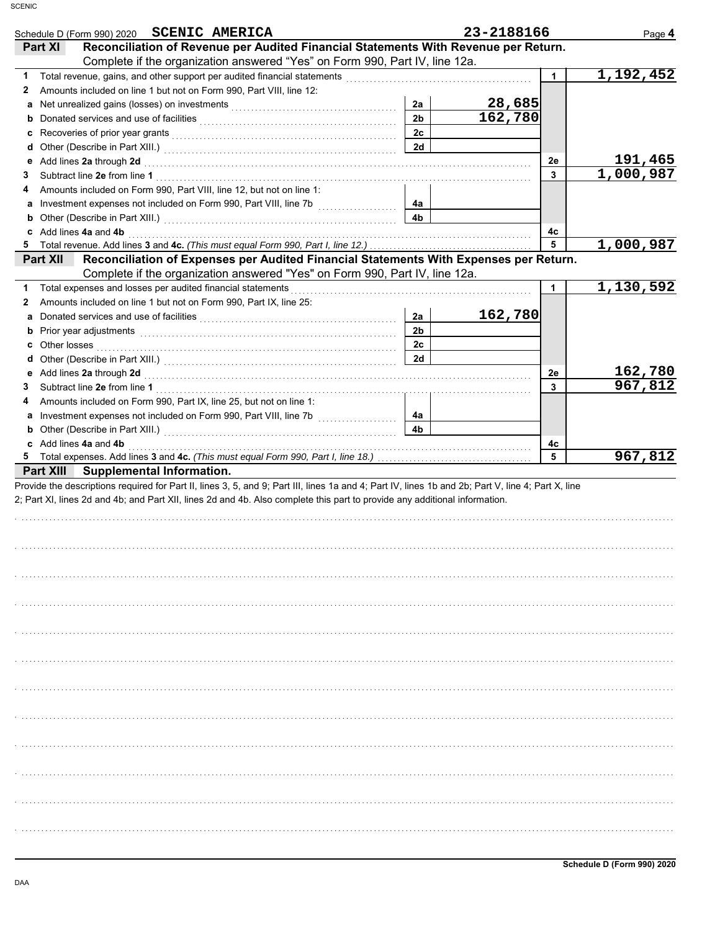| <b>SCENIC AMERICA</b><br>Schedule D (Form 990) 2020                                                                                                                                                                                 |                | 23-2188166 |    | Page 4                 |
|-------------------------------------------------------------------------------------------------------------------------------------------------------------------------------------------------------------------------------------|----------------|------------|----|------------------------|
| Reconciliation of Revenue per Audited Financial Statements With Revenue per Return.<br>Part XI                                                                                                                                      |                |            |    |                        |
| Complete if the organization answered "Yes" on Form 990, Part IV, line 12a.                                                                                                                                                         |                |            |    |                        |
| 1                                                                                                                                                                                                                                   |                |            | 1  | 1,192,452              |
| Amounts included on line 1 but not on Form 990, Part VIII, line 12:<br>2                                                                                                                                                            |                |            |    |                        |
| a                                                                                                                                                                                                                                   | 2a             | 28,685     |    |                        |
| b                                                                                                                                                                                                                                   | 2 <sub>b</sub> | 162,780    |    |                        |
| c                                                                                                                                                                                                                                   | 2c             |            |    |                        |
| d                                                                                                                                                                                                                                   | 2d             |            |    |                        |
| Add lines 2a through 2d [11] March 2013   March 2014   March 2014   March 2014   March 2014   March 2014   March 2014   March 2015   March 2014   March 2015   March 2014   March 2015   March 2015   March 2015   March 2015<br>е  |                |            | 2е | 191,465<br>1,000,987   |
| 3                                                                                                                                                                                                                                   |                |            | 3  |                        |
| Amounts included on Form 990, Part VIII, line 12, but not on line 1:<br>4                                                                                                                                                           |                |            |    |                        |
| a Investment expenses not included on Form 990, Part VIII, line 7b [100] [100]                                                                                                                                                      | 4a<br>4b       |            |    |                        |
| Add lines 4a and 4b<br>c                                                                                                                                                                                                            |                |            | 4c |                        |
| 5.                                                                                                                                                                                                                                  |                |            | 5  | 1,000,987              |
| Reconciliation of Expenses per Audited Financial Statements With Expenses per Return.<br>Part XII                                                                                                                                   |                |            |    |                        |
| Complete if the organization answered "Yes" on Form 990, Part IV, line 12a.                                                                                                                                                         |                |            |    |                        |
| Total expenses and losses per audited financial statements<br>1                                                                                                                                                                     |                |            | 1  | $\overline{1,130,592}$ |
| Amounts included on line 1 but not on Form 990, Part IX, line 25:<br>2                                                                                                                                                              |                |            |    |                        |
| Donated services and use of facilities [[11] context resonance of facilities [11] context resonance of facilities [11] context resonance of the service of the service of the service of the service of the service of the ser<br>a | 2a             | 162,780    |    |                        |
| Prior year adjustments <b>contained a contained and all properties</b> and a contact the contact of the contact of the<br>b                                                                                                         | 2 <sub>b</sub> |            |    |                        |
| С                                                                                                                                                                                                                                   | 2c             |            |    |                        |
| d                                                                                                                                                                                                                                   | 2d             |            |    |                        |
| е                                                                                                                                                                                                                                   |                |            | 2е | 162,780                |
| 3                                                                                                                                                                                                                                   |                |            | 3  | 967,812                |
| Amounts included on Form 990, Part IX, line 25, but not on line 1:<br>4                                                                                                                                                             |                |            |    |                        |
| a Investment expenses not included on Form 990, Part VIII, line 7b [100] [100] [100] [100] [100] [100] [100] [100] [100] [100] [100] [100] [100] [100] [100] [100] [100] [100] [100] [100] [100] [100] [100] [100] [100] [100]      | 4a             |            |    |                        |
| <b>b</b> Other (Describe in Part XIII.) <b>CONSIDENT DESCRIPTION DESCRIPTION DESCRIPTION DESCRIPTION DESCRIPTION DESCRIPTION DESCRIPTION DESCRIPTION DESCRIPTION DESCRIPTION DESCRIPTION DESCRIPTION DESCRI</b>                     | 4b             |            |    |                        |
| c Add lines 4a and 4b                                                                                                                                                                                                               |                |            | 4c |                        |
|                                                                                                                                                                                                                                     |                |            | 5  | 967,812                |
| Part XIII Supplemental Information.                                                                                                                                                                                                 |                |            |    |                        |
| Provide the descriptions required for Part II, lines 3, 5, and 9; Part III, lines 1a and 4; Part IV, lines 1b and 2b; Part V, line 4; Part X, line                                                                                  |                |            |    |                        |
| 2; Part XI, lines 2d and 4b; and Part XII, lines 2d and 4b. Also complete this part to provide any additional information.                                                                                                          |                |            |    |                        |
|                                                                                                                                                                                                                                     |                |            |    |                        |
|                                                                                                                                                                                                                                     |                |            |    |                        |
|                                                                                                                                                                                                                                     |                |            |    |                        |
|                                                                                                                                                                                                                                     |                |            |    |                        |
|                                                                                                                                                                                                                                     |                |            |    |                        |
|                                                                                                                                                                                                                                     |                |            |    |                        |
|                                                                                                                                                                                                                                     |                |            |    |                        |
|                                                                                                                                                                                                                                     |                |            |    |                        |
|                                                                                                                                                                                                                                     |                |            |    |                        |
|                                                                                                                                                                                                                                     |                |            |    |                        |
|                                                                                                                                                                                                                                     |                |            |    |                        |
|                                                                                                                                                                                                                                     |                |            |    |                        |
|                                                                                                                                                                                                                                     |                |            |    |                        |
|                                                                                                                                                                                                                                     |                |            |    |                        |
|                                                                                                                                                                                                                                     |                |            |    |                        |
|                                                                                                                                                                                                                                     |                |            |    |                        |
|                                                                                                                                                                                                                                     |                |            |    |                        |
|                                                                                                                                                                                                                                     |                |            |    |                        |
|                                                                                                                                                                                                                                     |                |            |    |                        |
|                                                                                                                                                                                                                                     |                |            |    |                        |
|                                                                                                                                                                                                                                     |                |            |    |                        |
|                                                                                                                                                                                                                                     |                |            |    |                        |
|                                                                                                                                                                                                                                     |                |            |    |                        |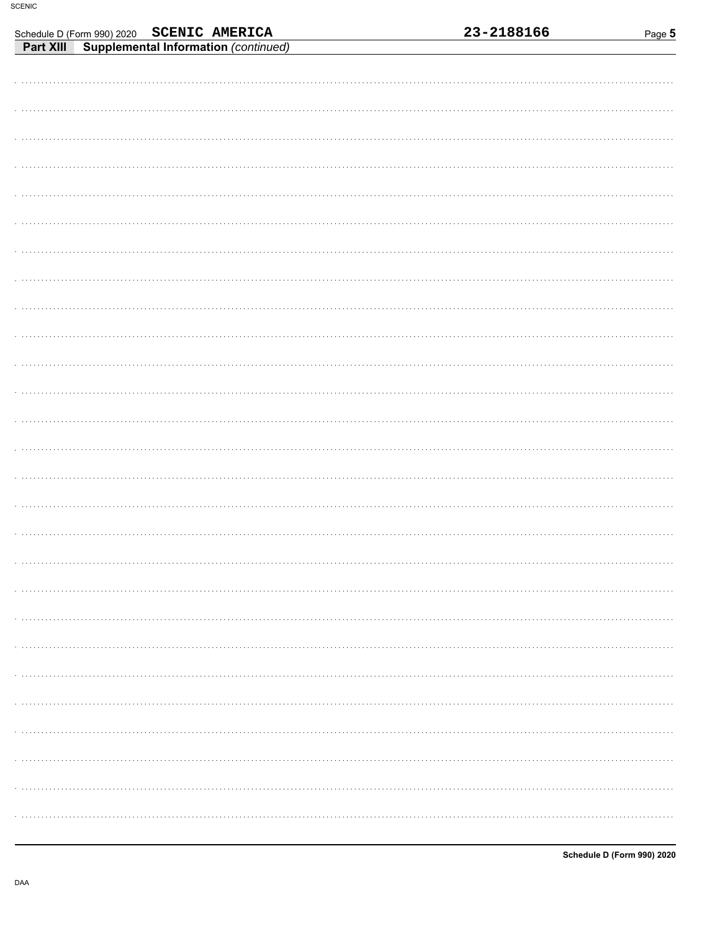|  |                                                                                             |  | 23-2188166 | Page 5 |
|--|---------------------------------------------------------------------------------------------|--|------------|--------|
|  | Schedule D (Form 990) 2020 SCENIC AMERICA<br>Part XIII Supplemental Information (continued) |  |            |        |
|  |                                                                                             |  |            |        |
|  |                                                                                             |  |            |        |
|  |                                                                                             |  |            |        |
|  |                                                                                             |  |            |        |
|  |                                                                                             |  |            |        |
|  |                                                                                             |  |            |        |
|  |                                                                                             |  |            |        |
|  |                                                                                             |  |            |        |
|  |                                                                                             |  |            |        |
|  |                                                                                             |  |            |        |
|  |                                                                                             |  |            |        |
|  |                                                                                             |  |            |        |
|  |                                                                                             |  |            |        |
|  |                                                                                             |  |            |        |
|  |                                                                                             |  |            |        |
|  |                                                                                             |  |            |        |
|  |                                                                                             |  |            |        |
|  |                                                                                             |  |            |        |
|  |                                                                                             |  |            |        |
|  |                                                                                             |  |            |        |
|  |                                                                                             |  |            |        |
|  |                                                                                             |  |            |        |
|  |                                                                                             |  |            |        |
|  |                                                                                             |  |            |        |
|  |                                                                                             |  |            |        |
|  |                                                                                             |  |            |        |
|  |                                                                                             |  |            |        |
|  |                                                                                             |  |            |        |
|  |                                                                                             |  |            |        |
|  |                                                                                             |  |            |        |
|  |                                                                                             |  |            |        |
|  |                                                                                             |  |            |        |
|  |                                                                                             |  |            |        |
|  |                                                                                             |  |            |        |
|  |                                                                                             |  |            |        |
|  |                                                                                             |  |            |        |
|  |                                                                                             |  |            |        |
|  |                                                                                             |  |            |        |
|  |                                                                                             |  |            |        |
|  |                                                                                             |  |            |        |
|  |                                                                                             |  |            |        |
|  |                                                                                             |  |            |        |
|  |                                                                                             |  |            |        |
|  |                                                                                             |  |            |        |
|  |                                                                                             |  |            |        |
|  |                                                                                             |  |            |        |
|  |                                                                                             |  |            |        |
|  |                                                                                             |  |            |        |
|  |                                                                                             |  |            |        |
|  |                                                                                             |  |            |        |
|  |                                                                                             |  |            |        |
|  |                                                                                             |  |            |        |
|  |                                                                                             |  |            |        |
|  |                                                                                             |  |            |        |
|  |                                                                                             |  |            |        |
|  |                                                                                             |  |            |        |
|  |                                                                                             |  |            |        |
|  |                                                                                             |  |            |        |
|  |                                                                                             |  |            |        |
|  |                                                                                             |  |            |        |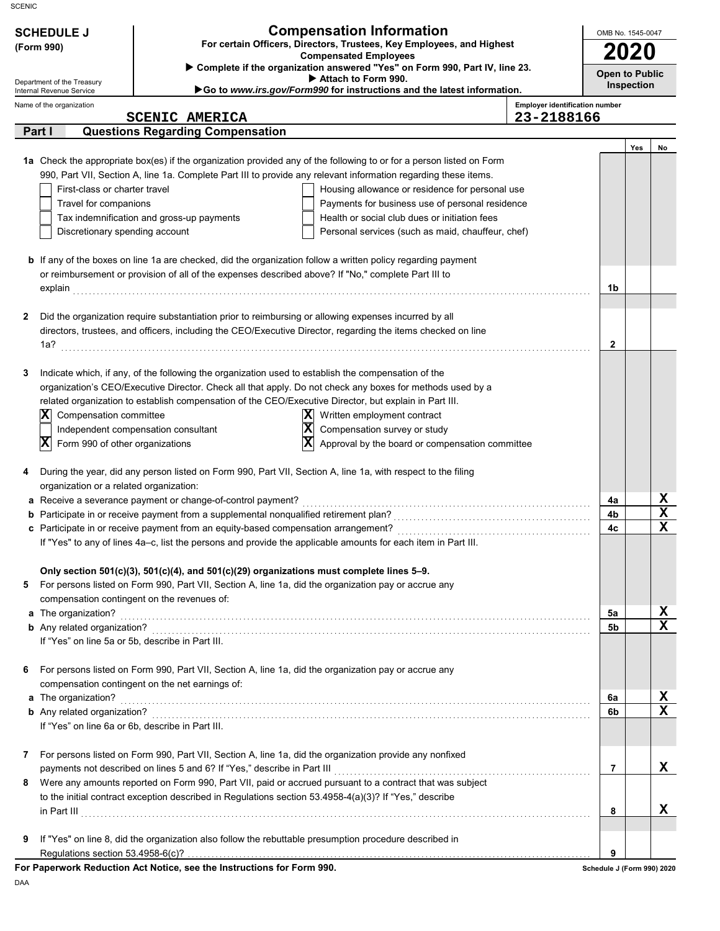| <b>SCHEDULE J</b><br>(Form 990)<br>Department of the Treasury                            | <b>Compensation Information</b><br>For certain Officers, Directors, Trustees, Key Employees, and Highest<br><b>Compensated Employees</b><br>> Complete if the organization answered "Yes" on Form 990, Part IV, line 23.<br>Attach to Form 990. |                                                                                                                                                                                                                                                                                                                                                                                                                                                                                                                                                                                                                                                                                   |                                       |                  |  |  |
|------------------------------------------------------------------------------------------|-------------------------------------------------------------------------------------------------------------------------------------------------------------------------------------------------------------------------------------------------|-----------------------------------------------------------------------------------------------------------------------------------------------------------------------------------------------------------------------------------------------------------------------------------------------------------------------------------------------------------------------------------------------------------------------------------------------------------------------------------------------------------------------------------------------------------------------------------------------------------------------------------------------------------------------------------|---------------------------------------|------------------|--|--|
| Internal Revenue Service<br>Name of the organization                                     |                                                                                                                                                                                                                                                 | Go to www.irs.gov/Form990 for instructions and the latest information.                                                                                                                                                                                                                                                                                                                                                                                                                                                                                                                                                                                                            | <b>Employer identification number</b> | Inspection       |  |  |
|                                                                                          | <b>SCENIC AMERICA</b>                                                                                                                                                                                                                           |                                                                                                                                                                                                                                                                                                                                                                                                                                                                                                                                                                                                                                                                                   | 23-2188166                            |                  |  |  |
| Part I                                                                                   | <b>Questions Regarding Compensation</b>                                                                                                                                                                                                         |                                                                                                                                                                                                                                                                                                                                                                                                                                                                                                                                                                                                                                                                                   |                                       |                  |  |  |
| First-class or charter travel<br>Travel for companions<br>Discretionary spending account | Tax indemnification and gross-up payments                                                                                                                                                                                                       | 1a Check the appropriate box(es) if the organization provided any of the following to or for a person listed on Form<br>990, Part VII, Section A, line 1a. Complete Part III to provide any relevant information regarding these items.<br>Housing allowance or residence for personal use<br>Payments for business use of personal residence<br>Health or social club dues or initiation fees<br>Personal services (such as maid, chauffeur, chef)<br><b>b</b> If any of the boxes on line 1a are checked, did the organization follow a written policy regarding payment<br>or reimbursement or provision of all of the expenses described above? If "No," complete Part III to | 1b                                    | Yes<br>No        |  |  |
| 2                                                                                        |                                                                                                                                                                                                                                                 | Did the organization require substantiation prior to reimbursing or allowing expenses incurred by all<br>directors, trustees, and officers, including the CEO/Executive Director, regarding the items checked on line                                                                                                                                                                                                                                                                                                                                                                                                                                                             | $\mathbf{2}$                          |                  |  |  |
| 3<br>$ \mathbf{X} $<br>Compensation committee<br>x<br>Form 990 of other organizations    | Independent compensation consultant                                                                                                                                                                                                             | Indicate which, if any, of the following the organization used to establish the compensation of the<br>organization's CEO/Executive Director. Check all that apply. Do not check any boxes for methods used by a<br>related organization to establish compensation of the CEO/Executive Director, but explain in Part III.<br> X <br>Written employment contract<br>$ \mathbf{x} $<br>Compensation survey or study<br>X<br>Approval by the board or compensation committee                                                                                                                                                                                                        |                                       |                  |  |  |
| 4<br>organization or a related organization:                                             |                                                                                                                                                                                                                                                 | During the year, did any person listed on Form 990, Part VII, Section A, line 1a, with respect to the filing                                                                                                                                                                                                                                                                                                                                                                                                                                                                                                                                                                      |                                       |                  |  |  |
|                                                                                          | a Receive a severance payment or change-of-control payment?                                                                                                                                                                                     |                                                                                                                                                                                                                                                                                                                                                                                                                                                                                                                                                                                                                                                                                   | 4a                                    | X                |  |  |
|                                                                                          | <b>b</b> Participate in or receive payment from a supplemental nonqualified retirement plan?                                                                                                                                                    |                                                                                                                                                                                                                                                                                                                                                                                                                                                                                                                                                                                                                                                                                   | 4b<br>4c                              | $\mathbf x$<br>Y |  |  |
|                                                                                          |                                                                                                                                                                                                                                                 | If "Yes" to any of lines 4a-c, list the persons and provide the applicable amounts for each item in Part III.                                                                                                                                                                                                                                                                                                                                                                                                                                                                                                                                                                     |                                       |                  |  |  |
| 5                                                                                        | compensation contingent on the revenues of:                                                                                                                                                                                                     | Only section 501(c)(3), 501(c)(4), and 501(c)(29) organizations must complete lines 5-9.<br>For persons listed on Form 990, Part VII, Section A, line 1a, did the organization pay or accrue any                                                                                                                                                                                                                                                                                                                                                                                                                                                                                  |                                       |                  |  |  |
| a The organization?                                                                      |                                                                                                                                                                                                                                                 |                                                                                                                                                                                                                                                                                                                                                                                                                                                                                                                                                                                                                                                                                   | 5а                                    | х                |  |  |
|                                                                                          | If "Yes" on line 5a or 5b, describe in Part III.                                                                                                                                                                                                |                                                                                                                                                                                                                                                                                                                                                                                                                                                                                                                                                                                                                                                                                   | 5b                                    | $\mathbf x$      |  |  |
| 6                                                                                        | compensation contingent on the net earnings of:                                                                                                                                                                                                 | For persons listed on Form 990, Part VII, Section A, line 1a, did the organization pay or accrue any                                                                                                                                                                                                                                                                                                                                                                                                                                                                                                                                                                              |                                       |                  |  |  |
| a The organization?                                                                      |                                                                                                                                                                                                                                                 |                                                                                                                                                                                                                                                                                                                                                                                                                                                                                                                                                                                                                                                                                   | 6a                                    | х<br>$\mathbf x$ |  |  |
|                                                                                          | If "Yes" on line 6a or 6b, describe in Part III.                                                                                                                                                                                                |                                                                                                                                                                                                                                                                                                                                                                                                                                                                                                                                                                                                                                                                                   | 6b                                    |                  |  |  |
| 7                                                                                        | payments not described on lines 5 and 6? If "Yes," describe in Part III                                                                                                                                                                         | For persons listed on Form 990, Part VII, Section A, line 1a, did the organization provide any nonfixed                                                                                                                                                                                                                                                                                                                                                                                                                                                                                                                                                                           | 7                                     | x                |  |  |
| 8                                                                                        |                                                                                                                                                                                                                                                 | Were any amounts reported on Form 990, Part VII, paid or accrued pursuant to a contract that was subject                                                                                                                                                                                                                                                                                                                                                                                                                                                                                                                                                                          |                                       |                  |  |  |
|                                                                                          |                                                                                                                                                                                                                                                 | to the initial contract exception described in Regulations section 53.4958-4(a)(3)? If "Yes," describe                                                                                                                                                                                                                                                                                                                                                                                                                                                                                                                                                                            | 8                                     | X                |  |  |
|                                                                                          |                                                                                                                                                                                                                                                 |                                                                                                                                                                                                                                                                                                                                                                                                                                                                                                                                                                                                                                                                                   |                                       |                  |  |  |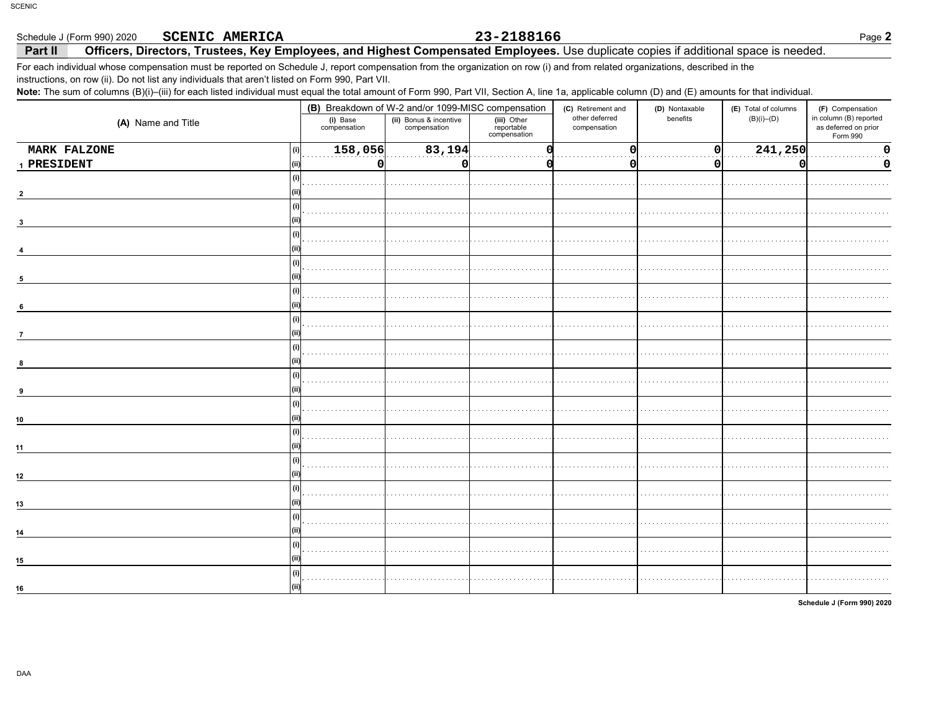### Schedule J (Form 990) 2020 **SCENIC AMERICA**

## 23-2188166

### Officers, Directors, Trustees, Key Employees, and Highest Compensated Employees. Use duplicate copies if additional space is needed. Part II

For each individual whose compensation must be reported on Schedule J, report compensation from the organization on row (i) and from related organizations, described in the instructions, on row (ii). Do not list any individuals that aren't listed on Form 990, Part VII.

Note: The sum of columns (B)(i)-(iii) for each listed individual must equal the total amount of Form 990, Part VII, Section A, line 1a, applicable column (D) and (E) amounts for that individual.

|                     | (B) Breakdown of W-2 and/or 1099-MISC compensation |                                        |                                           | (D) Nontaxable<br>(C) Retirement and |              | (E) Total of columns | (F) Compensation                                           |  |
|---------------------|----------------------------------------------------|----------------------------------------|-------------------------------------------|--------------------------------------|--------------|----------------------|------------------------------------------------------------|--|
| (A) Name and Title  | (i) Base<br>compensation                           | (ii) Bonus & incentive<br>compensation | (iii) Other<br>reportable<br>compensation | other deferred<br>compensation       | benefits     | $(B)(i)$ – $(D)$     | in column (B) reported<br>as deferred on prior<br>Form 990 |  |
| MARK FALZONE<br>(i) | 158,056                                            | 83,194                                 |                                           | O                                    | $\mathbf{0}$ | 241,250              | O                                                          |  |
| 1 PRESIDENT         | 0                                                  | 0                                      |                                           | 0                                    | 0            | o                    | 0                                                          |  |
|                     | $\mathbf{u}$                                       |                                        |                                           |                                      |              |                      |                                                            |  |
|                     |                                                    |                                        |                                           |                                      |              |                      |                                                            |  |
| (i)                 |                                                    |                                        |                                           |                                      |              |                      |                                                            |  |
| (i)                 |                                                    |                                        |                                           |                                      |              |                      |                                                            |  |
| 5<br>(i)            |                                                    |                                        |                                           |                                      |              |                      |                                                            |  |
| 6<br>(i)            |                                                    |                                        |                                           |                                      |              |                      |                                                            |  |
| $\overline{7}$      |                                                    |                                        |                                           |                                      |              |                      |                                                            |  |
| (i)                 |                                                    |                                        |                                           |                                      |              |                      |                                                            |  |
| (i)                 |                                                    |                                        |                                           |                                      |              |                      |                                                            |  |
| (i)<br>10           |                                                    |                                        |                                           |                                      |              |                      |                                                            |  |
| (i)<br>11           |                                                    |                                        |                                           |                                      |              |                      |                                                            |  |
| (i)<br>12           |                                                    |                                        |                                           |                                      |              |                      |                                                            |  |
| (i)                 |                                                    |                                        |                                           |                                      |              |                      |                                                            |  |
| 13<br>(i)           |                                                    |                                        |                                           |                                      |              |                      |                                                            |  |
| 14<br>(i)           |                                                    |                                        |                                           |                                      |              |                      |                                                            |  |
| 15<br>(i)           |                                                    |                                        |                                           |                                      |              |                      |                                                            |  |
| 16                  |                                                    |                                        |                                           |                                      |              |                      |                                                            |  |

Schedule J (Form 990) 2020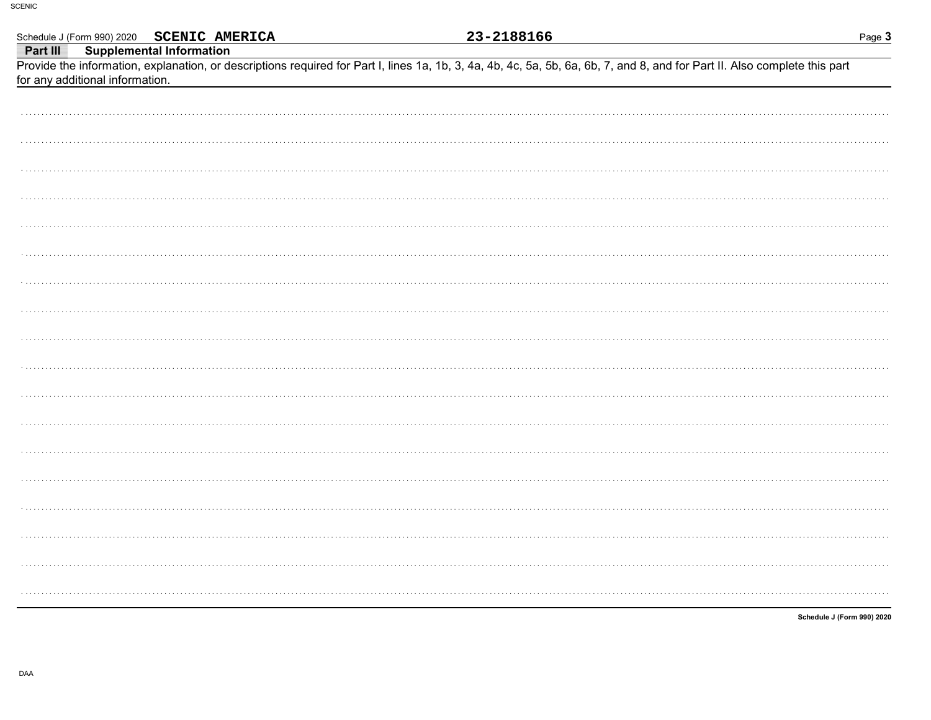|          |                                 | Schedule J (Form 990) 2020 SCENIC AMERICA |  | <u>23-2188166</u> |                                                                                                                                                                            | Page 3                     |
|----------|---------------------------------|-------------------------------------------|--|-------------------|----------------------------------------------------------------------------------------------------------------------------------------------------------------------------|----------------------------|
| Part III |                                 | <b>Supplemental Information</b>           |  |                   |                                                                                                                                                                            |                            |
|          |                                 |                                           |  |                   | Provide the information, explanation, or descriptions required for Part I, lines 1a, 1b, 3, 4a, 4b, 4c, 5a, 5b, 6a, 6b, 7, and 8, and for Part II. Also complete this part |                            |
|          | for any additional information. |                                           |  |                   |                                                                                                                                                                            |                            |
|          |                                 |                                           |  |                   |                                                                                                                                                                            |                            |
|          |                                 |                                           |  |                   |                                                                                                                                                                            |                            |
|          |                                 |                                           |  |                   |                                                                                                                                                                            |                            |
|          |                                 |                                           |  |                   |                                                                                                                                                                            |                            |
|          |                                 |                                           |  |                   |                                                                                                                                                                            |                            |
|          |                                 |                                           |  |                   |                                                                                                                                                                            |                            |
|          |                                 |                                           |  |                   |                                                                                                                                                                            |                            |
|          |                                 |                                           |  |                   |                                                                                                                                                                            |                            |
|          |                                 |                                           |  |                   |                                                                                                                                                                            |                            |
|          |                                 |                                           |  |                   |                                                                                                                                                                            |                            |
|          |                                 |                                           |  |                   |                                                                                                                                                                            |                            |
|          |                                 |                                           |  |                   |                                                                                                                                                                            |                            |
|          |                                 |                                           |  |                   |                                                                                                                                                                            |                            |
|          |                                 |                                           |  |                   |                                                                                                                                                                            |                            |
|          |                                 |                                           |  |                   |                                                                                                                                                                            |                            |
|          |                                 |                                           |  |                   |                                                                                                                                                                            |                            |
|          |                                 |                                           |  |                   |                                                                                                                                                                            |                            |
|          |                                 |                                           |  |                   |                                                                                                                                                                            |                            |
|          |                                 |                                           |  |                   |                                                                                                                                                                            |                            |
|          |                                 |                                           |  |                   |                                                                                                                                                                            |                            |
|          |                                 |                                           |  |                   |                                                                                                                                                                            |                            |
|          |                                 |                                           |  |                   |                                                                                                                                                                            |                            |
|          |                                 |                                           |  |                   |                                                                                                                                                                            |                            |
|          |                                 |                                           |  |                   |                                                                                                                                                                            |                            |
|          |                                 |                                           |  |                   |                                                                                                                                                                            |                            |
|          |                                 |                                           |  |                   |                                                                                                                                                                            |                            |
|          |                                 |                                           |  |                   |                                                                                                                                                                            |                            |
|          |                                 |                                           |  |                   |                                                                                                                                                                            |                            |
|          |                                 |                                           |  |                   |                                                                                                                                                                            |                            |
|          |                                 |                                           |  |                   |                                                                                                                                                                            |                            |
|          |                                 |                                           |  |                   |                                                                                                                                                                            |                            |
|          |                                 |                                           |  |                   |                                                                                                                                                                            |                            |
|          |                                 |                                           |  |                   |                                                                                                                                                                            |                            |
|          |                                 |                                           |  |                   |                                                                                                                                                                            |                            |
|          |                                 |                                           |  |                   |                                                                                                                                                                            |                            |
|          |                                 |                                           |  |                   |                                                                                                                                                                            |                            |
|          |                                 |                                           |  |                   |                                                                                                                                                                            |                            |
|          |                                 |                                           |  |                   |                                                                                                                                                                            |                            |
|          |                                 |                                           |  |                   |                                                                                                                                                                            | Schedule J (Form 990) 2020 |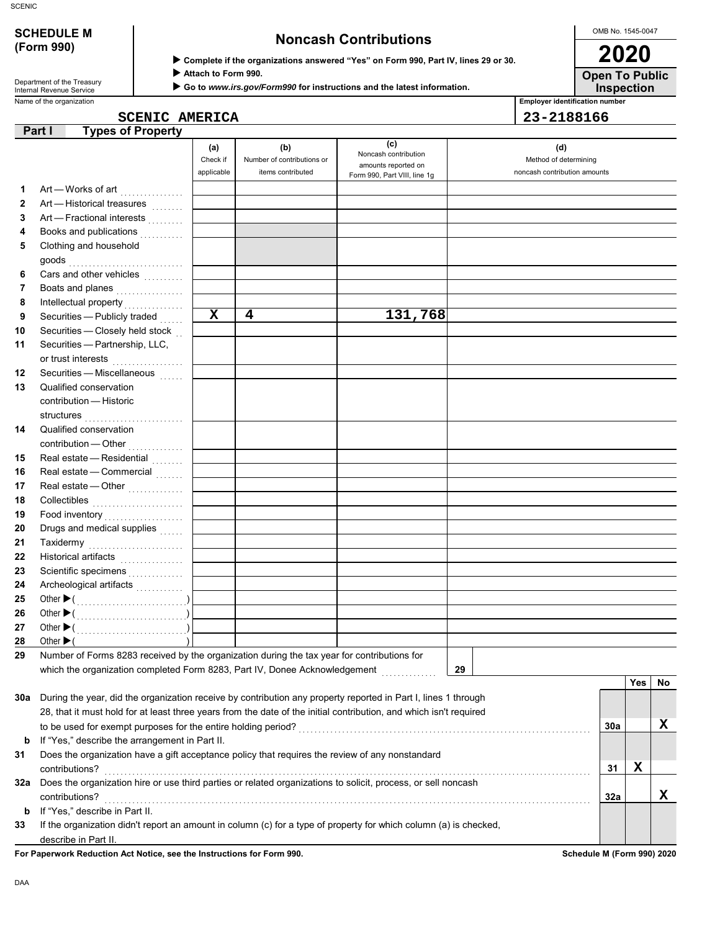| <b>SCHEDULE M</b> |  |
|-------------------|--|
| (Form 990)        |  |

Department of the Treasury<br>Internal Revenue Service

# **SCHEDULE M Noncash Contributions**

 **Complete if the organizations answered "Yes" on Form 990, Part IV, lines 29 or 30.**

 **Attach to Form 990.**

 **Go to** *www.irs.gov/Form990* **for instructions and the latest information.**

OMB No. 1545-0047 **2020**

**Open To Public**

**Inspection**

Name of the organization **Employer identification number Employer identification number** 

|--|

| 23-218816 |  |
|-----------|--|

|     | <b>Types of Property</b><br>Part I                                                                                 |            |                            |                                             |                              |     |     |    |
|-----|--------------------------------------------------------------------------------------------------------------------|------------|----------------------------|---------------------------------------------|------------------------------|-----|-----|----|
|     |                                                                                                                    | (a)        | (b)                        | (c)                                         | (d)                          |     |     |    |
|     |                                                                                                                    | Check if   | Number of contributions or | Noncash contribution<br>amounts reported on | Method of determining        |     |     |    |
|     |                                                                                                                    | applicable | items contributed          | Form 990, Part VIII, line 1g                | noncash contribution amounts |     |     |    |
| 1   | Art - Works of art [                                                                                               |            |                            |                                             |                              |     |     |    |
| 2   | Art - Historical treasures                                                                                         |            |                            |                                             |                              |     |     |    |
| 3   | Art - Fractional interests                                                                                         |            |                            |                                             |                              |     |     |    |
| 4   | Books and publications                                                                                             |            |                            |                                             |                              |     |     |    |
| 5   | Clothing and household                                                                                             |            |                            |                                             |                              |     |     |    |
|     |                                                                                                                    |            |                            |                                             |                              |     |     |    |
| 6   | Cars and other vehicles                                                                                            |            |                            |                                             |                              |     |     |    |
| 7   | Boats and planes                                                                                                   |            |                            |                                             |                              |     |     |    |
| 8   |                                                                                                                    |            |                            |                                             |                              |     |     |    |
| 9   | Securities - Publicly traded                                                                                       | X          | 4                          | 131,768                                     |                              |     |     |    |
| 10  | Securities - Closely held stock                                                                                    |            |                            |                                             |                              |     |     |    |
| 11  | Securities - Partnership, LLC,                                                                                     |            |                            |                                             |                              |     |     |    |
|     | or trust interests                                                                                                 |            |                            |                                             |                              |     |     |    |
| 12  | Securities - Miscellaneous                                                                                         |            |                            |                                             |                              |     |     |    |
| 13  | Qualified conservation                                                                                             |            |                            |                                             |                              |     |     |    |
|     | contribution - Historic                                                                                            |            |                            |                                             |                              |     |     |    |
|     | structures                                                                                                         |            |                            |                                             |                              |     |     |    |
| 14  | Qualified conservation                                                                                             |            |                            |                                             |                              |     |     |    |
|     | contribution - Other<br>                                                                                           |            |                            |                                             |                              |     |     |    |
| 15  | Real estate - Residential                                                                                          |            |                            |                                             |                              |     |     |    |
| 16  | Real estate - Commercial                                                                                           |            |                            |                                             |                              |     |     |    |
| 17  | Real estate — Other $\ldots$                                                                                       |            |                            |                                             |                              |     |     |    |
| 18  |                                                                                                                    |            |                            |                                             |                              |     |     |    |
| 19  | Food inventory                                                                                                     |            |                            |                                             |                              |     |     |    |
| 20  | Drugs and medical supplies                                                                                         |            |                            |                                             |                              |     |     |    |
| 21  | Taxidermy                                                                                                          |            |                            |                                             |                              |     |     |    |
| 22  |                                                                                                                    |            |                            |                                             |                              |     |     |    |
| 23  | Scientific specimens                                                                                               |            |                            |                                             |                              |     |     |    |
| 24  |                                                                                                                    |            |                            |                                             |                              |     |     |    |
| 25  |                                                                                                                    |            |                            |                                             |                              |     |     |    |
| 26  |                                                                                                                    |            |                            |                                             |                              |     |     |    |
| 27  |                                                                                                                    |            |                            |                                             |                              |     |     |    |
| 28  | Other $\blacktriangleright$ (                                                                                      |            |                            |                                             |                              |     |     |    |
| 29  | Number of Forms 8283 received by the organization during the tax year for contributions for                        |            |                            |                                             |                              |     |     |    |
|     | which the organization completed Form 8283, Part IV, Donee Acknowledgement                                         |            |                            |                                             | 29                           |     |     |    |
|     |                                                                                                                    |            |                            |                                             |                              |     | Yes | No |
| 30a | During the year, did the organization receive by contribution any property reported in Part I, lines 1 through     |            |                            |                                             |                              |     |     |    |
|     | 28, that it must hold for at least three years from the date of the initial contribution, and which isn't required |            |                            |                                             |                              |     |     |    |
|     |                                                                                                                    |            |                            |                                             |                              | 30a |     | х  |
| b   | If "Yes," describe the arrangement in Part II.                                                                     |            |                            |                                             |                              |     |     |    |
| 31  | Does the organization have a gift acceptance policy that requires the review of any nonstandard                    |            |                            |                                             |                              |     |     |    |
|     | contributions?                                                                                                     |            |                            |                                             |                              | 31  | X   |    |
| 32a | Does the organization hire or use third parties or related organizations to solicit, process, or sell noncash      |            |                            |                                             |                              |     |     |    |
|     | contributions?                                                                                                     |            |                            |                                             |                              | 32a |     | x  |
| b   | If "Yes," describe in Part II.                                                                                     |            |                            |                                             |                              |     |     |    |
| 33  | If the organization didn't report an amount in column (c) for a type of property for which column (a) is checked,  |            |                            |                                             |                              |     |     |    |
|     | describe in Part II.                                                                                               |            |                            |                                             |                              |     |     |    |

**For Paperwork Reduction Act Notice, see the Instructions for Form 990. Schedule M (Form 990) 2020**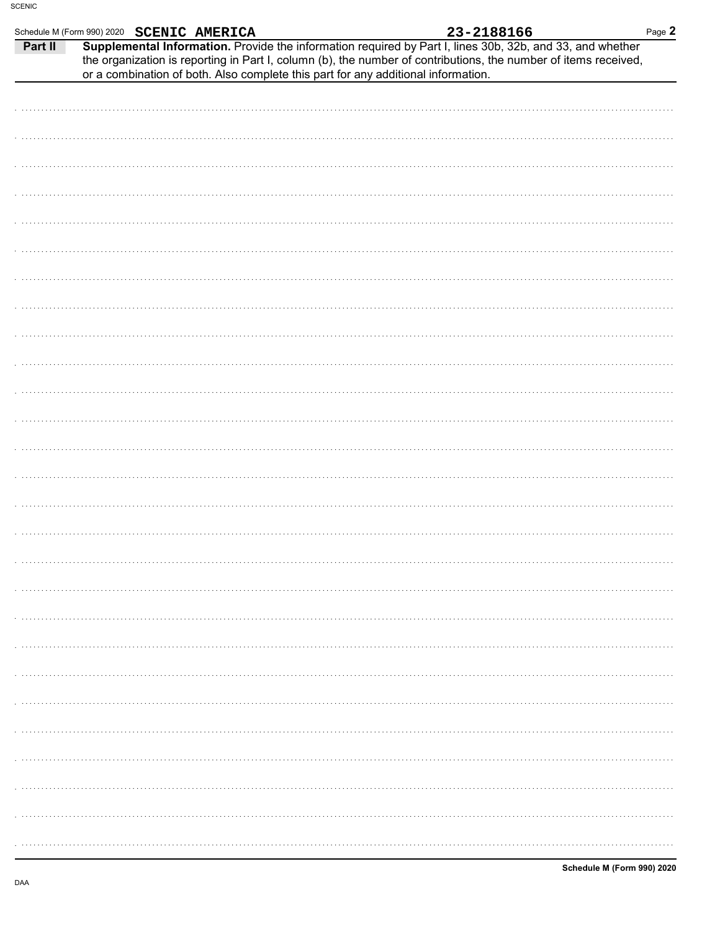|         | Schedule M (Form 990) 2020 SCENIC AMERICA |                                                                                   | 23-2188166                                                                                                                                                                                                                   | Page 2 |
|---------|-------------------------------------------|-----------------------------------------------------------------------------------|------------------------------------------------------------------------------------------------------------------------------------------------------------------------------------------------------------------------------|--------|
| Part II |                                           | or a combination of both. Also complete this part for any additional information. | Supplemental Information. Provide the information required by Part I, lines 30b, 32b, and 33, and whether<br>the organization is reporting in Part I, column (b), the number of contributions, the number of items received, |        |
|         |                                           |                                                                                   |                                                                                                                                                                                                                              |        |
|         |                                           |                                                                                   |                                                                                                                                                                                                                              |        |
|         |                                           |                                                                                   |                                                                                                                                                                                                                              |        |
|         |                                           |                                                                                   |                                                                                                                                                                                                                              |        |
|         |                                           |                                                                                   |                                                                                                                                                                                                                              |        |
|         |                                           |                                                                                   |                                                                                                                                                                                                                              |        |
|         |                                           |                                                                                   |                                                                                                                                                                                                                              |        |
|         |                                           |                                                                                   |                                                                                                                                                                                                                              |        |
|         |                                           |                                                                                   |                                                                                                                                                                                                                              |        |
|         |                                           |                                                                                   |                                                                                                                                                                                                                              |        |
|         |                                           |                                                                                   |                                                                                                                                                                                                                              |        |
|         |                                           |                                                                                   |                                                                                                                                                                                                                              |        |
|         |                                           |                                                                                   |                                                                                                                                                                                                                              |        |
|         |                                           |                                                                                   |                                                                                                                                                                                                                              |        |
|         |                                           |                                                                                   |                                                                                                                                                                                                                              |        |
|         |                                           |                                                                                   |                                                                                                                                                                                                                              |        |
|         |                                           |                                                                                   |                                                                                                                                                                                                                              |        |
|         |                                           |                                                                                   |                                                                                                                                                                                                                              |        |
|         |                                           |                                                                                   |                                                                                                                                                                                                                              |        |
|         |                                           |                                                                                   |                                                                                                                                                                                                                              |        |
|         |                                           |                                                                                   |                                                                                                                                                                                                                              |        |
|         |                                           |                                                                                   |                                                                                                                                                                                                                              |        |
|         |                                           |                                                                                   |                                                                                                                                                                                                                              |        |
|         |                                           |                                                                                   |                                                                                                                                                                                                                              |        |
|         |                                           |                                                                                   |                                                                                                                                                                                                                              |        |
|         |                                           |                                                                                   |                                                                                                                                                                                                                              |        |
|         |                                           |                                                                                   |                                                                                                                                                                                                                              |        |
|         |                                           |                                                                                   |                                                                                                                                                                                                                              |        |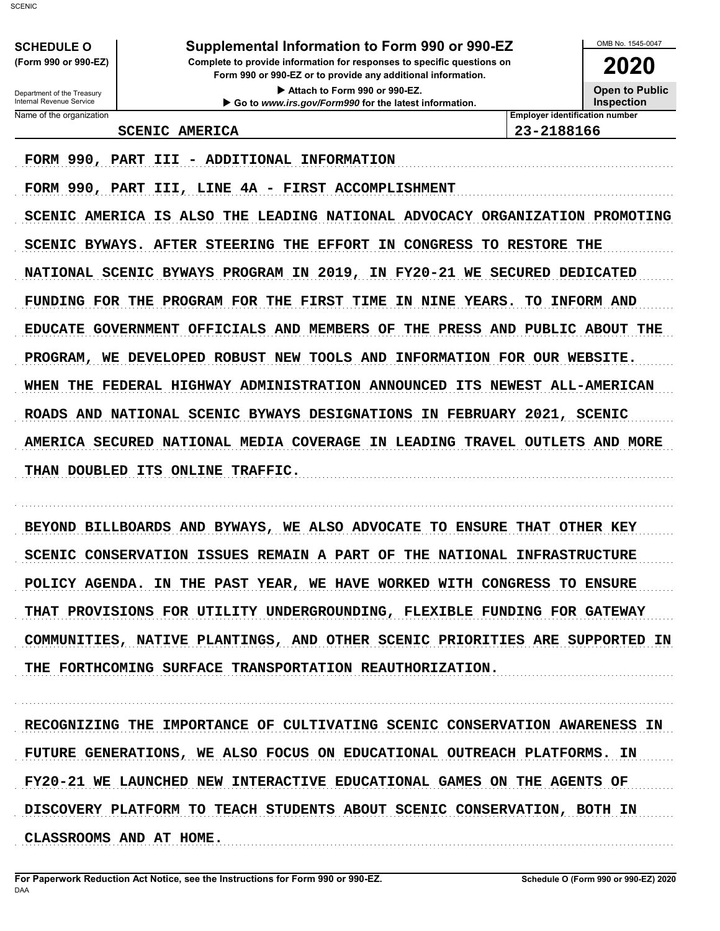| Supplemental Information to Form 990 or 990-EZ<br><b>SCHEDULE O</b> |                                                                                                                                        |                                            |  |  |
|---------------------------------------------------------------------|----------------------------------------------------------------------------------------------------------------------------------------|--------------------------------------------|--|--|
| (Form 990 or 990-EZ)                                                | Complete to provide information for responses to specific questions on<br>Form 990 or 990-EZ or to provide any additional information. | 2020                                       |  |  |
| Department of the Treasury<br>Internal Revenue Service              | Attach to Form 990 or 990-EZ.<br>Go to www.irs.gov/Form990 for the latest information.                                                 | <b>Open to Public</b><br><b>Inspection</b> |  |  |
| Name of the organization                                            |                                                                                                                                        | <b>Employer identification number</b>      |  |  |
|                                                                     | <b>SCENIC AMERICA</b>                                                                                                                  | 23-2188166                                 |  |  |

### **SCENIC AMERICA**

FORM 990, PART III - ADDITIONAL INFORMATION

FORM 990, PART III, LINE 4A - FIRST ACCOMPLISHMENT SCENIC AMERICA IS ALSO THE LEADING NATIONAL ADVOCACY ORGANIZATION PROMOTING SCENIC BYWAYS. AFTER STEERING THE EFFORT IN CONGRESS TO RESTORE THE NATIONAL SCENIC BYWAYS PROGRAM IN 2019, IN FY20-21 WE SECURED DEDICATED FUNDING FOR THE PROGRAM FOR THE FIRST TIME IN NINE YEARS. TO INFORM AND EDUCATE GOVERNMENT OFFICIALS AND MEMBERS OF THE PRESS AND PUBLIC ABOUT THE PROGRAM, WE DEVELOPED ROBUST NEW TOOLS AND INFORMATION FOR OUR WEBSITE. WHEN THE FEDERAL HIGHWAY ADMINISTRATION ANNOUNCED ITS NEWEST ALL-AMERICAN ROADS AND NATIONAL SCENIC BYWAYS DESIGNATIONS IN FEBRUARY 2021, SCENIC AMERICA SECURED NATIONAL MEDIA COVERAGE IN LEADING TRAVEL OUTLETS AND MORE THAN DOUBLED ITS ONLINE TRAFFIC.

BEYOND BILLBOARDS AND BYWAYS, WE ALSO ADVOCATE TO ENSURE THAT OTHER KEY SCENIC CONSERVATION ISSUES REMAIN A PART OF THE NATIONAL INFRASTRUCTURE POLICY AGENDA. IN THE PAST YEAR, WE HAVE WORKED WITH CONGRESS TO ENSURE THAT PROVISIONS FOR UTILITY UNDERGROUNDING, FLEXIBLE FUNDING FOR GATEWAY COMMUNITIES, NATIVE PLANTINGS, AND OTHER SCENIC PRIORITIES ARE SUPPORTED IN THE FORTHCOMING SURFACE TRANSPORTATION REAUTHORIZATION.

RECOGNIZING THE IMPORTANCE OF CULTIVATING SCENIC CONSERVATION AWARENESS IN FUTURE GENERATIONS, WE ALSO FOCUS ON EDUCATIONAL OUTREACH PLATFORMS. IN FY20-21 WE LAUNCHED NEW INTERACTIVE EDUCATIONAL GAMES ON THE AGENTS OF DISCOVERY PLATFORM TO TEACH STUDENTS ABOUT SCENIC CONSERVATION, BOTH IN CLASSROOMS AND AT HOME.